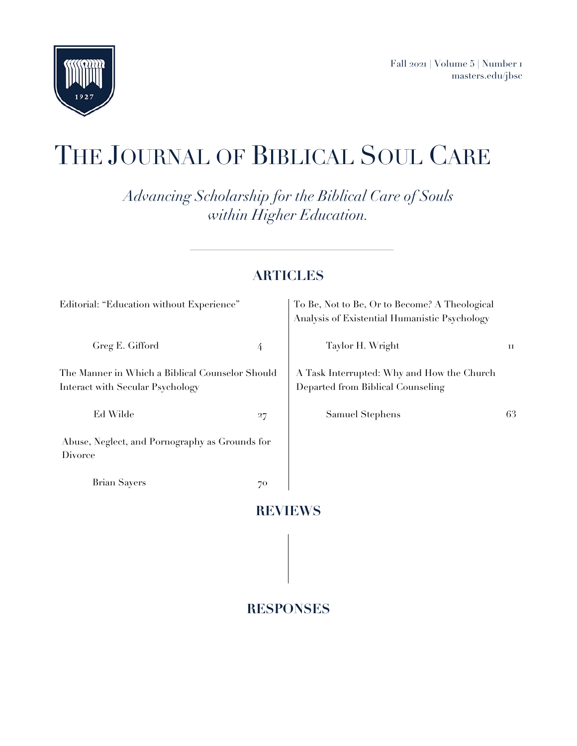

# THE JOURNAL OF BIBLICAL SOUL CARE

*Advancing Scholarship for the Biblical Care of Souls within Higher Education.*

# **ARTICLES**

| Editorial: "Education without Experience"                                           |    | To Be, Not to Be, Or to Become? A Theological<br>Analysis of Existential Humanistic Psychology |    |
|-------------------------------------------------------------------------------------|----|------------------------------------------------------------------------------------------------|----|
| Greg E. Gifford                                                                     | 4  | Taylor H. Wright                                                                               | 11 |
| The Manner in Which a Biblical Counselor Should<br>Interact with Secular Psychology |    | A Task Interrupted: Why and How the Church<br>Departed from Biblical Counseling                |    |
| Ed Wilde                                                                            | 27 | Samuel Stephens                                                                                | 63 |
| Abuse, Neglect, and Pornography as Grounds for<br>Divorce                           |    |                                                                                                |    |
| <b>Brian Sayers</b>                                                                 | 70 |                                                                                                |    |
|                                                                                     |    |                                                                                                |    |

# **RESPONSES**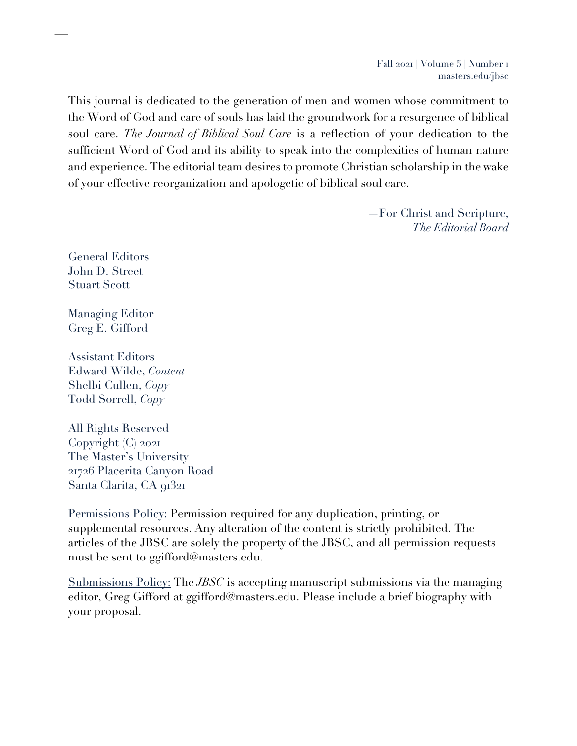Fall 2021 | Volume 5 | Number 1 masters.edu/jbsc

This journal is dedicated to the generation of men and women whose commitment to the Word of God and care of souls has laid the groundwork for a resurgence of biblical soul care. *The Journal of Biblical Soul Care* is a reflection of your dedication to the sufficient Word of God and its ability to speak into the complexities of human nature and experience. The editorial team desires to promote Christian scholarship in the wake of your effective reorganization and apologetic of biblical soul care.

> —For Christ and Scripture, *The Editorial Board*

General Editors John D. Street Stuart Scott

**Managing Editor** Greg E. Gifford

**Assistant Editors** Edward Wilde, *Content* Shelbi Cullen, *Copy* Todd Sorrell, *Copy*

All Rights Reserved Copyright (C) 2021 The Master's University 21726 Placerita Canyon Road Santa Clarita, CA 91321

Permissions Policy: Permission required for any duplication, printing, or supplemental resources. Any alteration of the content is strictly prohibited. The articles of the JBSC are solely the property of the JBSC, and all permission requests must be sent to ggifford@masters.edu.

Submissions Policy: The *JBSC* is accepting manuscript submissions via the managing editor, Greg Gifford at ggifford@masters.edu. Please include a brief biography with your proposal.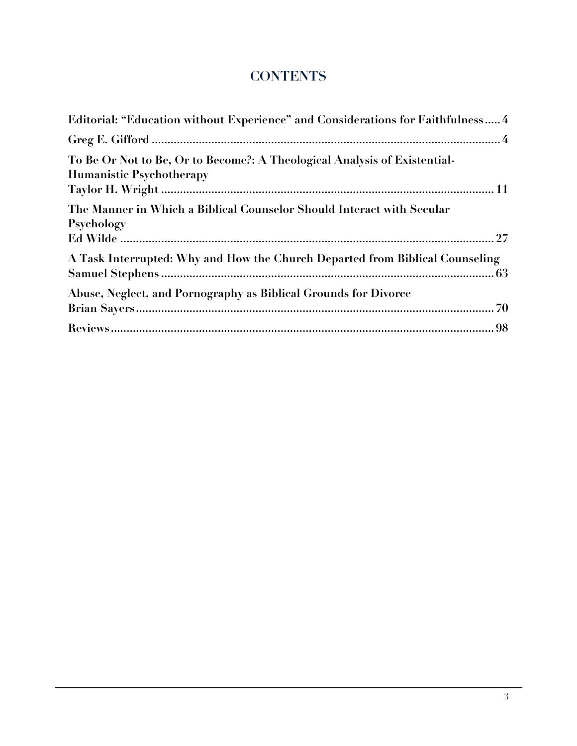# **CONTENTS**

| Editorial: "Education without Experience" and Considerations for Faithfulness 4                              |
|--------------------------------------------------------------------------------------------------------------|
|                                                                                                              |
| To Be Or Not to Be, Or to Become?: A Theological Analysis of Existential-<br><b>Humanistic Psychotherapy</b> |
| The Manner in Which a Biblical Counselor Should Interact with Secular<br>Psychology                          |
| A Task Interrupted: Why and How the Church Departed from Biblical Counseling                                 |
| Abuse, Neglect, and Pornography as Biblical Grounds for Divorce                                              |
|                                                                                                              |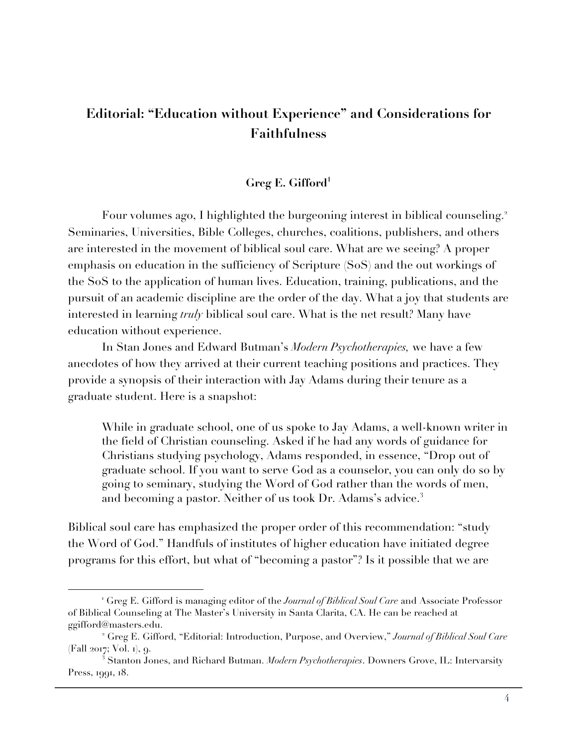# **Editorial: "Education without Experience" and Considerations for Faithfulness**

# **Greg E. Gifford1**

Four volumes ago, I highlighted the burgeoning interest in biblical counseling.<sup>2</sup> Seminaries, Universities, Bible Colleges, churches, coalitions, publishers, and others are interested in the movement of biblical soul care. What are we seeing? A proper emphasis on education in the sufficiency of Scripture (SoS) and the out workings of the SoS to the application of human lives. Education, training, publications, and the pursuit of an academic discipline are the order of the day. What a joy that students are interested in learning *truly* biblical soul care. What is the net result? Many have education without experience.

In Stan Jones and Edward Butman's *Modern Psychotherapies,* we have a few anecdotes of how they arrived at their current teaching positions and practices. They provide a synopsis of their interaction with Jay Adams during their tenure as a graduate student. Here is a snapshot:

While in graduate school, one of us spoke to Jay Adams, a well-known writer in the field of Christian counseling. Asked if he had any words of guidance for Christians studying psychology, Adams responded, in essence, "Drop out of graduate school. If you want to serve God as a counselor, you can only do so by going to seminary, studying the Word of God rather than the words of men, and becoming a pastor. Neither of us took Dr. Adams's advice.<sup>3</sup>

Biblical soul care has emphasized the proper order of this recommendation: "study the Word of God." Handfuls of institutes of higher education have initiated degree programs for this effort, but what of "becoming a pastor"? Is it possible that we are

<sup>1</sup> Greg E. Gifford is managing editor of the *Journal of Biblical Soul Care* and Associate Professor of Biblical Counseling at The Master's University in Santa Clarita, CA. He can be reached at ggifford@masters.edu.

<sup>2</sup> Greg E. Gifford, "Editorial: Introduction, Purpose, and Overview," *Journal of Biblical Soul Care* (Fall 2017; Vol. 1), 9.

 $^3$  Stanton Jones, and Richard Butman. *Modern Psychotherapies*. Downers Grove, IL: Intervarsity Press, 1991, 18.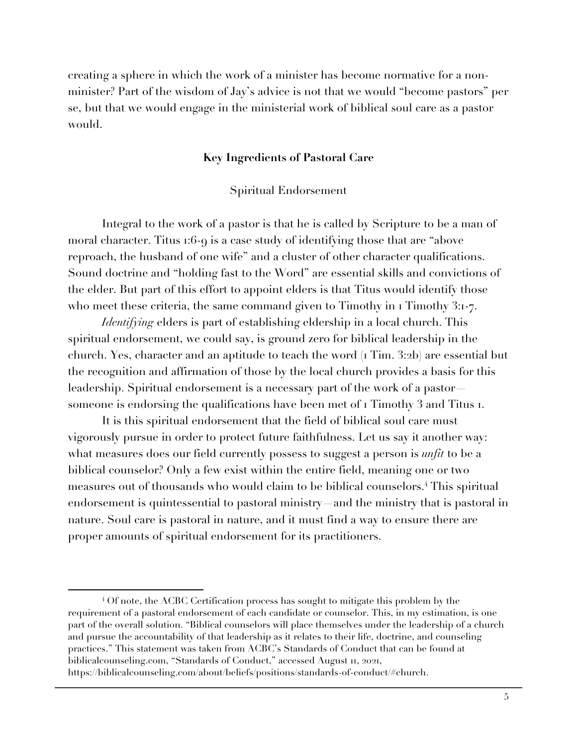creating a sphere in which the work of a minister has become normative for a nonminister? Part of the wisdom of Jay's advice is not that we would "become pastors" per se, but that we would engage in the ministerial work of biblical soul care as a pastor would.

### **Key Ingredients of Pastoral Care**

Spiritual Endorsement

Integral to the work of a pastor is that he is called by Scripture to be a man of moral character. Titus 1:6-9 is a case study of identifying those that are "above reproach, the husband of one wife" and a cluster of other character qualifications. Sound doctrine and "holding fast to the Word" are essential skills and convictions of the elder. But part of this effort to appoint elders is that Titus would identify those who meet these criteria, the same command given to Timothy in 1 Timothy 3:1-7.

*Identifying* elders is part of establishing eldership in a local church. This spiritual endorsement, we could say, is ground zero for biblical leadership in the church. Yes, character and an aptitude to teach the word (1 Tim. 3:2b) are essential but the recognition and affirmation of those by the local church provides a basis for this leadership. Spiritual endorsement is a necessary part of the work of a pastor someone is endorsing the qualifications have been met of  $\iota$  Timothy 3 and Titus  $\iota$ .

It is this spiritual endorsement that the field of biblical soul care must vigorously pursue in order to protect future faithfulness. Let us say it another way: what measures does our field currently possess to suggest a person is *unfit* to be a biblical counselor? Only a few exist within the entire field, meaning one or two measures out of thousands who would claim to be biblical counselors. <sup>4</sup> This spiritual endorsement is quintessential to pastoral ministry—and the ministry that is pastoral in nature. Soul care is pastoral in nature, and it must find a way to ensure there are proper amounts of spiritual endorsement for its practitioners.

<sup>4</sup> Of note, the ACBC Certification process has sought to mitigate this problem by the requirement of a pastoral endorsement of each candidate or counselor. This, in my estimation, is one part of the overall solution. "Biblical counselors will place themselves under the leadership of a church and pursue the accountability of that leadership as it relates to their life, doctrine, and counseling practices." This statement was taken from ACBC's Standards of Conduct that can be found at biblicalcounseling.com, "Standards of Conduct," accessed August 11, 2021, https://biblicalcounseling.com/about/beliefs/positions/standards-of-conduct/#church.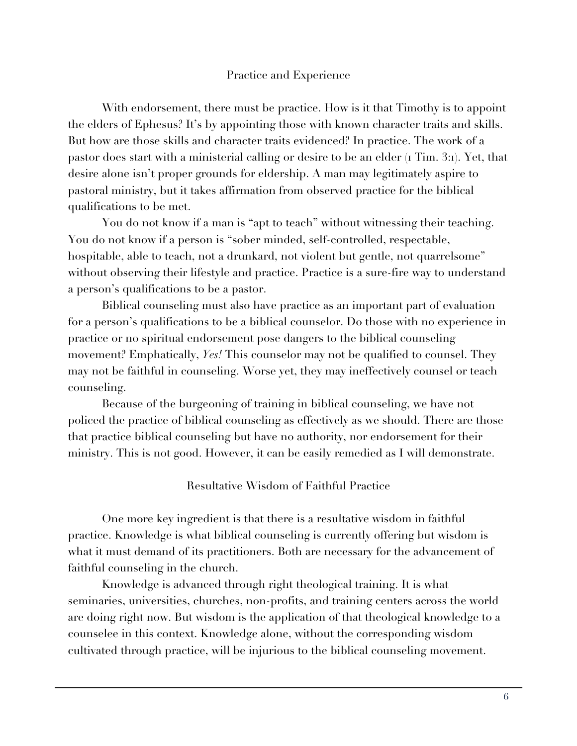# Practice and Experience

With endorsement, there must be practice. How is it that Timothy is to appoint the elders of Ephesus? It's by appointing those with known character traits and skills. But how are those skills and character traits evidenced? In practice. The work of a pastor does start with a ministerial calling or desire to be an elder (1 Tim. 3:1). Yet, that desire alone isn't proper grounds for eldership. A man may legitimately aspire to pastoral ministry, but it takes affirmation from observed practice for the biblical qualifications to be met.

You do not know if a man is "apt to teach" without witnessing their teaching. You do not know if a person is "sober minded, self-controlled, respectable, hospitable, able to teach, not a drunkard, not violent but gentle, not quarrelsome" without observing their lifestyle and practice. Practice is a sure-fire way to understand a person's qualifications to be a pastor.

Biblical counseling must also have practice as an important part of evaluation for a person's qualifications to be a biblical counselor. Do those with no experience in practice or no spiritual endorsement pose dangers to the biblical counseling movement? Emphatically, *Yes!* This counselor may not be qualified to counsel. They may not be faithful in counseling. Worse yet, they may ineffectively counsel or teach counseling.

Because of the burgeoning of training in biblical counseling, we have not policed the practice of biblical counseling as effectively as we should. There are those that practice biblical counseling but have no authority, nor endorsement for their ministry. This is not good. However, it can be easily remedied as I will demonstrate.

## Resultative Wisdom of Faithful Practice

One more key ingredient is that there is a resultative wisdom in faithful practice. Knowledge is what biblical counseling is currently offering but wisdom is what it must demand of its practitioners. Both are necessary for the advancement of faithful counseling in the church.

Knowledge is advanced through right theological training. It is what seminaries, universities, churches, non-profits, and training centers across the world are doing right now. But wisdom is the application of that theological knowledge to a counselee in this context. Knowledge alone, without the corresponding wisdom cultivated through practice, will be injurious to the biblical counseling movement.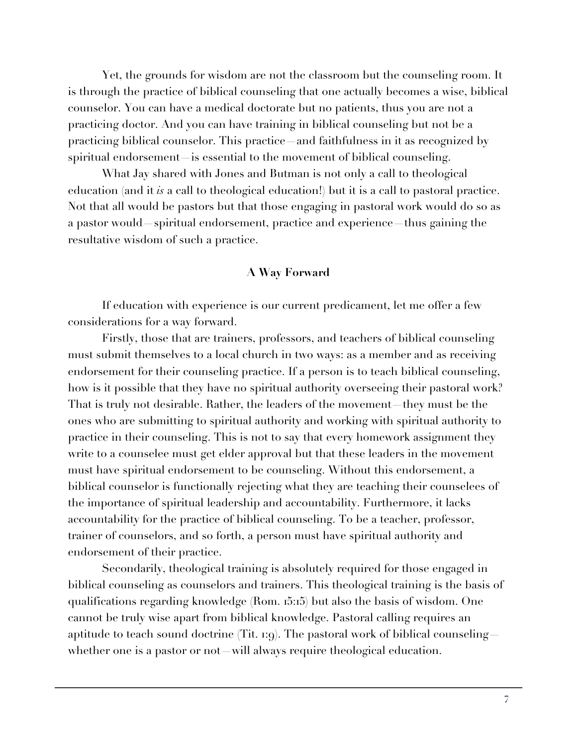Yet, the grounds for wisdom are not the classroom but the counseling room. It is through the practice of biblical counseling that one actually becomes a wise, biblical counselor. You can have a medical doctorate but no patients, thus you are not a practicing doctor. And you can have training in biblical counseling but not be a practicing biblical counselor. This practice—and faithfulness in it as recognized by spiritual endorsement—is essential to the movement of biblical counseling.

What Jay shared with Jones and Butman is not only a call to theological education (and it *is* a call to theological education!) but it is a call to pastoral practice. Not that all would be pastors but that those engaging in pastoral work would do so as a pastor would—spiritual endorsement, practice and experience—thus gaining the resultative wisdom of such a practice.

#### **A Way Forward**

If education with experience is our current predicament, let me offer a few considerations for a way forward.

Firstly, those that are trainers, professors, and teachers of biblical counseling must submit themselves to a local church in two ways: as a member and as receiving endorsement for their counseling practice. If a person is to teach biblical counseling, how is it possible that they have no spiritual authority overseeing their pastoral work? That is truly not desirable. Rather, the leaders of the movement—they must be the ones who are submitting to spiritual authority and working with spiritual authority to practice in their counseling. This is not to say that every homework assignment they write to a counselee must get elder approval but that these leaders in the movement must have spiritual endorsement to be counseling. Without this endorsement, a biblical counselor is functionally rejecting what they are teaching their counselees of the importance of spiritual leadership and accountability. Furthermore, it lacks accountability for the practice of biblical counseling. To be a teacher, professor, trainer of counselors, and so forth, a person must have spiritual authority and endorsement of their practice.

Secondarily, theological training is absolutely required for those engaged in biblical counseling as counselors and trainers. This theological training is the basis of qualifications regarding knowledge (Rom. 15:15) but also the basis of wisdom. One cannot be truly wise apart from biblical knowledge. Pastoral calling requires an aptitude to teach sound doctrine (Tit.  $r:g$ ). The pastoral work of biblical counseling whether one is a pastor or not—will always require theological education.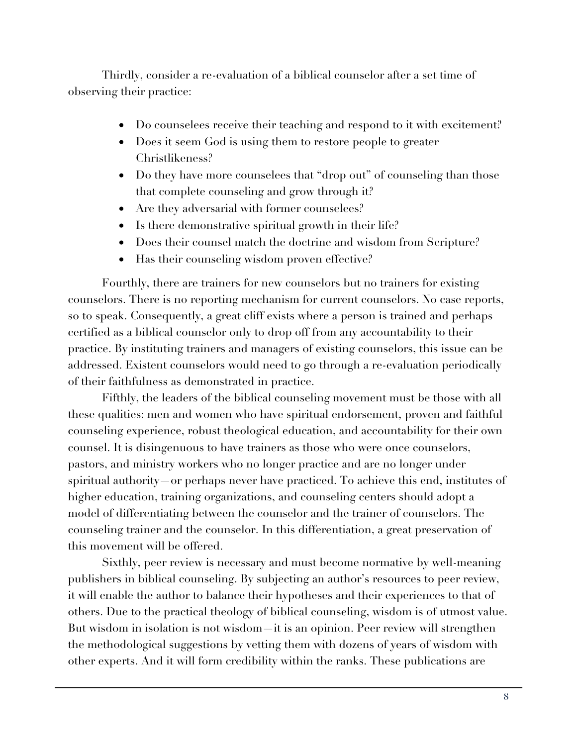Thirdly, consider a re-evaluation of a biblical counselor after a set time of observing their practice:

- Do counselees receive their teaching and respond to it with excitement?
- Does it seem God is using them to restore people to greater Christlikeness?
- Do they have more counselees that "drop out" of counseling than those that complete counseling and grow through it?
- Are they adversarial with former counselees?
- Is there demonstrative spiritual growth in their life?
- Does their counsel match the doctrine and wisdom from Scripture?
- Has their counseling wisdom proven effective?

Fourthly, there are trainers for new counselors but no trainers for existing counselors. There is no reporting mechanism for current counselors. No case reports, so to speak. Consequently, a great cliff exists where a person is trained and perhaps certified as a biblical counselor only to drop off from any accountability to their practice. By instituting trainers and managers of existing counselors, this issue can be addressed. Existent counselors would need to go through a re-evaluation periodically of their faithfulness as demonstrated in practice.

Fifthly, the leaders of the biblical counseling movement must be those with all these qualities: men and women who have spiritual endorsement, proven and faithful counseling experience, robust theological education, and accountability for their own counsel. It is disingenuous to have trainers as those who were once counselors, pastors, and ministry workers who no longer practice and are no longer under spiritual authority—or perhaps never have practiced. To achieve this end, institutes of higher education, training organizations, and counseling centers should adopt a model of differentiating between the counselor and the trainer of counselors. The counseling trainer and the counselor. In this differentiation, a great preservation of this movement will be offered.

Sixthly, peer review is necessary and must become normative by well-meaning publishers in biblical counseling. By subjecting an author's resources to peer review, it will enable the author to balance their hypotheses and their experiences to that of others. Due to the practical theology of biblical counseling, wisdom is of utmost value. But wisdom in isolation is not wisdom—it is an opinion. Peer review will strengthen the methodological suggestions by vetting them with dozens of years of wisdom with other experts. And it will form credibility within the ranks. These publications are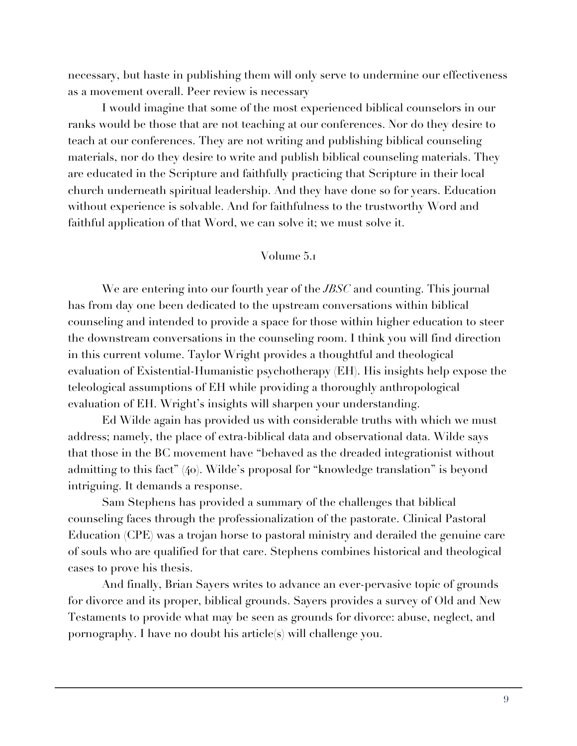necessary, but haste in publishing them will only serve to undermine our effectiveness as a movement overall. Peer review is necessary

I would imagine that some of the most experienced biblical counselors in our ranks would be those that are not teaching at our conferences. Nor do they desire to teach at our conferences. They are not writing and publishing biblical counseling materials, nor do they desire to write and publish biblical counseling materials. They are educated in the Scripture and faithfully practicing that Scripture in their local church underneath spiritual leadership. And they have done so for years. Education without experience is solvable. And for faithfulness to the trustworthy Word and faithful application of that Word, we can solve it; we must solve it.

## Volume 5.1

We are entering into our fourth year of the *JBSC* and counting. This journal has from day one been dedicated to the upstream conversations within biblical counseling and intended to provide a space for those within higher education to steer the downstream conversations in the counseling room. I think you will find direction in this current volume. Taylor Wright provides a thoughtful and theological evaluation of Existential-Humanistic psychotherapy (EH). His insights help expose the teleological assumptions of EH while providing a thoroughly anthropological evaluation of EH. Wright's insights will sharpen your understanding.

Ed Wilde again has provided us with considerable truths with which we must address; namely, the place of extra-biblical data and observational data. Wilde says that those in the BC movement have "behaved as the dreaded integrationist without admitting to this fact" (40). Wilde's proposal for "knowledge translation" is beyond intriguing. It demands a response.

Sam Stephens has provided a summary of the challenges that biblical counseling faces through the professionalization of the pastorate. Clinical Pastoral Education (CPE) was a trojan horse to pastoral ministry and derailed the genuine care of souls who are qualified for that care. Stephens combines historical and theological cases to prove his thesis.

And finally, Brian Sayers writes to advance an ever-pervasive topic of grounds for divorce and its proper, biblical grounds. Sayers provides a survey of Old and New Testaments to provide what may be seen as grounds for divorce: abuse, neglect, and pornography. I have no doubt his article(s) will challenge you.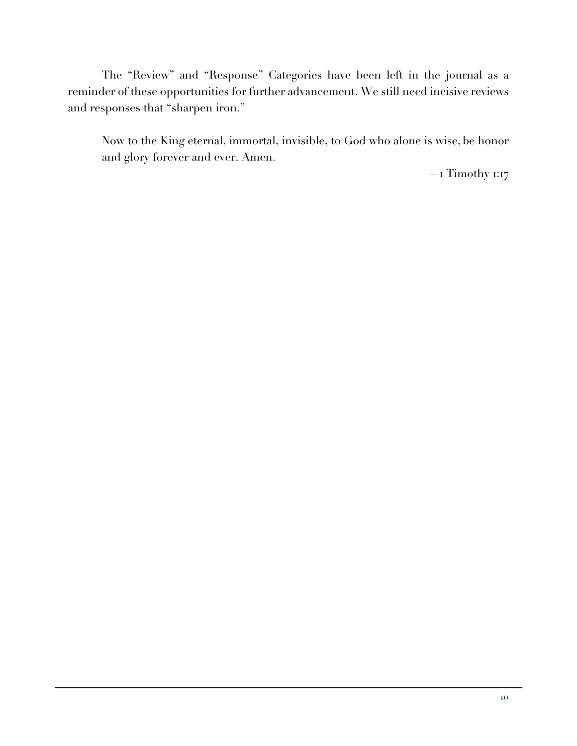The "Review" and "Response" Categories have been left in the journal as a reminder of these opportunities for further advancement. We still need incisive reviews and responses that "sharpen iron."

Now to the King eternal, immortal, invisible, to God who alone is wise, be honor and glory forever and ever. Amen.

—1 Timothy 1:17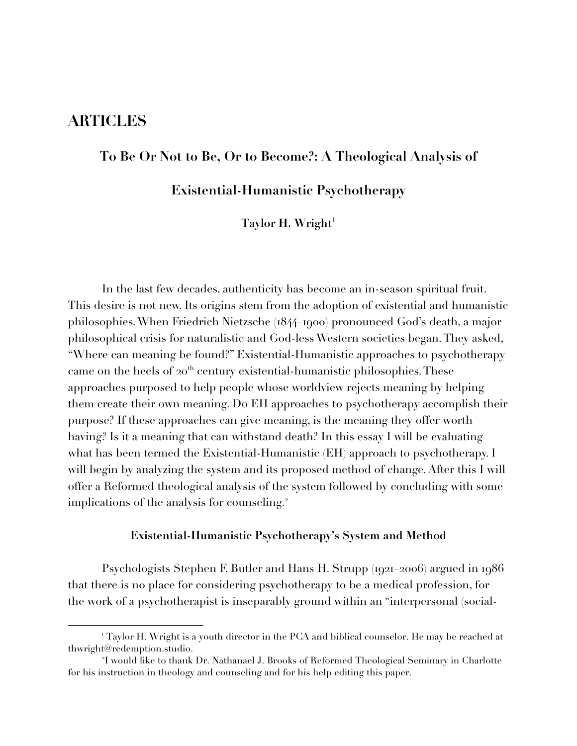# **ARTICLES**

# **To Be Or Not to Be, Or to Become?: A Theological Analysis of**

**Existential-Humanistic Psychotherapy**

Taylor H. Wright<sup>1</sup>

In the last few decades, authenticity has become an in-season spiritual fruit. This desire is not new. Its origins stem from the adoption of existential and humanistic philosophies. When Friedrich Nietzsche (1844–1900) pronounced God's death, a major philosophical crisis for naturalistic and God-less Western societies began. They asked, "Where can meaning be found?" Existential-Humanistic approaches to psychotherapy came on the heels of  $20<sup>th</sup>$  century existential-humanistic philosophies. These approaches purposed to help people whose worldview rejects meaning by helping them create their own meaning. Do EH approaches to psychotherapy accomplish their purpose? If these approaches can give meaning, is the meaning they offer worth having? Is it a meaning that can withstand death? In this essay I will be evaluating what has been termed the Existential-Humanistic (EH) approach to psychotherapy. I will begin by analyzing the system and its proposed method of change. After this I will offer a Reformed theological analysis of the system followed by concluding with some implications of the analysis for counseling.<sup>2</sup>

#### **Existential-Humanistic Psychotherapy's System and Method**

Psychologists Stephen F. Butler and Hans H. Strupp (1921–2006) argued in 1986 that there is no place for considering psychotherapy to be a medical profession, for the work of a psychotherapist is inseparably ground within an "interpersonal (social-

<sup>&</sup>lt;sup>1</sup> Taylor H. Wright is a youth director in the PCA and biblical counselor. He may be reached at thwright@redemption.studio.

<sup>2</sup> I would like to thank Dr. Nathanael J. Brooks of Reformed Theological Seminary in Charlotte for his instruction in theology and counseling and for his help editing this paper.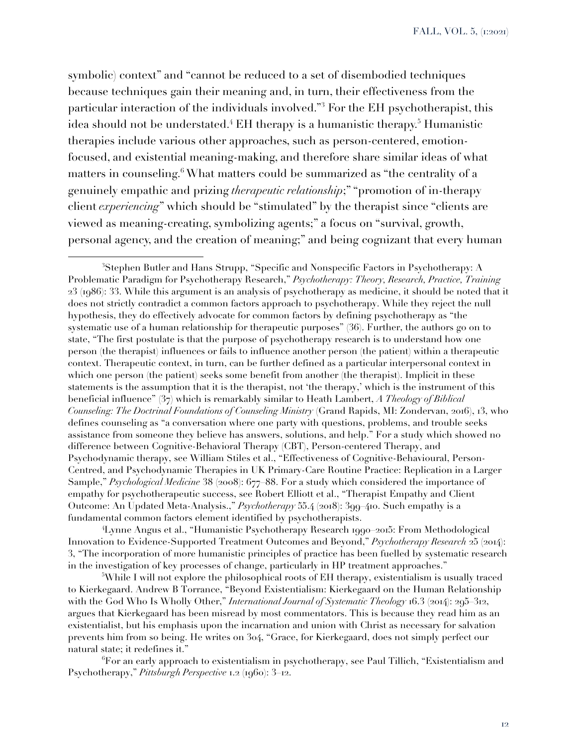symbolic) context" and "cannot be reduced to a set of disembodied techniques because techniques gain their meaning and, in turn, their effectiveness from the particular interaction of the individuals involved."<sup>3</sup> For the EH psychotherapist, this idea should not be understated.<sup>4</sup> EH therapy is a humanistic therapy.<sup>5</sup> Humanistic therapies include various other approaches, such as person-centered, emotionfocused, and existential meaning-making, and therefore share similar ideas of what matters in counseling.<sup>6</sup> What matters could be summarized as "the centrality of a genuinely empathic and prizing *therapeutic relationship*;" "promotion of in-therapy client *experiencing*" which should be "stimulated" by the therapist since "clients are viewed as meaning-creating, symbolizing agents;" a focus on "survival, growth, personal agency, and the creation of meaning;" and being cognizant that every human

4 Lynne Angus et al., "Humanistic Psychotherapy Research 1990–2015: From Methodological Innovation to Evidence-Supported Treatment Outcomes and Beyond," *Psychotherapy Research* 25 (2014): 3, "The incorporation of more humanistic principles of practice has been fuelled by systematic research in the investigation of key processes of change, particularly in HP treatment approaches."

 $5$ While I will not explore the philosophical roots of EH therapy, existentialism is usually traced to Kierkegaard. Andrew B Torrance, "Beyond Existentialism: Kierkegaard on the Human Relationship with the God Who Is Wholly Other," *International Journal of Systematic Theology* 16.3 (2014): 295–312, argues that Kierkegaard has been misread by most commentators. This is because they read him as an existentialist, but his emphasis upon the incarnation and union with Christ as necessary for salvation prevents him from so being. He writes on 304, "Grace, for Kierkegaard, does not simply perfect our natural state; it redefines it."

 $\mathrm{^6}$ For an early approach to existentialism in psychotherapy, see Paul Tillich, "Existentialism and Psychotherapy," *Pittsburgh Perspective* 1.2 (1960): 3–12.

 ${}^{3}$ Stephen Butler and Hans Strupp, "Specific and Nonspecific Factors in Psychotherapy: A Problematic Paradigm for Psychotherapy Research," *Psychotherapy: Theory, Research, Practice, Training* 23 (1986): 33. While this argument is an analysis of psychotherapy as medicine, it should be noted that it does not strictly contradict a common factors approach to psychotherapy. While they reject the null hypothesis, they do effectively advocate for common factors by defining psychotherapy as "the systematic use of a human relationship for therapeutic purposes" (36). Further, the authors go on to state, "The first postulate is that the purpose of psychotherapy research is to understand how one person (the therapist) influences or fails to influence another person (the patient) within a therapeutic context. Therapeutic context, in turn, can be further defined as a particular interpersonal context in which one person (the patient) seeks some benefit from another (the therapist). Implicit in these statements is the assumption that it is the therapist, not 'the therapy,' which is the instrument of this beneficial influence" (37) which is remarkably similar to Heath Lambert, *A Theology of Biblical Counseling: The Doctrinal Foundations of Counseling Ministry* (Grand Rapids, MI: Zondervan, 2016), 13, who defines counseling as "a conversation where one party with questions, problems, and trouble seeks assistance from someone they believe has answers, solutions, and help." For a study which showed no difference between Cognitive-Behavioral Therapy (CBT), Person-centered Therapy, and Psychodynamic therapy, see William Stiles et al., "Effectiveness of Cognitive-Behavioural, Person-Centred, and Psychodynamic Therapies in UK Primary-Care Routine Practice: Replication in a Larger Sample," *Psychological Medicine* 38 (2008): 677–88. For a study which considered the importance of empathy for psychotherapeutic success, see Robert Elliott et al., "Therapist Empathy and Client Outcome: An Updated Meta-Analysis.," *Psychotherapy* 55.4 (2018): 399–410. Such empathy is a fundamental common factors element identified by psychotherapists.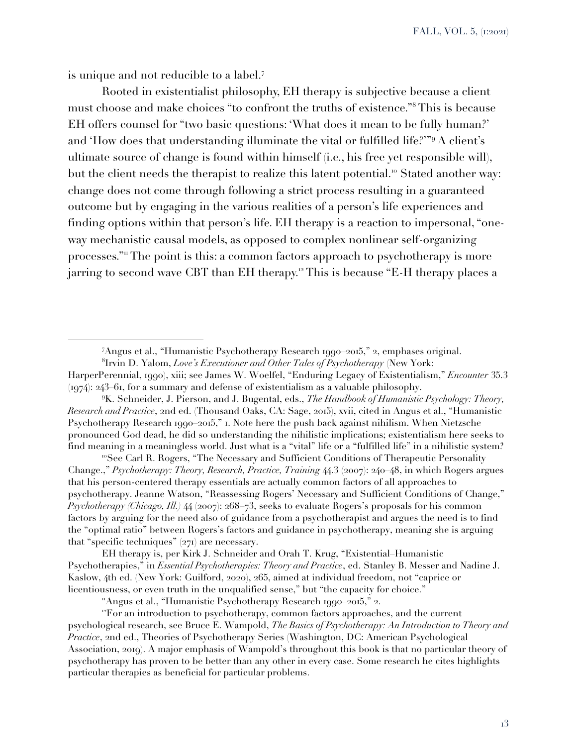FALL, VOL. 5, (1:2021)

is unique and not reducible to a label.<sup>7</sup>

Rooted in existentialist philosophy, EH therapy is subjective because a client must choose and make choices "to confront the truths of existence."<sup>8</sup> This is because EH offers counsel for "two basic questions: 'What does it mean to be fully human?' and 'How does that understanding illuminate the vital or fulfilled life?'"<sup>9</sup> A client's ultimate source of change is found within himself (i.e., his free yet responsible will), but the client needs the therapist to realize this latent potential.<sup>10</sup> Stated another way: change does not come through following a strict process resulting in a guaranteed outcome but by engaging in the various realities of a person's life experiences and finding options within that person's life. EH therapy is a reaction to impersonal, "oneway mechanistic causal models, as opposed to complex nonlinear self-organizing processes."<sup>11</sup> The point is this: a common factors approach to psychotherapy is more jarring to second wave CBT than EH therapy.<sup>12</sup> This is because "E-H therapy places a

<sup>10</sup>See Carl R. Rogers, "The Necessary and Sufficient Conditions of Therapeutic Personality Change.," *Psychotherapy: Theory, Research, Practice, Training* 44.3 (2007): 240–48, in which Rogers argues that his person-centered therapy essentials are actually common factors of all approaches to psychotherapy. Jeanne Watson, "Reassessing Rogers' Necessary and Sufficient Conditions of Change," *Psychotherapy (Chicago, Ill.)* 44 (2007): 268–73, seeks to evaluate Rogers's proposals for his common factors by arguing for the need also of guidance from a psychotherapist and argues the need is to find the "optimal ratio" between Rogers's factors and guidance in psychotherapy, meaning she is arguing that "specific techniques" (271) are necessary.

EH therapy is, per Kirk J. Schneider and Orah T. Krug, "Existential–Humanistic Psychotherapies," in *Essential Psychotherapies: Theory and Practice*, ed. Stanley B. Messer and Nadine J. Kaslow, 4th ed. (New York: Guilford, 2020), 265, aimed at individual freedom, not "caprice or licentiousness, or even truth in the unqualified sense," but "the capacity for choice."

"Angus et al., "Humanistic Psychotherapy Research 1990–2015," 2.

 $P$ For an introduction to psychotherapy, common factors approaches, and the current psychological research, see Bruce E. Wampold, *The Basics of Psychotherapy: An Introduction to Theory and Practice*, 2nd ed., Theories of Psychotherapy Series (Washington, DC: American Psychological Association, 2019). A major emphasis of Wampold's throughout this book is that no particular theory of psychotherapy has proven to be better than any other in every case. Some research he cites highlights particular therapies as beneficial for particular problems.

<sup>7</sup> Angus et al., "Humanistic Psychotherapy Research 1990–2015," 2, emphases original.

<sup>8</sup> Irvin D. Yalom, *Love's Executioner and Other Tales of Psychotherapy* (New York:

HarperPerennial, 1990), xiii; see James W. Woelfel, "Enduring Legacy of Existentialism," *Encounter* 35.3  $(1974)$ : 243–61, for a summary and defense of existentialism as a valuable philosophy.

<sup>9</sup> K. Schneider, J. Pierson, and J. Bugental, eds., *The Handbook of Humanistic Psychology: Theory, Research and Practice*, 2nd ed. (Thousand Oaks, CA: Sage, 2015), xvii, cited in Angus et al., "Humanistic Psychotherapy Research 1990–2015," 1. Note here the push back against nihilism. When Nietzsche pronounced God dead, he did so understanding the nihilistic implications; existentialism here seeks to find meaning in a meaningless world. Just what is a "vital" life or a "fulfilled life" in a nihilistic system?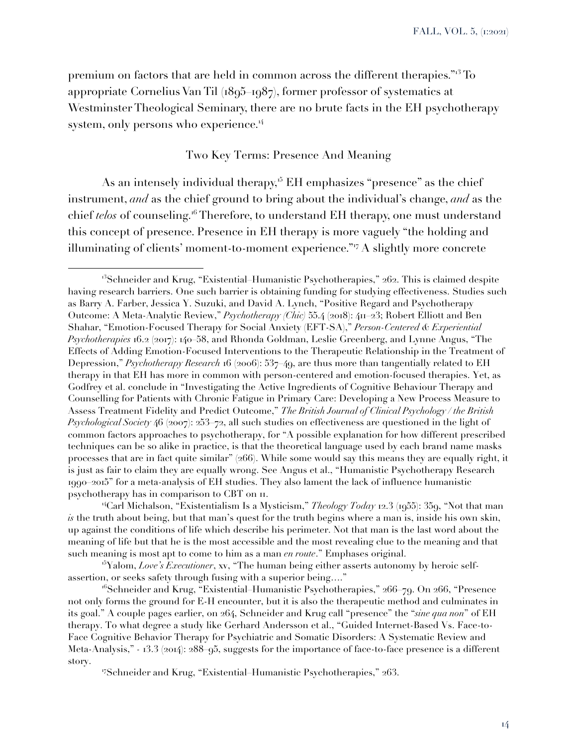premium on factors that are held in common across the different therapies."<sup>13</sup> To appropriate Cornelius Van Til (1895–1987), former professor of systematics at Westminster Theological Seminary, there are no brute facts in the EH psychotherapy system, only persons who experience. $4$ 

# Two Key Terms: Presence And Meaning

As an intensely individual therapy,<sup>15</sup> EH emphasizes "presence" as the chief instrument, *and* as the chief ground to bring about the individual's change, *and* as the chief *telos* of counseling.<sup>16</sup> Therefore, to understand EH therapy, one must understand this concept of presence. Presence in EH therapy is more vaguely "the holding and illuminating of clients' moment-to-moment experience."<sup>17</sup> A slightly more concrete

<sup>&</sup>lt;sup>3</sup>Schneider and Krug, "Existential–Humanistic Psychotherapies," 262. This is claimed despite having research barriers. One such barrier is obtaining funding for studying effectiveness. Studies such as Barry A. Farber, Jessica Y. Suzuki, and David A. Lynch, "Positive Regard and Psychotherapy Outcome: A Meta-Analytic Review," *Psychotherapy (Chic)* 55.4 (2018): 411–23; Robert Elliott and Ben Shahar, "Emotion-Focused Therapy for Social Anxiety (EFT-SA)," *Person-Centered & Experiential Psychotherapies* 16.2 (2017): 140–58, and Rhonda Goldman, Leslie Greenberg, and Lynne Angus, "The Effects of Adding Emotion-Focused Interventions to the Therapeutic Relationship in the Treatment of Depression," *Psychotherapy Research* 16 (2006): 537–49, are thus more than tangentially related to EH therapy in that EH has more in common with person-centered and emotion-focused therapies. Yet, as Godfrey et al. conclude in "Investigating the Active Ingredients of Cognitive Behaviour Therapy and Counselling for Patients with Chronic Fatigue in Primary Care: Developing a New Process Measure to Assess Treatment Fidelity and Predict Outcome," *The British Journal of Clinical Psychology / the British Psychological Society* 46 (2007): 253–72, all such studies on effectiveness are questioned in the light of common factors approaches to psychotherapy, for "A possible explanation for how different prescribed techniques can be so alike in practice, is that the theoretical language used by each brand name masks processes that are in fact quite similar" (266). While some would say this means they are equally right, it is just as fair to claim they are equally wrong. See Angus et al., "Humanistic Psychotherapy Research 1990–2015" for a meta-analysis of EH studies. They also lament the lack of influence humanistic psychotherapy has in comparison to CBT on 11.

<sup>14</sup>Carl Michalson, "Existentialism Is a Mysticism," *Theology Today* 12.3 (1955): 359, "Not that man *is* the truth about being, but that man's quest for the truth begins where a man is, inside his own skin, up against the conditions of life which describe his perimeter. Not that man is the last word about the meaning of life but that he is the most accessible and the most revealing clue to the meaning and that such meaning is most apt to come to him as a man *en route*." Emphases original.

<sup>15</sup>Yalom, *Love's Executioner*, xv, "The human being either asserts autonomy by heroic selfassertion, or seeks safety through fusing with a superior being…."

 $16$ Schneider and Krug, "Existential–Humanistic Psychotherapies," 266–79. On 266, "Presence not only forms the ground for E-H encounter, but it is also the therapeutic method and culminates in its goal." A couple pages earlier, on 264, Schneider and Krug call "presence" the "*sine qua non*" of EH therapy. To what degree a study like Gerhard Andersson et al., "Guided Internet-Based Vs. Face-to-Face Cognitive Behavior Therapy for Psychiatric and Somatic Disorders: A Systematic Review and Meta-Analysis," *-* 13.3 (2014): 288–95, suggests for the importance of face-to-face presence is a different story.

<sup>17</sup>Schneider and Krug, "Existential–Humanistic Psychotherapies," 263.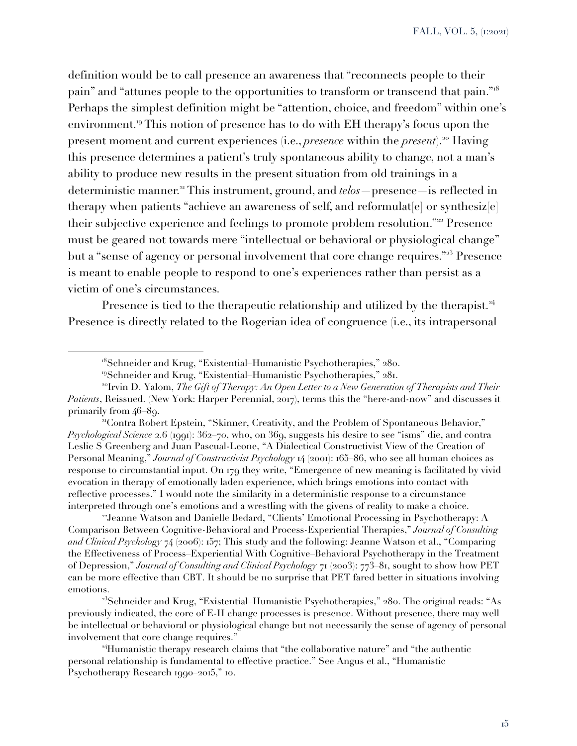definition would be to call presence an awareness that "reconnects people to their pain" and "attunes people to the opportunities to transform or transcend that pain."<sup>18</sup> Perhaps the simplest definition might be "attention, choice, and freedom" within one's environment.<sup>19</sup> This notion of presence has to do with EH therapy's focus upon the present moment and current experiences (i.e., *presence* within the *present*).<sup>20</sup> Having this presence determines a patient's truly spontaneous ability to change, not a man's ability to produce new results in the present situation from old trainings in a deterministic manner.<sup>21</sup> This instrument, ground, and *telos* presence is reflected in therapy when patients "achieve an awareness of self, and reformulat  $[e]$  or synthesiz $[e]$ their subjective experience and feelings to promote problem resolution."<sup>22</sup> Presence must be geared not towards mere "intellectual or behavioral or physiological change" but a "sense of agency or personal involvement that core change requires."<sup>23</sup> Presence is meant to enable people to respond to one's experiences rather than persist as a victim of one's circumstances.

Presence is tied to the therapeutic relationship and utilized by the therapist.<sup>24</sup> Presence is directly related to the Rogerian idea of congruence (i.e., its intrapersonal

<sup>21</sup>Contra Robert Epstein, "Skinner, Creativity, and the Problem of Spontaneous Behavior," *Psychological Science* 2.6 (1991): 362–70, who, on 369, suggests his desire to see "isms" die, and contra Leslie S Greenberg and Juan Pascual-Leone, "A Dialectical Constructivist View of the Creation of Personal Meaning," *Journal of Constructivist Psychology* 14 (2001): 165–86, who see all human choices as response to circumstantial input. On 179 they write, "Emergence of new meaning is facilitated by vivid evocation in therapy of emotionally laden experience, which brings emotions into contact with reflective processes." I would note the similarity in a deterministic response to a circumstance interpreted through one's emotions and a wrestling with the givens of reality to make a choice.

<sup>22</sup>Jeanne Watson and Danielle Bedard, "Clients' Emotional Processing in Psychotherapy: A Comparison Between Cognitive-Behavioral and Process-Experiential Therapies," *Journal of Consulting and Clinical Psychology* 74 (2006): 157; This study and the following: Jeanne Watson et al., "Comparing the Effectiveness of Process–Experiential With Cognitive–Behavioral Psychotherapy in the Treatment of Depression," *Journal of Consulting and Clinical Psychology* 71 (2003): 773–81, sought to show how PET can be more effective than CBT. It should be no surprise that PET fared better in situations involving emotions.

<sup>23</sup>Schneider and Krug, "Existential–Humanistic Psychotherapies," 280. The original reads: "As previously indicated, the core of E-H change processes is presence. Without presence, there may well be intellectual or behavioral or physiological change but not necessarily the sense of agency of personal involvement that core change requires."

<sup>24</sup>Humanistic therapy research claims that "the collaborative nature" and "the authentic personal relationship is fundamental to effective practice." See Angus et al., "Humanistic Psychotherapy Research 1990–2015," 10.

<sup>&</sup>lt;sup>18</sup>Schneider and Krug, "Existential–Humanistic Psychotherapies," 280.

<sup>19</sup>Schneider and Krug, "Existential–Humanistic Psychotherapies," 281.

<sup>&</sup>lt;sup>20</sup>Irvin D. Yalom, *The Gift of Therapy: An Open Letter to a New Generation of Therapists and Their Patients*, Reissued. (New York: Harper Perennial, 2017), terms this the "here-and-now" and discusses it primarily from 46–89.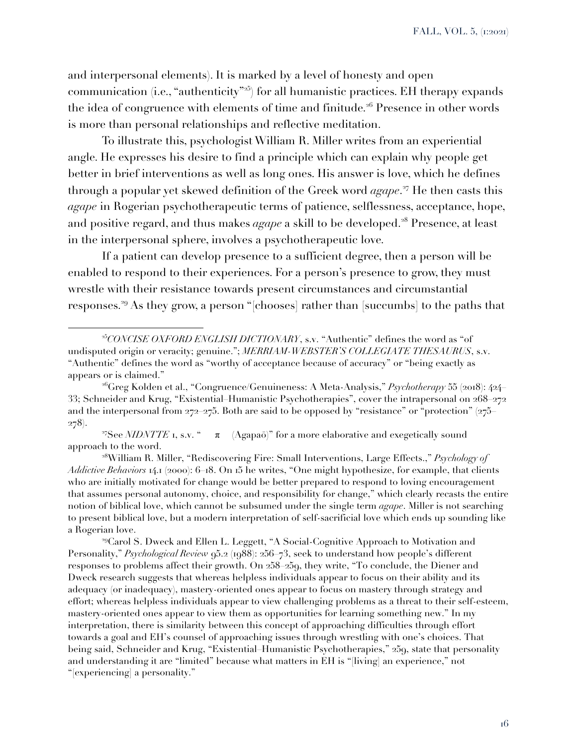and interpersonal elements). It is marked by a level of honesty and open communication (i.e., "authenticity"<sup>25</sup>) for all humanistic practices. EH therapy expands the idea of congruence with elements of time and finitude.<sup>26</sup> Presence in other words is more than personal relationships and reflective meditation.

To illustrate this, psychologist William R. Miller writes from an experiential angle. He expresses his desire to find a principle which can explain why people get better in brief interventions as well as long ones. His answer is love, which he defines through a popular yet skewed definition of the Greek word *agape*. <sup>27</sup> He then casts this *agape* in Rogerian psychotherapeutic terms of patience, selflessness, acceptance, hope, and positive regard, and thus makes *agape* a skill to be developed.<sup>28</sup> Presence, at least in the interpersonal sphere, involves a psychotherapeutic love.

If a patient can develop presence to a sufficient degree, then a person will be enabled to respond to their experiences. For a person's presence to grow, they must wrestle with their resistance towards present circumstances and circumstantial responses.<sup>29</sup> As they grow, a person "[chooses] rather than [succumbs] to the paths that

<sup>27</sup>See *NIDNTTE* 1, s.v. " $\pi$  (Agapaō)" for a more elaborative and exegetically sound approach to the word.

<sup>28</sup>William R. Miller, "Rediscovering Fire: Small Interventions, Large Effects.," *Psychology of Addictive Behaviors* 14.1 (2000): 6–18. On 15 he writes, "One might hypothesize, for example, that clients who are initially motivated for change would be better prepared to respond to loving encouragement that assumes personal autonomy, choice, and responsibility for change," which clearly recasts the entire notion of biblical love, which cannot be subsumed under the single term *agape*. Miller is not searching to present biblical love, but a modern interpretation of self-sacrificial love which ends up sounding like a Rogerian love.

<sup>29</sup>Carol S. Dweck and Ellen L. Leggett, "A Social-Cognitive Approach to Motivation and Personality," *Psychological Review* 95.2 (1988): 256–73, seek to understand how people's different responses to problems affect their growth. On 258–259, they write, "To conclude, the Diener and Dweck research suggests that whereas helpless individuals appear to focus on their ability and its adequacy (or inadequacy), mastery-oriented ones appear to focus on mastery through strategy and effort; whereas helpless individuals appear to view challenging problems as a threat to their self-esteem, mastery-oriented ones appear to view them as opportunities for learning something new." In my interpretation, there is similarity between this concept of approaching difficulties through effort towards a goal and EH's counsel of approaching issues through wrestling with one's choices. That being said, Schneider and Krug, "Existential–Humanistic Psychotherapies," 259, state that personality and understanding it are "limited" because what matters in EH is "[living] an experience," not "[experiencing] a personality."

<sup>25</sup>*CONCISE OXFORD ENGLISH DICTIONARY*, s.v. "Authentic" defines the word as "of undisputed origin or veracity; genuine."; *MERRIAM-WEBSTER'S COLLEGIATE THESAURUS*, s.v. "Authentic" defines the word as "worthy of acceptance because of accuracy" or "being exactly as appears or is claimed."

<sup>26</sup>Greg Kolden et al., "Congruence/Genuineness: A Meta-Analysis," *Psychotherapy* 55 (2018): 424– 33; Schneider and Krug, "Existential–Humanistic Psychotherapies", cover the intrapersonal on 268–272 and the interpersonal from  $272-275$ . Both are said to be opposed by "resistance" or "protection" ( $275$ 278).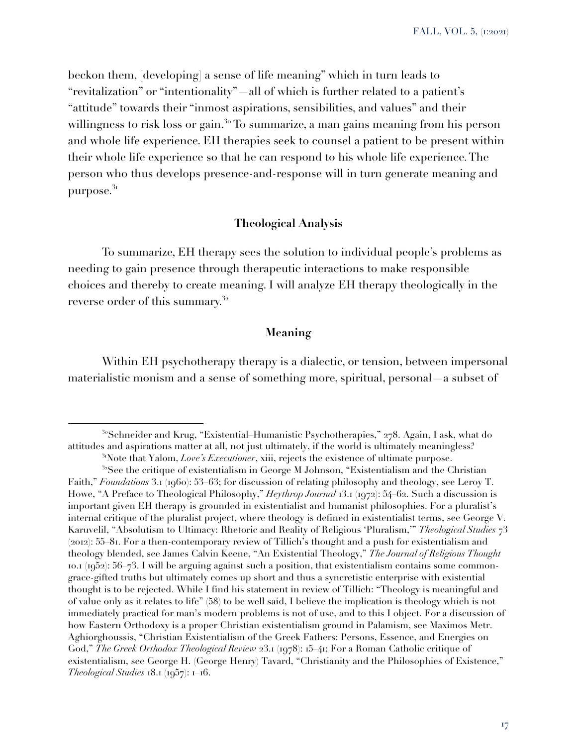beckon them, [developing] a sense of life meaning" which in turn leads to "revitalization" or "intentionality"—all of which is further related to a patient's "attitude" towards their "inmost aspirations, sensibilities, and values" and their willingness to risk loss or gain.<sup>3</sup> To summarize, a man gains meaning from his person and whole life experience. EH therapies seek to counsel a patient to be present within their whole life experience so that he can respond to his whole life experience. The person who thus develops presence-and-response will in turn generate meaning and purpose. $31$ 

# **Theological Analysis**

To summarize, EH therapy sees the solution to individual people's problems as needing to gain presence through therapeutic interactions to make responsible choices and thereby to create meaning. I will analyze EH therapy theologically in the reverse order of this summary.<sup>32</sup>

#### **Meaning**

Within EH psychotherapy therapy is a dialectic, or tension, between impersonal materialistic monism and a sense of something more, spiritual, personal—a subset of

<sup>&</sup>lt;sup>3</sup>°Schneider and Krug, "Existential–Humanistic Psychotherapies," 278. Again, I ask, what do attitudes and aspirations matter at all, not just ultimately, if the world is ultimately meaningless?

<sup>&</sup>lt;sup>31</sup>Note that Yalom, *Love's Executioner*, xiii, rejects the existence of ultimate purpose.

<sup>&</sup>lt;sup>32</sup>See the critique of existentialism in George M Johnson, "Existentialism and the Christian" Faith," *Foundations* 3.1 (1960): 53–63; for discussion of relating philosophy and theology, see Leroy T. Howe, "A Preface to Theological Philosophy," *Heythrop Journal* 13.1 (1972): 54–62. Such a discussion is important given EH therapy is grounded in existentialist and humanist philosophies. For a pluralist's internal critique of the pluralist project, where theology is defined in existentialist terms, see George V. Karuvelil, "Absolutism to Ultimacy: Rhetoric and Reality of Religious 'Pluralism,'" *Theological Studies* 73 (2012): 55–81. For a then-contemporary review of Tillich's thought and a push for existentialism and theology blended, see James Calvin Keene, "An Existential Theology," *The Journal of Religious Thought* 10.1 (1952): 56–73. I will be arguing against such a position, that existentialism contains some commongrace-gifted truths but ultimately comes up short and thus a syncretistic enterprise with existential thought is to be rejected. While I find his statement in review of Tillich: "Theology is meaningful and of value only as it relates to life" (58) to be well said, I believe the implication is theology which is not immediately practical for man's modern problems is not of use, and to this I object. For a discussion of how Eastern Orthodoxy is a proper Christian existentialism ground in Palamism, see Maximos Metr. Aghiorghoussis, "Christian Existentialism of the Greek Fathers: Persons, Essence, and Energies on God," *The Greek Orthodox Theological Review* 23.1 (1978): 15–41; For a Roman Catholic critique of existentialism, see George H. (George Henry) Tavard, "Christianity and the Philosophies of Existence," *Theological Studies* 18.1 (1957): 1–16.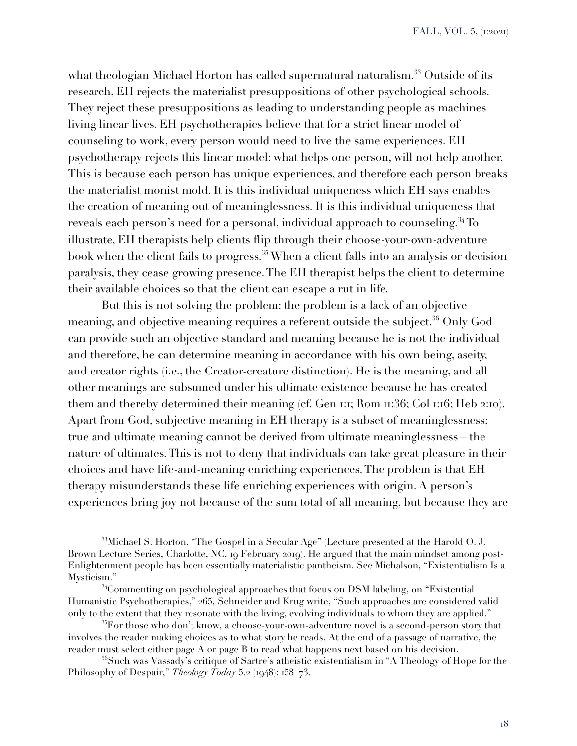what theologian Michael Horton has called supernatural naturalism.<sup>33</sup> Outside of its research, EH rejects the materialist presuppositions of other psychological schools. They reject these presuppositions as leading to understanding people as machines living linear lives. EH psychotherapies believe that for a strict linear model of counseling to work, every person would need to live the same experiences. EH psychotherapy rejects this linear model: what helps one person, will not help another. This is because each person has unique experiences, and therefore each person breaks the materialist monist mold. It is this individual uniqueness which EH says enables the creation of meaning out of meaninglessness. It is this individual uniqueness that reveals each person's need for a personal, individual approach to counseling.<sup>34</sup> To illustrate, EH therapists help clients flip through their choose-your-own-adventure book when the client fails to progress.<sup>35</sup> When a client falls into an analysis or decision paralysis, they cease growing presence. The EH therapist helps the client to determine their available choices so that the client can escape a rut in life.

But this is not solving the problem: the problem is a lack of an objective meaning, and objective meaning requires a referent outside the subject.<sup>36</sup> Only God can provide such an objective standard and meaning because he is not the individual and therefore, he can determine meaning in accordance with his own being, aseity, and creator rights (i.e., the Creator-creature distinction). He is the meaning, and all other meanings are subsumed under his ultimate existence because he has created them and thereby determined their meaning (cf. Gen 1:1; Rom 11:36; Col 1:16; Heb 2:10). Apart from God, subjective meaning in EH therapy is a subset of meaninglessness; true and ultimate meaning cannot be derived from ultimate meaninglessness—the nature of ultimates. This is not to deny that individuals can take great pleasure in their choices and have life-and-meaning enriching experiences. The problem is that EH therapy misunderstands these life enriching experiences with origin. A person's experiences bring joy not because of the sum total of all meaning, but because they are

<sup>33</sup>Michael S. Horton, "The Gospel in a Secular Age" (Lecture presented at the Harold O. J. Brown Lecture Series, Charlotte, NC, 19 February 2019). He argued that the main mindset among post-Enlightenment people has been essentially materialistic pantheism. See Michalson, "Existentialism Is a Mysticism."

<sup>34</sup>Commenting on psychological approaches that focus on DSM labeling, on "Existential– Humanistic Psychotherapies," 265, Schneider and Krug write, "Such approaches are considered valid only to the extent that they resonate with the living, evolving individuals to whom they are applied."

 $\rm{^{35}F}$ or those who don't know, a choose-your-own-adventure novel is a second-person story that involves the reader making choices as to what story he reads. At the end of a passage of narrative, the reader must select either page A or page B to read what happens next based on his decision.

<sup>36</sup>Such was Vassady's critique of Sartre's atheistic existentialism in "A Theology of Hope for the Philosophy of Despair," *Theology Today* 5.2 (1948): 158–73.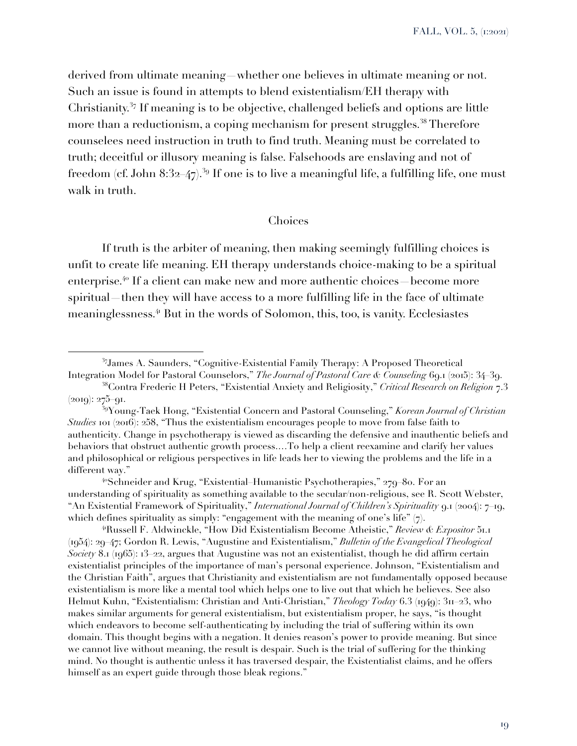derived from ultimate meaning—whether one believes in ultimate meaning or not. Such an issue is found in attempts to blend existentialism/EH therapy with Christianity.<sup>37</sup> If meaning is to be objective, challenged beliefs and options are little more than a reductionism, a coping mechanism for present struggles.<sup>38</sup> Therefore counselees need instruction in truth to find truth. Meaning must be correlated to truth; deceitful or illusory meaning is false. Falsehoods are enslaving and not of freedom (cf. John 8:32–47).<sup>39</sup> If one is to live a meaningful life, a fulfilling life, one must walk in truth.

#### Choices

If truth is the arbiter of meaning, then making seemingly fulfilling choices is unfit to create life meaning. EH therapy understands choice-making to be a spiritual enterprise.<sup>40</sup> If a client can make new and more authentic choices—become more spiritual—then they will have access to a more fulfilling life in the face of ultimate meaninglessness.<sup>41</sup> But in the words of Solomon, this, too, is vanity. Ecclesiastes

<sup>41</sup>Russell F. Aldwinckle, "How Did Existentialism Become Atheistic," *Review & Expositor* 51.1 (1954): 29–47; Gordon R. Lewis, "Augustine and Existentialism," *Bulletin of the Evangelical Theological Society* 8.1 (1965): 13–22, argues that Augustine was not an existentialist, though he did affirm certain existentialist principles of the importance of man's personal experience. Johnson, "Existentialism and the Christian Faith", argues that Christianity and existentialism are not fundamentally opposed because existentialism is more like a mental tool which helps one to live out that which he believes. See also Helmut Kuhn, "Existentialism: Christian and Anti-Christian," *Theology Today* 6.3 (1949): 311–23, who makes similar arguments for general existentialism, but existentialism proper, he says, "is thought which endeavors to become self-authenticating by including the trial of suffering within its own domain. This thought begins with a negation. It denies reason's power to provide meaning. But since we cannot live without meaning, the result is despair. Such is the trial of suffering for the thinking mind. No thought is authentic unless it has traversed despair, the Existentialist claims, and he offers himself as an expert guide through those bleak regions."

<sup>37</sup>James A. Saunders, "Cognitive-Existential Family Therapy: A Proposed Theoretical Integration Model for Pastoral Counselors," *The Journal of Pastoral Care & Counseling* 69.1 (2015): 34–39.

<sup>38</sup>Contra Frederic H Peters, "Existential Anxiety and Religiosity," *Critical Research on Religion* 7.3 (2019): 275–91.

<sup>39</sup>Young-Taek Hong, "Existential Concern and Pastoral Counseling," *Korean Journal of Christian Studies* 101 (2016): 258, "Thus the existentialism encourages people to move from false faith to authenticity. Change in psychotherapy is viewed as discarding the defensive and inauthentic beliefs and behaviors that obstruct authentic growth process.…To help a client reexamine and clarify her values and philosophical or religious perspectives in life leads her to viewing the problems and the life in a different way."

<sup>&</sup>lt;sup>40</sup>Schneider and Krug, "Existential–Humanistic Psychotherapies," 279–80. For an understanding of spirituality as something available to the secular/non-religious, see R. Scott Webster, "An Existential Framework of Spirituality," *International Journal of Children's Spirituality* 9.1 (2004): 7–19, which defines spirituality as simply: "engagement with the meaning of one's life"  $(7)$ .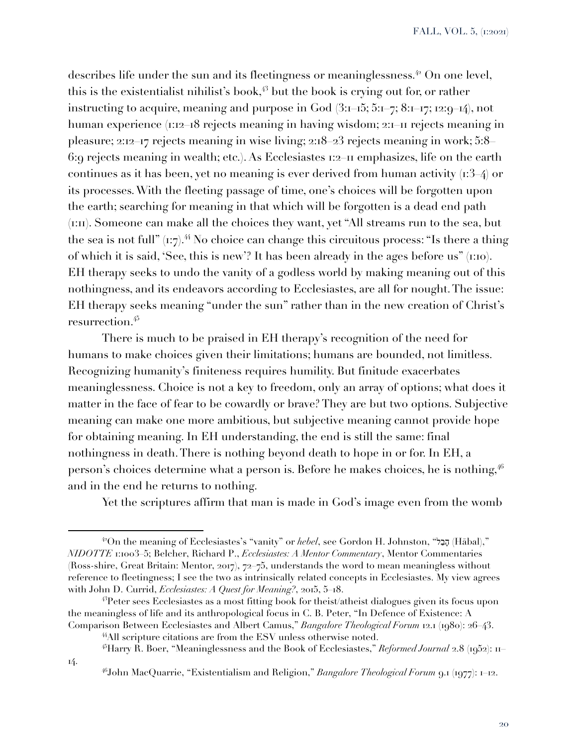describes life under the sun and its fleetingness or meaninglessness.<sup>42</sup> On one level, this is the existentialist nihilist's book, $43$  but the book is crying out for, or rather instructing to acquire, meaning and purpose in God  $(3:1-15; 5:1-7; 8:1-17; 12:9-14)$ , not human experience (1:12–18 rejects meaning in having wisdom; 2:1–11 rejects meaning in pleasure; 2:12–17 rejects meaning in wise living; 2:18–23 rejects meaning in work; 5:8– 6:9 rejects meaning in wealth; etc.). As Ecclesiastes 1:2–11 emphasizes, life on the earth continues as it has been, yet no meaning is ever derived from human activity  $(r3, 4)$  or its processes. With the fleeting passage of time, one's choices will be forgotten upon the earth; searching for meaning in that which will be forgotten is a dead end path (1:11). Someone can make all the choices they want, yet "All streams run to the sea, but the sea is not full"  $(i:\tau)$ .<sup>44</sup> No choice can change this circuitous process: "Is there a thing of which it is said, 'See, this is new'? It has been already in the ages before us" (1:10). EH therapy seeks to undo the vanity of a godless world by making meaning out of this nothingness, and its endeavors according to Ecclesiastes, are all for nought. The issue: EH therapy seeks meaning "under the sun" rather than in the new creation of Christ's resurrection.<sup>45</sup>

There is much to be praised in EH therapy's recognition of the need for humans to make choices given their limitations; humans are bounded, not limitless. Recognizing humanity's finiteness requires humility. But finitude exacerbates meaninglessness. Choice is not a key to freedom, only an array of options; what does it matter in the face of fear to be cowardly or brave? They are but two options. Subjective meaning can make one more ambitious, but subjective meaning cannot provide hope for obtaining meaning. In EH understanding, the end is still the same: final nothingness in death. There is nothing beyond death to hope in or for. In EH, a person's choices determine what a person is. Before he makes choices, he is nothing, <sup>46</sup> and in the end he returns to nothing.

Yet the scriptures affirm that man is made in God's image even from the womb

<sup>42</sup>On the meaning of Ecclesiastes's "vanity" or *hebel*, see Gordon H. Johnston, " הָבַל) Hābal)," *NIDOTTE* 1:1003–5; Belcher, Richard P., *Ecclesiastes: A Mentor Commentary*, Mentor Commentaries (Ross-shire, Great Britain: Mentor, 2017), 72–75, understands the word to mean meaningless without reference to fleetingness; I see the two as intrinsically related concepts in Ecclesiastes. My view agrees with John D. Currid, *Ecclesiastes: A Quest for Meaning?*, 2015, 5–18.

<sup>43</sup>Peter sees Ecclesiastes as a most fitting book for theist/atheist dialogues given its focus upon the meaningless of life and its anthropological focus in C. B. Peter, "In Defence of Existence: A Comparison Between Ecclesiastes and Albert Camus," *Bangalore Theological Forum* 12.1 (1980): 26–43.

<sup>44</sup>All scripture citations are from the ESV unless otherwise noted.

<sup>45</sup>Harry R. Boer, "Meaninglessness and the Book of Ecclesiastes," *Reformed Journal* 2.8 (1952): 11–

<sup>46</sup>John MacQuarrie, "Existentialism and Religion," *Bangalore Theological Forum* 9.1 (1977): 1–12.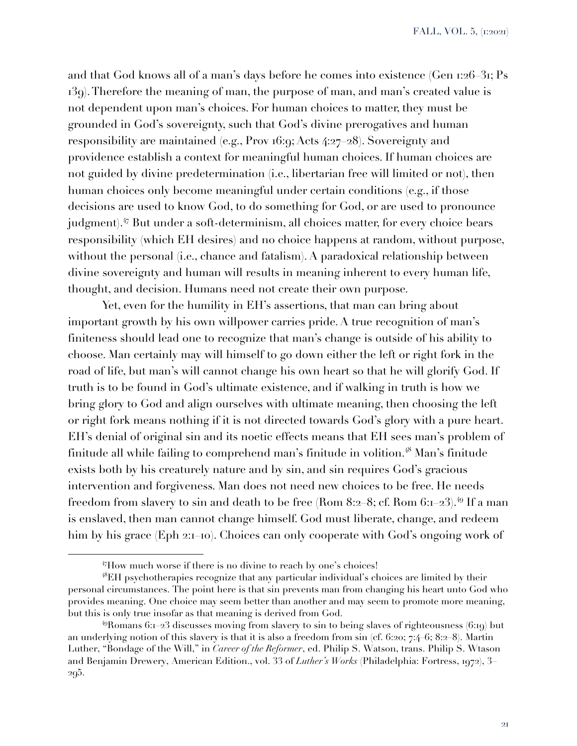and that God knows all of a man's days before he comes into existence (Gen 1:26–31; Ps 139). Therefore the meaning of man, the purpose of man, and man's created value is not dependent upon man's choices. For human choices to matter, they must be grounded in God's sovereignty, such that God's divine prerogatives and human responsibility are maintained (e.g., Prov 16:9; Acts 4:27–28). Sovereignty and providence establish a context for meaningful human choices. If human choices are not guided by divine predetermination (i.e., libertarian free will limited or not), then human choices only become meaningful under certain conditions (e.g., if those decisions are used to know God, to do something for God, or are used to pronounce judgment).<sup>47</sup> But under a soft-determinism, all choices matter, for every choice bears responsibility (which EH desires) and no choice happens at random, without purpose, without the personal (i.e., chance and fatalism). A paradoxical relationship between divine sovereignty and human will results in meaning inherent to every human life, thought, and decision. Humans need not create their own purpose.

Yet, even for the humility in EH's assertions, that man can bring about important growth by his own willpower carries pride. A true recognition of man's finiteness should lead one to recognize that man's change is outside of his ability to choose. Man certainly may will himself to go down either the left or right fork in the road of life, but man's will cannot change his own heart so that he will glorify God. If truth is to be found in God's ultimate existence, and if walking in truth is how we bring glory to God and align ourselves with ultimate meaning, then choosing the left or right fork means nothing if it is not directed towards God's glory with a pure heart. EH's denial of original sin and its noetic effects means that EH sees man's problem of finitude all while failing to comprehend man's finitude in volition.<sup>48</sup> Man's finitude exists both by his creaturely nature and by sin, and sin requires God's gracious intervention and forgiveness. Man does not need new choices to be free. He needs freedom from slavery to sin and death to be free (Rom 8:2–8; cf. Rom 6:1–23).<sup>49</sup> If a man is enslaved, then man cannot change himself. God must liberate, change, and redeem him by his grace (Eph 2:1–10). Choices can only cooperate with God's ongoing work of

<sup>47</sup>How much worse if there is no divine to reach by one's choices!

<sup>48</sup>EH psychotherapies recognize that any particular individual's choices are limited by their personal circumstances. The point here is that sin prevents man from changing his heart unto God who provides meaning. One choice may seem better than another and may seem to promote more meaning, but this is only true insofar as that meaning is derived from God.

 $^{49}$ Romans 6:1–23 discusses moving from slavery to sin to being slaves of righteousness (6:19) but an underlying notion of this slavery is that it is also a freedom from sin (cf. 6:20; 7:4–6; 8:2–8). Martin Luther, "Bondage of the Will," in *Career of the Reformer*, ed. Philip S. Watson, trans. Philip S. Wtason and Benjamin Drewery, American Edition., vol. 33 of *Luther's Works* (Philadelphia: Fortress, 1972), 3– 295.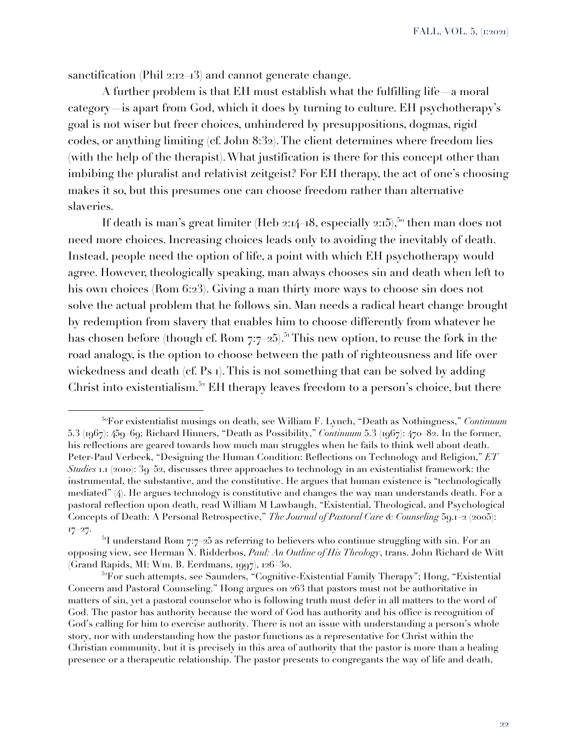sanctification (Phil 2:12–13) and cannot generate change.

A further problem is that EH must establish what the fulfilling life—a moral category—is apart from God, which it does by turning to culture. EH psychotherapy's goal is not wiser but freer choices, unhindered by presuppositions, dogmas, rigid codes, or anything limiting (cf. John 8:32). The client determines where freedom lies (with the help of the therapist). What justification is there for this concept other than imbibing the pluralist and relativist zeitgeist? For EH therapy, the act of one's choosing makes it so, but this presumes one can choose freedom rather than alternative slaveries.

If death is man's great limiter (Heb 2:14–18, especially 2:15),<sup>50</sup> then man does not need more choices. Increasing choices leads only to avoiding the inevitably of death. Instead, people need the option of life, a point with which EH psychotherapy would agree. However, theologically speaking, man always chooses sin and death when left to his own choices (Rom 6:23). Giving a man thirty more ways to choose sin does not solve the actual problem that he follows sin. Man needs a radical heart change brought by redemption from slavery that enables him to choose differently from whatever he has chosen before (though cf. Rom 7:7–25).<sup>51</sup> This new option, to reuse the fork in the road analogy, is the option to choose between the path of righteousness and life over wickedness and death (cf. Ps 1). This is not something that can be solved by adding Christ into existentialism.<sup>52</sup> EH therapy leaves freedom to a person's choice, but there

<sup>50</sup>For existentialist musings on death, see William F. Lynch, "Death as Nothingness," *Continuum* 5.3 (1967): 459–69; Richard Hinners, "Death as Possibility," *Continuum* 5.3 (1967): 470–82. In the former, his reflections are geared towards how much man struggles when he fails to think well about death. Peter-Paul Verbeek, "Designing the Human Condition: Reflections on Technology and Religion," *ET Studies* 1.1 (2010): 39–52, discusses three approaches to technology in an existentialist framework: the instrumental, the substantive, and the constitutive. He argues that human existence is "technologically mediated" (4). He argues technology is constitutive and changes the way man understands death. For a pastoral reflection upon death, read William M Lawbaugh, "Existential, Theological, and Psychological Concepts of Death: A Personal Retrospective," *The Journal of Pastoral Care & Counseling* 59.1–2 (2005): 17–27.

 $51$  understand Rom 7:7–25 as referring to believers who continue struggling with sin. For an opposing view, see Herman N. Ridderbos, *Paul: An Outline of His Theology*, trans. John Richard de Witt (Grand Rapids, MI: Wm. B. Eerdmans, 1997), 126–30.

<sup>&</sup>lt;sup>52</sup>For such attempts, see Saunders, "Cognitive-Existential Family Therapy"; Hong, "Existential" Concern and Pastoral Counseling." Hong argues on 263 that pastors must not be authoritative in matters of sin, yet a pastoral counselor who is following truth must defer in all matters to the word of God. The pastor has authority because the word of God has authority and his office is recognition of God's calling for him to exercise authority. There is not an issue with understanding a person's whole story, nor with understanding how the pastor functions as a representative for Christ within the Christian community, but it is precisely in this area of authority that the pastor is more than a healing presence or a therapeutic relationship. The pastor presents to congregants the way of life and death,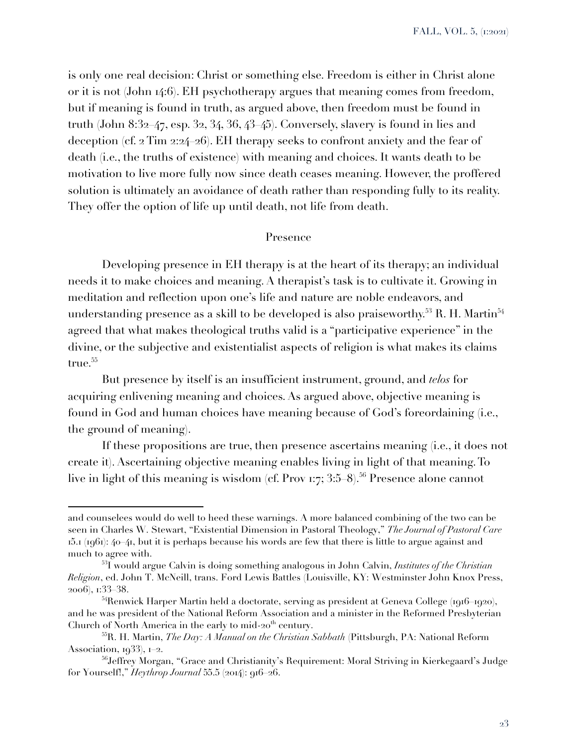FALL, VOL. 5, (1:2021)

is only one real decision: Christ or something else. Freedom is either in Christ alone or it is not (John 14:6). EH psychotherapy argues that meaning comes from freedom, but if meaning is found in truth, as argued above, then freedom must be found in truth (John 8:32–47, esp. 32, 34, 36, 43–45). Conversely, slavery is found in lies and deception (cf. 2 Tim 2:24–26). EH therapy seeks to confront anxiety and the fear of death (i.e., the truths of existence) with meaning and choices. It wants death to be motivation to live more fully now since death ceases meaning. However, the proffered solution is ultimately an avoidance of death rather than responding fully to its reality. They offer the option of life up until death, not life from death.

#### Presence

Developing presence in EH therapy is at the heart of its therapy; an individual needs it to make choices and meaning. A therapist's task is to cultivate it. Growing in meditation and reflection upon one's life and nature are noble endeavors, and understanding presence as a skill to be developed is also praiseworthy.<sup>53</sup> R. H. Martin<sup>54</sup> agreed that what makes theological truths valid is a "participative experience" in the divine, or the subjective and existentialist aspects of religion is what makes its claims true.<sup>55</sup>

But presence by itself is an insufficient instrument, ground, and *telos* for acquiring enlivening meaning and choices. As argued above, objective meaning is found in God and human choices have meaning because of God's foreordaining (i.e., the ground of meaning).

If these propositions are true, then presence ascertains meaning (i.e., it does not create it). Ascertaining objective meaning enables living in light of that meaning. To live in light of this meaning is wisdom (cf. Prov 1:7; 3:5–8).<sup>56</sup> Presence alone cannot

and counselees would do well to heed these warnings. A more balanced combining of the two can be seen in Charles W. Stewart, "Existential Dimension in Pastoral Theology," *The Journal of Pastoral Care*  $15.1$  ( $1961$ ):  $40-41$ , but it is perhaps because his words are few that there is little to argue against and much to agree with.

<sup>53</sup>I would argue Calvin is doing something analogous in John Calvin, *Institutes of the Christian Religion*, ed. John T. McNeill, trans. Ford Lewis Battles (Louisville, KY: Westminster John Knox Press, 2006), 1:33–38.

<sup>&</sup>lt;sup>54</sup>Renwick Harper Martin held a doctorate, serving as president at Geneva College (1916–1920), and he was president of the National Reform Association and a minister in the Reformed Presbyterian Church of North America in the early to mid- $20<sup>th</sup>$  century.

<sup>55</sup>R. H. Martin, *The Day: A Manual on the Christian Sabbath* (Pittsburgh, PA: National Reform Association, 1933), 1–2.

<sup>56</sup>Jeffrey Morgan, "Grace and Christianity's Requirement: Moral Striving in Kierkegaard's Judge for Yourself!," *Heythrop Journal* 55.5 (2014): 916–26.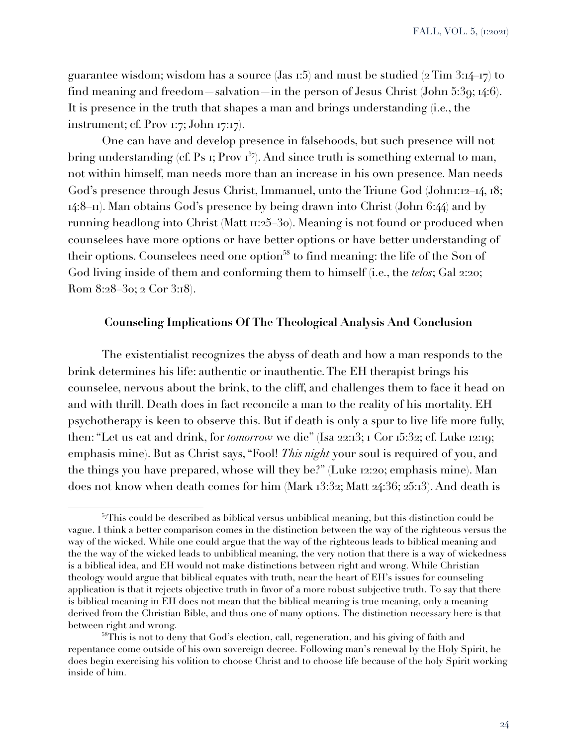guarantee wisdom; wisdom has a source (Jas 1:5) and must be studied  $(2 \text{ Tim } 3:14-17)$  to find meaning and freedom—salvation—in the person of Jesus Christ (John 5:39; 14:6). It is presence in the truth that shapes a man and brings understanding (i.e., the instrument; cf. Prov 1:7; John 17:17).

One can have and develop presence in falsehoods, but such presence will not bring understanding (cf. Ps 1; Prov  $I^{57}$ ). And since truth is something external to man, not within himself, man needs more than an increase in his own presence. Man needs God's presence through Jesus Christ, Immanuel, unto the Triune God (Johnn:12–14, 18; 14:8–11). Man obtains God's presence by being drawn into Christ (John 6:44) and by running headlong into Christ (Matt 11:25–30). Meaning is not found or produced when counselees have more options or have better options or have better understanding of their options. Counselees need one option<sup>58</sup> to find meaning: the life of the Son of God living inside of them and conforming them to himself (i.e., the *telos*; Gal 2:20; Rom 8:28–30; 2 Cor 3:18).

## **Counseling Implications Of The Theological Analysis And Conclusion**

The existentialist recognizes the abyss of death and how a man responds to the brink determines his life: authentic or inauthentic. The EH therapist brings his counselee, nervous about the brink, to the cliff, and challenges them to face it head on and with thrill. Death does in fact reconcile a man to the reality of his mortality. EH psychotherapy is keen to observe this. But if death is only a spur to live life more fully, then: "Let us eat and drink, for *tomorrow* we die" (Isa 22:13; 1 Cor 15:32; cf. Luke 12:19; emphasis mine). But as Christ says, "Fool! *This night* your soul is required of you, and the things you have prepared, whose will they be?" (Luke 12:20; emphasis mine). Man does not know when death comes for him (Mark 13:32; Matt 24:36; 25:13). And death is

<sup>&</sup>lt;sup>57</sup>This could be described as biblical versus unbiblical meaning, but this distinction could be vague. I think a better comparison comes in the distinction between the way of the righteous versus the way of the wicked. While one could argue that the way of the righteous leads to biblical meaning and the the way of the wicked leads to unbiblical meaning, the very notion that there is a way of wickedness is a biblical idea, and EH would not make distinctions between right and wrong. While Christian theology would argue that biblical equates with truth, near the heart of EH's issues for counseling application is that it rejects objective truth in favor of a more robust subjective truth. To say that there is biblical meaning in EH does not mean that the biblical meaning is true meaning, only a meaning derived from the Christian Bible, and thus one of many options. The distinction necessary here is that between right and wrong.

<sup>58</sup>This is not to deny that God's election, call, regeneration, and his giving of faith and repentance come outside of his own sovereign decree. Following man's renewal by the Holy Spirit, he does begin exercising his volition to choose Christ and to choose life because of the holy Spirit working inside of him.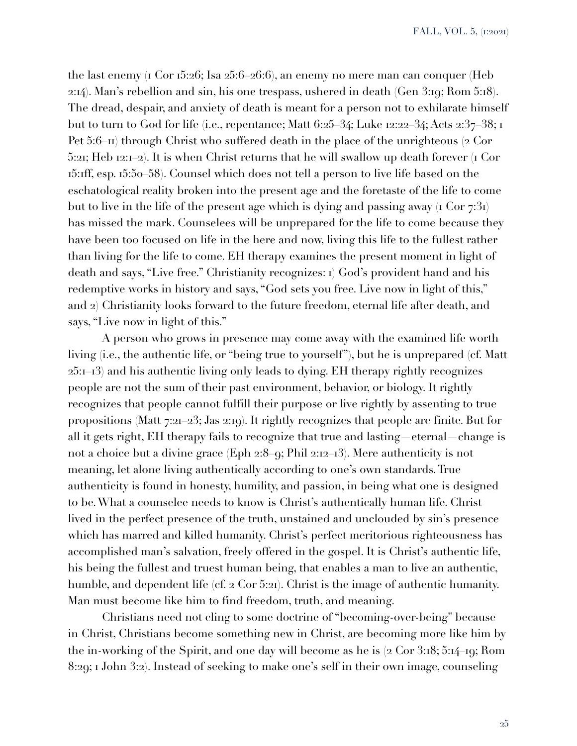the last enemy (1 Cor 15:26; Isa 25:6–26:6), an enemy no mere man can conquer (Heb 2:14). Man's rebellion and sin, his one trespass, ushered in death (Gen 3:19; Rom 5:18). The dread, despair, and anxiety of death is meant for a person not to exhilarate himself but to turn to God for life (i.e., repentance; Matt 6:25–34; Luke 12:22–34; Acts 2:37–38; 1 Pet 5:6–11) through Christ who suffered death in the place of the unrighteous (2 Cor 5:21; Heb 12:1–2). It is when Christ returns that he will swallow up death forever (1 Cor 15:1ff, esp. 15:50–58). Counsel which does not tell a person to live life based on the eschatological reality broken into the present age and the foretaste of the life to come but to live in the life of the present age which is dying and passing away  $(1 \text{ Cor } 7:31)$ has missed the mark. Counselees will be unprepared for the life to come because they have been too focused on life in the here and now, living this life to the fullest rather than living for the life to come. EH therapy examines the present moment in light of death and says, "Live free." Christianity recognizes: 1) God's provident hand and his redemptive works in history and says, "God sets you free. Live now in light of this," and 2) Christianity looks forward to the future freedom, eternal life after death, and says, "Live now in light of this."

A person who grows in presence may come away with the examined life worth living (i.e., the authentic life, or "being true to yourself"), but he is unprepared (cf. Matt 25:1–13) and his authentic living only leads to dying. EH therapy rightly recognizes people are not the sum of their past environment, behavior, or biology. It rightly recognizes that people cannot fulfill their purpose or live rightly by assenting to true propositions (Matt 7:21–23; Jas 2:19). It rightly recognizes that people are finite. But for all it gets right, EH therapy fails to recognize that true and lasting—eternal—change is not a choice but a divine grace (Eph 2:8–9; Phil 2:12–13). Mere authenticity is not meaning, let alone living authentically according to one's own standards. True authenticity is found in honesty, humility, and passion, in being what one is designed to be. What a counselee needs to know is Christ's authentically human life. Christ lived in the perfect presence of the truth, unstained and unclouded by sin's presence which has marred and killed humanity. Christ's perfect meritorious righteousness has accomplished man's salvation, freely offered in the gospel. It is Christ's authentic life, his being the fullest and truest human being, that enables a man to live an authentic, humble, and dependent life (cf. 2 Cor 5:21). Christ is the image of authentic humanity. Man must become like him to find freedom, truth, and meaning.

Christians need not cling to some doctrine of "becoming-over-being" because in Christ, Christians become something new in Christ, are becoming more like him by the in-working of the Spirit, and one day will become as he is (2 Cor 3:18; 5:14–19; Rom 8:29; 1 John 3:2). Instead of seeking to make one's self in their own image, counseling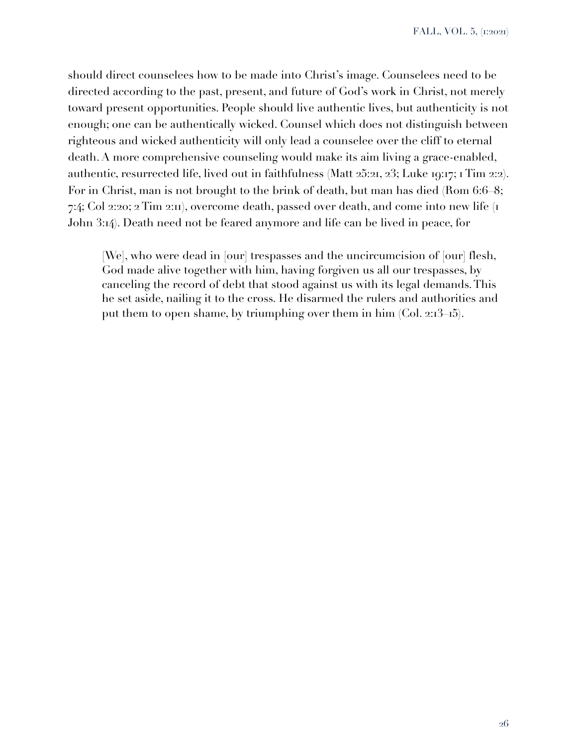should direct counselees how to be made into Christ's image. Counselees need to be directed according to the past, present, and future of God's work in Christ, not merely toward present opportunities. People should live authentic lives, but authenticity is not enough; one can be authentically wicked. Counsel which does not distinguish between righteous and wicked authenticity will only lead a counselee over the cliff to eternal death. A more comprehensive counseling would make its aim living a grace-enabled, authentic, resurrected life, lived out in faithfulness (Matt 25:21, 23; Luke 19:17; 1 Tim 2:2). For in Christ, man is not brought to the brink of death, but man has died (Rom 6:6–8; 7:4; Col 2:20; 2 Tim 2:11), overcome death, passed over death, and come into new life (1 John 3:14). Death need not be feared anymore and life can be lived in peace, for

[We], who were dead in [our] trespasses and the uncircumcision of [our] flesh, God made alive together with him, having forgiven us all our trespasses, by canceling the record of debt that stood against us with its legal demands. This he set aside, nailing it to the cross. He disarmed the rulers and authorities and put them to open shame, by triumphing over them in him (Col. 2:13–15).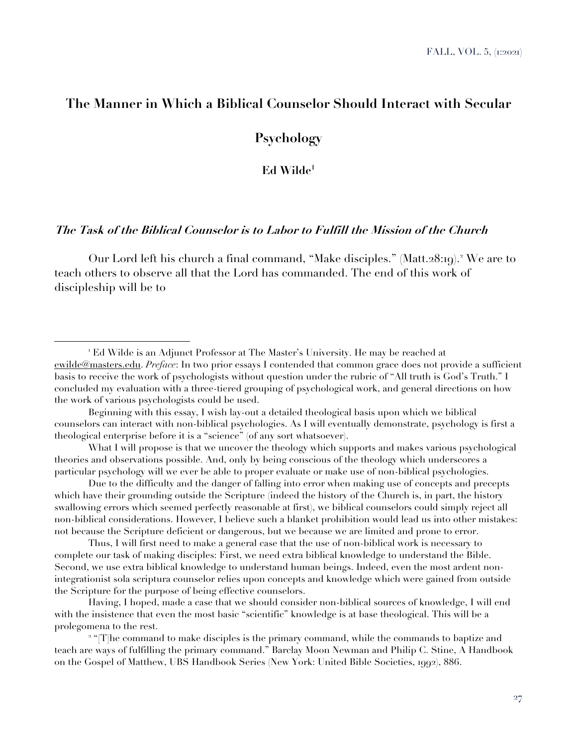# **The Manner in Which a Biblical Counselor Should Interact with Secular**

**Psychology** 

**Ed Wilde1**

# **The Task of the Biblical Counselor is to Labor to Fulfill the Mission of the Church**

Our Lord left his church a final command, "Make disciples." (Matt.28:19).<sup>2</sup> We are to teach others to observe all that the Lord has commanded. The end of this work of discipleship will be to

What I will propose is that we uncover the theology which supports and makes various psychological theories and observations possible. And, only by being conscious of the theology which underscores a particular psychology will we ever be able to proper evaluate or make use of non-biblical psychologies.

Due to the difficulty and the danger of falling into error when making use of concepts and precepts which have their grounding outside the Scripture (indeed the history of the Church is, in part, the history swallowing errors which seemed perfectly reasonable at first), we biblical counselors could simply reject all non-biblical considerations. However, I believe such a blanket prohibition would lead us into other mistakes: not because the Scripture deficient or dangerous, but we because we are limited and prone to error.

Thus, I will first need to make a general case that the use of non-biblical work is necessary to complete our task of making disciples: First, we need extra biblical knowledge to understand the Bible. Second, we use extra biblical knowledge to understand human beings. Indeed, even the most ardent nonintegrationist sola scriptura counselor relies upon concepts and knowledge which were gained from outside the Scripture for the purpose of being effective counselors.

Having, I hoped, made a case that we should consider non-biblical sources of knowledge, I will end with the insistence that even the most basic "scientific" knowledge is at base theological. This will be a prolegomena to the rest.

<sup>2</sup> "[T]he command to make disciples is the primary command, while the commands to baptize and teach are ways of fulfilling the primary command." Barclay Moon Newman and Philip C. Stine, A Handbook on the Gospel of Matthew, UBS Handbook Series (New York: United Bible Societies, 1992), 886.

<sup>1</sup> Ed Wilde is an Adjunct Professor at The Master's University. He may be reached at ewilde@masters.edu. *Preface*: In two prior essays I contended that common grace does not provide a sufficient basis to receive the work of psychologists without question under the rubric of "All truth is God's Truth." I concluded my evaluation with a three-tiered grouping of psychological work, and general directions on how the work of various psychologists could be used.

Beginning with this essay, I wish lay-out a detailed theological basis upon which we biblical counselors can interact with non-biblical psychologies. As I will eventually demonstrate, psychology is first a theological enterprise before it is a "science" (of any sort whatsoever).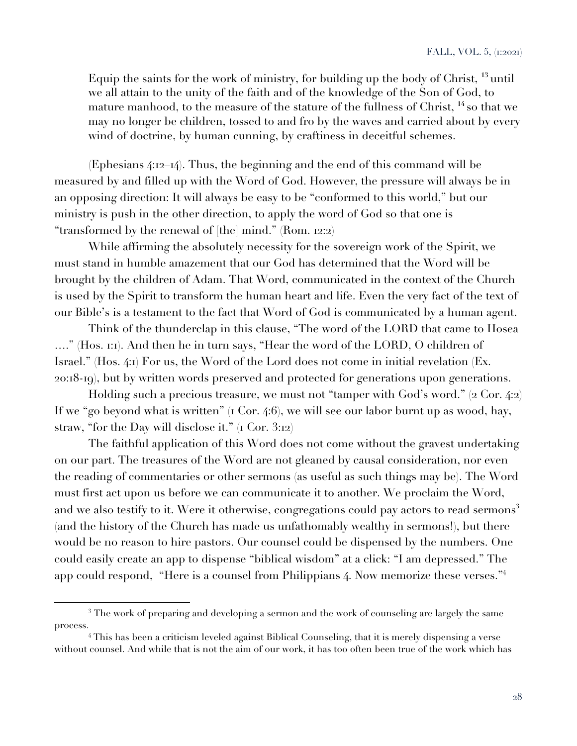Equip the saints for the work of ministry, for building up the body of Christ, **<sup>13</sup>** until we all attain to the unity of the faith and of the knowledge of the Son of God, to mature manhood, to the measure of the stature of the fullness of Christ, **<sup>14</sup>** so that we may no longer be children, tossed to and fro by the waves and carried about by every wind of doctrine, by human cunning, by craftiness in deceitful schemes.

(Ephesians 4:12–14). Thus, the beginning and the end of this command will be measured by and filled up with the Word of God. However, the pressure will always be in an opposing direction: It will always be easy to be "conformed to this world," but our ministry is push in the other direction, to apply the word of God so that one is "transformed by the renewal of [the] mind." (Rom. 12:2)

While affirming the absolutely necessity for the sovereign work of the Spirit, we must stand in humble amazement that our God has determined that the Word will be brought by the children of Adam. That Word, communicated in the context of the Church is used by the Spirit to transform the human heart and life. Even the very fact of the text of our Bible's is a testament to the fact that Word of God is communicated by a human agent.

Think of the thunderclap in this clause, "The word of the LORD that came to Hosea …." (Hos. 1:1). And then he in turn says, "Hear the word of the LORD, O children of Israel." (Hos. 4:1) For us, the Word of the Lord does not come in initial revelation (Ex. 20:18-19), but by written words preserved and protected for generations upon generations.

Holding such a precious treasure, we must not "tamper with God's word." (2 Cor. 4:2) If we "go beyond what is written" (1 Cor. 4:6), we will see our labor burnt up as wood, hay, straw, "for the Day will disclose it."  $(1$  Cor. 3:12)

The faithful application of this Word does not come without the gravest undertaking on our part. The treasures of the Word are not gleaned by causal consideration, nor even the reading of commentaries or other sermons (as useful as such things may be). The Word must first act upon us before we can communicate it to another. We proclaim the Word, and we also testify to it. Were it otherwise, congregations could pay actors to read sermons<sup>3</sup> (and the history of the Church has made us unfathomably wealthy in sermons!), but there would be no reason to hire pastors. Our counsel could be dispensed by the numbers. One could easily create an app to dispense "biblical wisdom" at a click: "I am depressed." The app could respond, "Here is a counsel from Philippians 4. Now memorize these verses."<sup>4</sup>

<sup>&</sup>lt;sup>3</sup> The work of preparing and developing a sermon and the work of counseling are largely the same process.

<sup>&</sup>lt;sup>4</sup> This has been a criticism leveled against Biblical Counseling, that it is merely dispensing a verse without counsel. And while that is not the aim of our work, it has too often been true of the work which has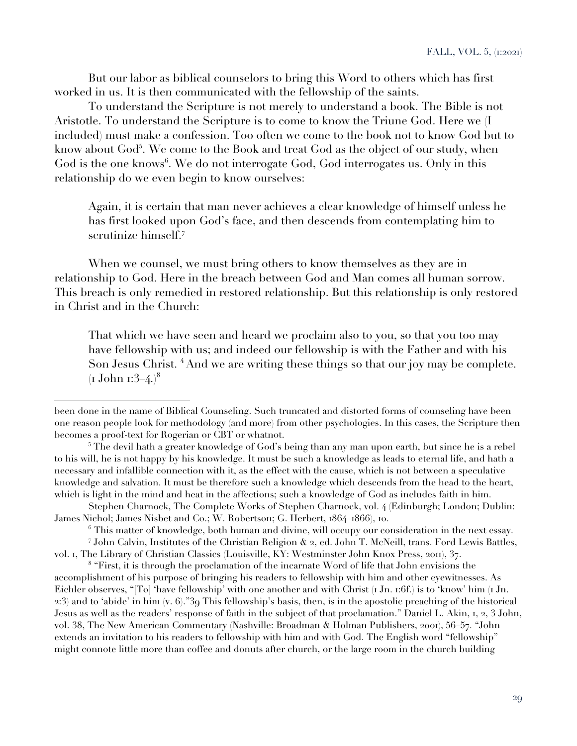But our labor as biblical counselors to bring this Word to others which has first worked in us. It is then communicated with the fellowship of the saints.

To understand the Scripture is not merely to understand a book. The Bible is not Aristotle. To understand the Scripture is to come to know the Triune God. Here we (I included) must make a confession. Too often we come to the book not to know God but to know about God $^5$ . We come to the Book and treat God as the object of our study, when God is the one knows<sup>6</sup>. We do not interrogate God, God interrogates us. Only in this relationship do we even begin to know ourselves:

Again, it is certain that man never achieves a clear knowledge of himself unless he has first looked upon God's face, and then descends from contemplating him to scrutinize himself.<sup>7</sup>

When we counsel, we must bring others to know themselves as they are in relationship to God. Here in the breach between God and Man comes all human sorrow. This breach is only remedied in restored relationship. But this relationship is only restored in Christ and in the Church:

That which we have seen and heard we proclaim also to you, so that you too may have fellowship with us; and indeed our fellowship is with the Father and with his Son Jesus Christ. **<sup>4</sup>** And we are writing these things so that our joy may be complete.  $(I$  John 1:3–4.)<sup>8</sup>

<sup>8</sup> "First, it is through the proclamation of the incarnate Word of life that John envisions the accomplishment of his purpose of bringing his readers to fellowship with him and other eyewitnesses. As Eichler observes, "[To] 'have fellowship' with one another and with Christ  $I_1$  Jn. 1:6f.) is to 'know' him  $I_1$  Jn. 2:3) and to 'abide' in him (v. 6)."39 This fellowship's basis, then, is in the apostolic preaching of the historical Jesus as well as the readers' response of faith in the subject of that proclamation." Daniel L. Akin, 1, 2, 3 John, vol. 38, The New American Commentary (Nashville: Broadman & Holman Publishers, 2001), 56–57. "John extends an invitation to his readers to fellowship with him and with God. The English word "fellowship" might connote little more than coffee and donuts after church, or the large room in the church building

been done in the name of Biblical Counseling. Such truncated and distorted forms of counseling have been one reason people look for methodology (and more) from other psychologies. In this cases, the Scripture then becomes a proof-text for Rogerian or CBT or whatnot.

<sup>&</sup>lt;sup>5</sup> The devil hath a greater knowledge of God's being than any man upon earth, but since he is a rebel to his will, he is not happy by his knowledge. It must be such a knowledge as leads to eternal life, and hath a necessary and infallible connection with it, as the effect with the cause, which is not between a speculative knowledge and salvation. It must be therefore such a knowledge which descends from the head to the heart, which is light in the mind and heat in the affections; such a knowledge of God as includes faith in him.

Stephen Charnock, The Complete Works of Stephen Charnock, vol. 4 (Edinburgh; London; Dublin: James Nichol; James Nisbet and Co.; W. Robertson; G. Herbert, 1864–1866), 10.

 $6$  This matter of knowledge, both human and divine, will occupy our consideration in the next essay. <sup>7</sup> John Calvin, Institutes of the Christian Religion & 2, ed. John T. McNeill, trans. Ford Lewis Battles,

vol. 1, The Library of Christian Classics (Louisville, KY: Westminster John Knox Press, 2011), 37.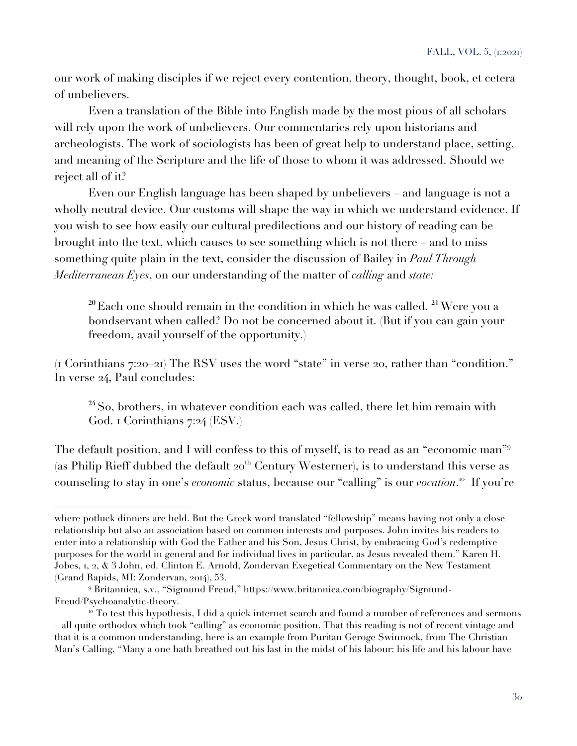our work of making disciples if we reject every contention, theory, thought, book, et cetera of unbelievers.

Even a translation of the Bible into English made by the most pious of all scholars will rely upon the work of unbelievers. Our commentaries rely upon historians and archeologists. The work of sociologists has been of great help to understand place, setting, and meaning of the Scripture and the life of those to whom it was addressed. Should we reject all of it?

Even our English language has been shaped by unbelievers – and language is not a wholly neutral device. Our customs will shape the way in which we understand evidence. If you wish to see how easily our cultural predilections and our history of reading can be brought into the text, which causes to see something which is not there – and to miss something quite plain in the text, consider the discussion of Bailey in *Paul Through Mediterranean Eyes*, on our understanding of the matter of *calling* and *state:*

**<sup>20</sup>** Each one should remain in the condition in which he was called. **<sup>21</sup>**Were you a bondservant when called? Do not be concerned about it. (But if you can gain your freedom, avail yourself of the opportunity.)

(1 Corinthians 7:20–21) The RSV uses the word "state" in verse 20, rather than "condition." In verse 24, Paul concludes:

**<sup>24</sup>**So, brothers, in whatever condition each was called, there let him remain with God. 1 Corinthians 7:24 (ESV.)

The default position, and I will confess to this of myself, is to read as an "economic man"<sup>9</sup> (as Philip Rieff dubbed the default  $20<sup>th</sup>$  Century Westerner), is to understand this verse as counseling to stay in one's *economic* status, because our "calling" is our *vocation*.<sup>10</sup> If you're

where potluck dinners are held. But the Greek word translated "fellowship" means having not only a close relationship but also an association based on common interests and purposes. John invites his readers to enter into a relationship with God the Father and his Son, Jesus Christ, by embracing God's redemptive purposes for the world in general and for individual lives in particular, as Jesus revealed them." Karen H. Jobes, 1, 2, & 3 John, ed. Clinton E. Arnold, Zondervan Exegetical Commentary on the New Testament (Grand Rapids, MI: Zondervan, 2014), 53.

<sup>9</sup> Britannica, s.v., "Sigmund Freud," https://www.britannica.com/biography/Sigmund-Freud/Psychoanalytic-theory.

 $10$  To test this hypothesis, I did a quick internet search and found a number of references and sermons – all quite orthodox which took "calling" as economic position. That this reading is not of recent vintage and that it is a common understanding, here is an example from Puritan Geroge Swinnock, from The Christian Man's Calling, "Many a one hath breathed out his last in the midst of his labour: his life and his labour have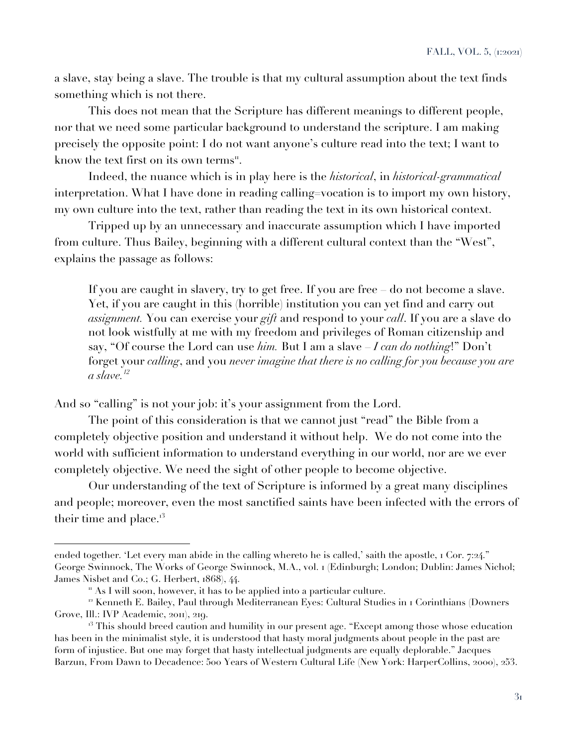a slave, stay being a slave. The trouble is that my cultural assumption about the text finds something which is not there.

This does not mean that the Scripture has different meanings to different people, nor that we need some particular background to understand the scripture. I am making precisely the opposite point: I do not want anyone's culture read into the text; I want to know the text first on its own terms".

Indeed, the nuance which is in play here is the *historical*, in *historical-grammatical* interpretation. What I have done in reading calling=vocation is to import my own history, my own culture into the text, rather than reading the text in its own historical context.

Tripped up by an unnecessary and inaccurate assumption which I have imported from culture. Thus Bailey, beginning with a different cultural context than the "West", explains the passage as follows:

If you are caught in slavery, try to get free. If you are free – do not become a slave. Yet, if you are caught in this (horrible) institution you can yet find and carry out *assignment.* You can exercise your *gift* and respond to your *call*. If you are a slave do not look wistfully at me with my freedom and privileges of Roman citizenship and say, "Of course the Lord can use *him.* But I am a slave – *I can do nothing*!" Don't forget your *calling*, and you *never imagine that there is no calling for you because you are a slave.12*

And so "calling" is not your job: it's your assignment from the Lord.

The point of this consideration is that we cannot just "read" the Bible from a completely objective position and understand it without help. We do not come into the world with sufficient information to understand everything in our world, nor are we ever completely objective. We need the sight of other people to become objective.

Our understanding of the text of Scripture is informed by a great many disciplines and people; moreover, even the most sanctified saints have been infected with the errors of their time and place.<sup>13</sup>

ended together. 'Let every man abide in the calling whereto he is called,' saith the apostle, 1 Cor. 7:24." George Swinnock, The Works of George Swinnock, M.A., vol. 1 (Edinburgh; London; Dublin: James Nichol; James Nisbet and Co.; G. Herbert, 1868), 44.

<sup>&</sup>quot; As I will soon, however, it has to be applied into a particular culture.

<sup>&</sup>lt;sup>12</sup> Kenneth E. Bailey, Paul through Mediterranean Eyes: Cultural Studies in 1 Corinthians (Downers Grove, Ill.: IVP Academic, 2011), 219.

 $13$  This should breed caution and humility in our present age. "Except among those whose education has been in the minimalist style, it is understood that hasty moral judgments about people in the past are form of injustice. But one may forget that hasty intellectual judgments are equally deplorable." Jacques Barzun, From Dawn to Decadence: 500 Years of Western Cultural Life (New York: HarperCollins, 2000), 253.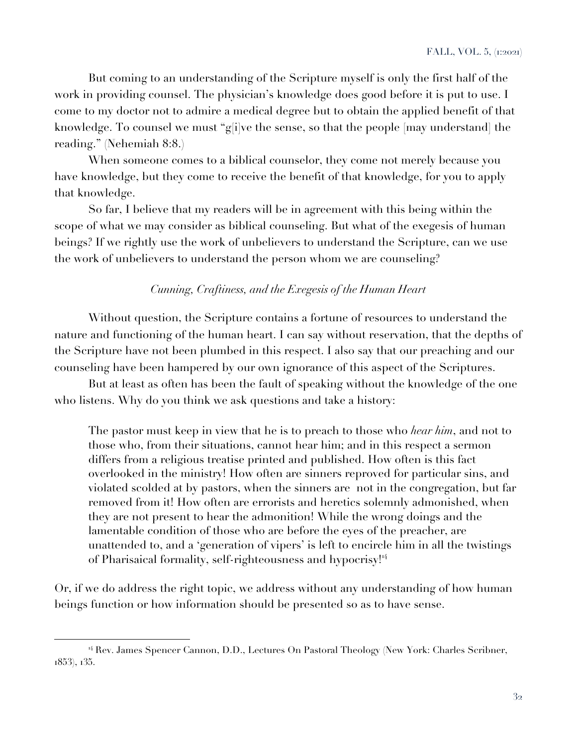But coming to an understanding of the Scripture myself is only the first half of the work in providing counsel. The physician's knowledge does good before it is put to use. I come to my doctor not to admire a medical degree but to obtain the applied benefit of that knowledge. To counsel we must "g[i]ve the sense, so that the people [may understand] the reading." (Nehemiah 8:8.)

When someone comes to a biblical counselor, they come not merely because you have knowledge, but they come to receive the benefit of that knowledge, for you to apply that knowledge.

So far, I believe that my readers will be in agreement with this being within the scope of what we may consider as biblical counseling. But what of the exegesis of human beings? If we rightly use the work of unbelievers to understand the Scripture, can we use the work of unbelievers to understand the person whom we are counseling?

# *Cunning, Craftiness, and the Exegesis of the Human Heart*

Without question, the Scripture contains a fortune of resources to understand the nature and functioning of the human heart. I can say without reservation, that the depths of the Scripture have not been plumbed in this respect. I also say that our preaching and our counseling have been hampered by our own ignorance of this aspect of the Scriptures.

But at least as often has been the fault of speaking without the knowledge of the one who listens. Why do you think we ask questions and take a history:

The pastor must keep in view that he is to preach to those who *hear him*, and not to those who, from their situations, cannot hear him; and in this respect a sermon differs from a religious treatise printed and published. How often is this fact overlooked in the ministry! How often are sinners reproved for particular sins, and violated scolded at by pastors, when the sinners are not in the congregation, but far removed from it! How often are errorists and heretics solemnly admonished, when they are not present to hear the admonition! While the wrong doings and the lamentable condition of those who are before the eyes of the preacher, are unattended to, and a 'generation of vipers' is left to encircle him in all the twistings of Pharisaical formality, self-righteousness and hypocrisy!<sup>14</sup>

Or, if we do address the right topic, we address without any understanding of how human beings function or how information should be presented so as to have sense.

<sup>&</sup>lt;sup>14</sup> Rev. James Spencer Cannon, D.D., Lectures On Pastoral Theology (New York: Charles Scribner, 1853), 135.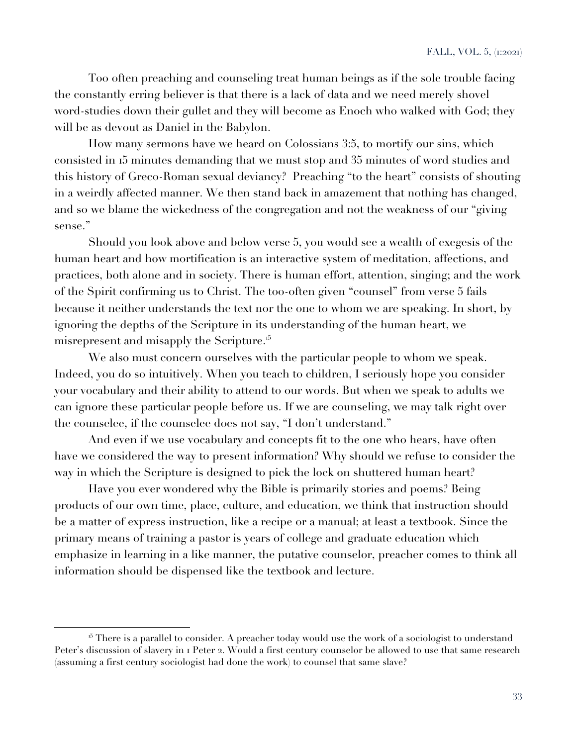Too often preaching and counseling treat human beings as if the sole trouble facing the constantly erring believer is that there is a lack of data and we need merely shovel word-studies down their gullet and they will become as Enoch who walked with God; they will be as devout as Daniel in the Babylon.

How many sermons have we heard on Colossians 3:5, to mortify our sins, which consisted in 15 minutes demanding that we must stop and 35 minutes of word studies and this history of Greco-Roman sexual deviancy? Preaching "to the heart" consists of shouting in a weirdly affected manner. We then stand back in amazement that nothing has changed, and so we blame the wickedness of the congregation and not the weakness of our "giving sense."

Should you look above and below verse 5, you would see a wealth of exegesis of the human heart and how mortification is an interactive system of meditation, affections, and practices, both alone and in society. There is human effort, attention, singing; and the work of the Spirit confirming us to Christ. The too-often given "counsel" from verse 5 fails because it neither understands the text nor the one to whom we are speaking. In short, by ignoring the depths of the Scripture in its understanding of the human heart, we misrepresent and misapply the Scripture.<sup>15</sup>

We also must concern ourselves with the particular people to whom we speak. Indeed, you do so intuitively. When you teach to children, I seriously hope you consider your vocabulary and their ability to attend to our words. But when we speak to adults we can ignore these particular people before us. If we are counseling, we may talk right over the counselee, if the counselee does not say, "I don't understand."

And even if we use vocabulary and concepts fit to the one who hears, have often have we considered the way to present information? Why should we refuse to consider the way in which the Scripture is designed to pick the lock on shuttered human heart?

Have you ever wondered why the Bible is primarily stories and poems? Being products of our own time, place, culture, and education, we think that instruction should be a matter of express instruction, like a recipe or a manual; at least a textbook. Since the primary means of training a pastor is years of college and graduate education which emphasize in learning in a like manner, the putative counselor, preacher comes to think all information should be dispensed like the textbook and lecture.

<sup>&</sup>lt;sup>15</sup> There is a parallel to consider. A preacher today would use the work of a sociologist to understand Peter's discussion of slavery in 1 Peter 2. Would a first century counselor be allowed to use that same research (assuming a first century sociologist had done the work) to counsel that same slave?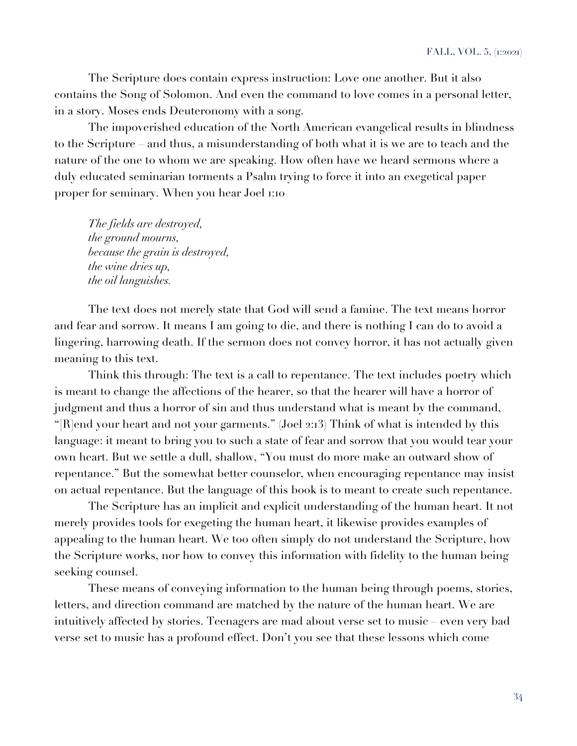The Scripture does contain express instruction: Love one another. But it also contains the Song of Solomon. And even the command to love comes in a personal letter, in a story. Moses ends Deuteronomy with a song.

The impoverished education of the North American evangelical results in blindness to the Scripture – and thus, a misunderstanding of both what it is we are to teach and the nature of the one to whom we are speaking. How often have we heard sermons where a duly educated seminarian torments a Psalm trying to force it into an exegetical paper proper for seminary. When you hear Joel 1:10

*The fields are destroyed, the ground mourns, because the grain is destroyed, the wine dries up, the oil languishes.*

The text does not merely state that God will send a famine. The text means horror and fear and sorrow. It means I am going to die, and there is nothing I can do to avoid a lingering, harrowing death. If the sermon does not convey horror, it has not actually given meaning to this text.

Think this through: The text is a call to repentance. The text includes poetry which is meant to change the affections of the hearer, so that the hearer will have a horror of judgment and thus a horror of sin and thus understand what is meant by the command, "[R]end your heart and not your garments." (Joel 2:13) Think of what is intended by this language: it meant to bring you to such a state of fear and sorrow that you would tear your own heart. But we settle a dull, shallow, "You must do more make an outward show of repentance." But the somewhat better counselor, when encouraging repentance may insist on actual repentance. But the language of this book is to meant to create such repentance.

The Scripture has an implicit and explicit understanding of the human heart. It not merely provides tools for exegeting the human heart, it likewise provides examples of appealing to the human heart. We too often simply do not understand the Scripture, how the Scripture works, nor how to convey this information with fidelity to the human being seeking counsel.

These means of conveying information to the human being through poems, stories, letters, and direction command are matched by the nature of the human heart. We are intuitively affected by stories. Teenagers are mad about verse set to music – even very bad verse set to music has a profound effect. Don't you see that these lessons which come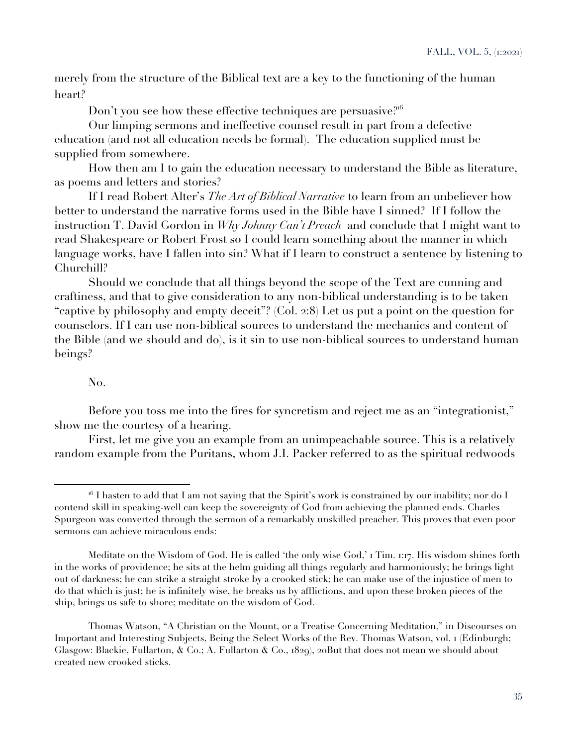merely from the structure of the Biblical text are a key to the functioning of the human heart?

Don't you see how these effective techniques are persuasive?<sup>16</sup>

Our limping sermons and ineffective counsel result in part from a defective education (and not all education needs be formal). The education supplied must be supplied from somewhere.

How then am I to gain the education necessary to understand the Bible as literature, as poems and letters and stories?

If I read Robert Alter's *The Art of Biblical Narrative* to learn from an unbeliever how better to understand the narrative forms used in the Bible have I sinned? If I follow the instruction T. David Gordon in *Why Johnny Can't Preach* and conclude that I might want to read Shakespeare or Robert Frost so I could learn something about the manner in which language works, have I fallen into sin? What if I learn to construct a sentence by listening to Churchill?

Should we conclude that all things beyond the scope of the Text are cunning and craftiness, and that to give consideration to any non-biblical understanding is to be taken "captive by philosophy and empty deceit"? (Col. 2:8) Let us put a point on the question for counselors. If I can use non-biblical sources to understand the mechanics and content of the Bible (and we should and do), is it sin to use non-biblical sources to understand human beings?

## No.

Before you toss me into the fires for syncretism and reject me as an "integrationist," show me the courtesy of a hearing.

First, let me give you an example from an unimpeachable source. This is a relatively random example from the Puritans, whom J.I. Packer referred to as the spiritual redwoods

 $16$  I hasten to add that I am not saying that the Spirit's work is constrained by our inability; nor do I contend skill in speaking-well can keep the sovereignty of God from achieving the planned ends. Charles Spurgeon was converted through the sermon of a remarkably unskilled preacher. This proves that even poor sermons can achieve miraculous ends:

Meditate on the Wisdom of God. He is called 'the only wise God,' 1 Tim. 1:17. His wisdom shines forth in the works of providence; he sits at the helm guiding all things regularly and harmoniously; he brings light out of darkness; he can strike a straight stroke by a crooked stick; he can make use of the injustice of men to do that which is just; he is infinitely wise, he breaks us by afflictions, and upon these broken pieces of the ship, brings us safe to shore; meditate on the wisdom of God.

Thomas Watson, "A Christian on the Mount, or a Treatise Concerning Meditation," in Discourses on Important and Interesting Subjects, Being the Select Works of the Rev. Thomas Watson, vol. 1 (Edinburgh; Glasgow: Blackie, Fullarton, & Co.; A. Fullarton & Co., 1829), 20But that does not mean we should about created new crooked sticks.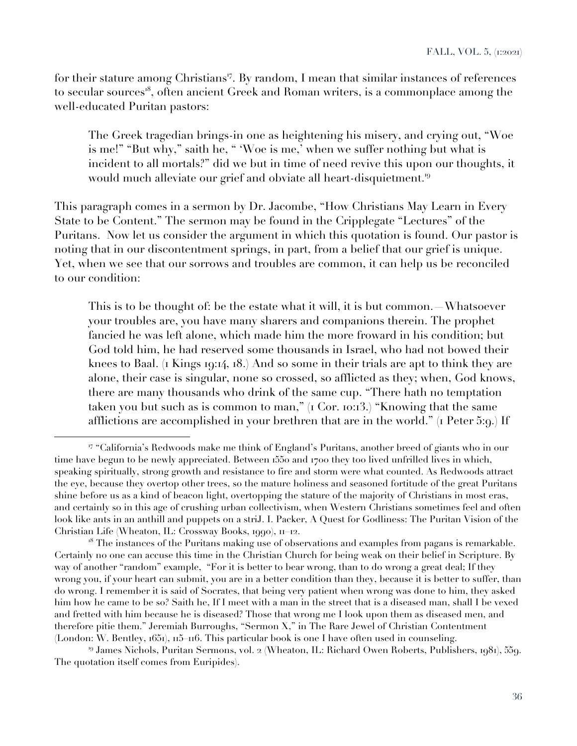for their stature among Christians<sup>17</sup>. By random, I mean that similar instances of references to secular sources<sup>18</sup>, often ancient Greek and Roman writers, is a commonplace among the well-educated Puritan pastors:

The Greek tragedian brings-in one as heightening his misery, and crying out, "Woe is me!" "But why," saith he, " 'Woe is me,' when we suffer nothing but what is incident to all mortals?" did we but in time of need revive this upon our thoughts, it would much alleviate our grief and obviate all heart-disquietment.<sup>19</sup>

This paragraph comes in a sermon by Dr. Jacombe, "How Christians May Learn in Every State to be Content." The sermon may be found in the Cripplegate "Lectures" of the Puritans. Now let us consider the argument in which this quotation is found. Our pastor is noting that in our discontentment springs, in part, from a belief that our grief is unique. Yet, when we see that our sorrows and troubles are common, it can help us be reconciled to our condition:

This is to be thought of: be the estate what it will, it is but common. Whatsoever your troubles are, you have many sharers and companions therein. The prophet fancied he was left alone, which made him the more froward in his condition; but God told him, he had reserved some thousands in Israel, who had not bowed their knees to Baal. (1 Kings 19:14, 18.) And so some in their trials are apt to think they are alone, their case is singular, none so crossed, so afflicted as they; when, God knows, there are many thousands who drink of the same cup. "There hath no temptation taken you but such as is common to man," (1 Cor. 10:13.) "Knowing that the same afflictions are accomplished in your brethren that are in the world." (1 Peter 5:9.) If

<sup>19</sup> James Nichols, Puritan Sermons, vol. 2 (Wheaton, IL: Richard Owen Roberts, Publishers, 1981), 559. The quotation itself comes from Euripides).

<sup>17</sup> "California's Redwoods make me think of England's Puritans, another breed of giants who in our time have begun to be newly appreciated. Between 1550 and 1700 they too lived unfrilled lives in which, speaking spiritually, strong growth and resistance to fire and storm were what counted. As Redwoods attract the eye, because they overtop other trees, so the mature holiness and seasoned fortitude of the great Puritans shine before us as a kind of beacon light, overtopping the stature of the majority of Christians in most eras, and certainly so in this age of crushing urban collectivism, when Western Christians sometimes feel and often look like ants in an anthill and puppets on a striJ. I. Packer, A Quest for Godliness: The Puritan Vision of the Christian Life (Wheaton, IL: Crossway Books, 1990), 11–12.

<sup>&</sup>lt;sup>18</sup> The instances of the Puritans making use of observations and examples from pagans is remarkable. Certainly no one can accuse this time in the Christian Church for being weak on their belief in Scripture. By way of another "random" example, "For it is better to bear wrong, than to do wrong a great deal; If they wrong you, if your heart can submit, you are in a better condition than they, because it is better to suffer, than do wrong. I remember it is said of Socrates, that being very patient when wrong was done to him, they asked him how he came to be so? Saith he, If I meet with a man in the street that is a diseased man, shall I be vexed and fretted with him because he is diseased? Those that wrong me I look upon them as diseased men, and therefore pitie them." Jeremiah Burroughs, "Sermon X," in The Rare Jewel of Christian Contentment (London: W. Bentley, 1651), 115–116. This particular book is one I have often used in counseling.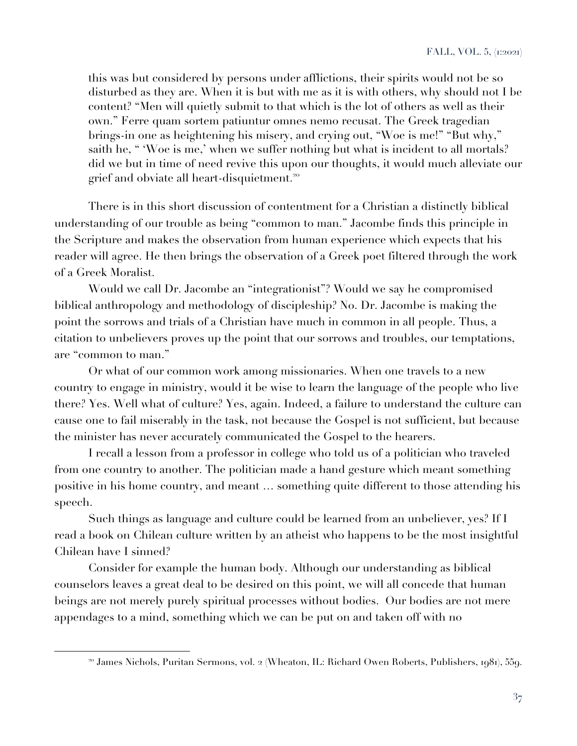this was but considered by persons under afflictions, their spirits would not be so disturbed as they are. When it is but with me as it is with others, why should not I be content? "Men will quietly submit to that which is the lot of others as well as their own." Ferre quam sortem patiuntur omnes nemo recusat. The Greek tragedian brings-in one as heightening his misery, and crying out, "Woe is me!" "But why," saith he, " 'Woe is me,' when we suffer nothing but what is incident to all mortals? did we but in time of need revive this upon our thoughts, it would much alleviate our grief and obviate all heart-disquietment.<sup>20</sup>

There is in this short discussion of contentment for a Christian a distinctly biblical understanding of our trouble as being "common to man." Jacombe finds this principle in the Scripture and makes the observation from human experience which expects that his reader will agree. He then brings the observation of a Greek poet filtered through the work of a Greek Moralist.

Would we call Dr. Jacombe an "integrationist"? Would we say he compromised biblical anthropology and methodology of discipleship? No. Dr. Jacombe is making the point the sorrows and trials of a Christian have much in common in all people. Thus, a citation to unbelievers proves up the point that our sorrows and troubles, our temptations, are "common to man."

Or what of our common work among missionaries. When one travels to a new country to engage in ministry, would it be wise to learn the language of the people who live there? Yes. Well what of culture? Yes, again. Indeed, a failure to understand the culture can cause one to fail miserably in the task, not because the Gospel is not sufficient, but because the minister has never accurately communicated the Gospel to the hearers.

I recall a lesson from a professor in college who told us of a politician who traveled from one country to another. The politician made a hand gesture which meant something positive in his home country, and meant … something quite different to those attending his speech.

Such things as language and culture could be learned from an unbeliever, yes? If I read a book on Chilean culture written by an atheist who happens to be the most insightful Chilean have I sinned?

Consider for example the human body. Although our understanding as biblical counselors leaves a great deal to be desired on this point, we will all concede that human beings are not merely purely spiritual processes without bodies. Our bodies are not mere appendages to a mind, something which we can be put on and taken off with no

<sup>&</sup>lt;sup>20</sup> James Nichols, Puritan Sermons, vol. 2 (Wheaton, IL: Richard Owen Roberts, Publishers, 1981), 559.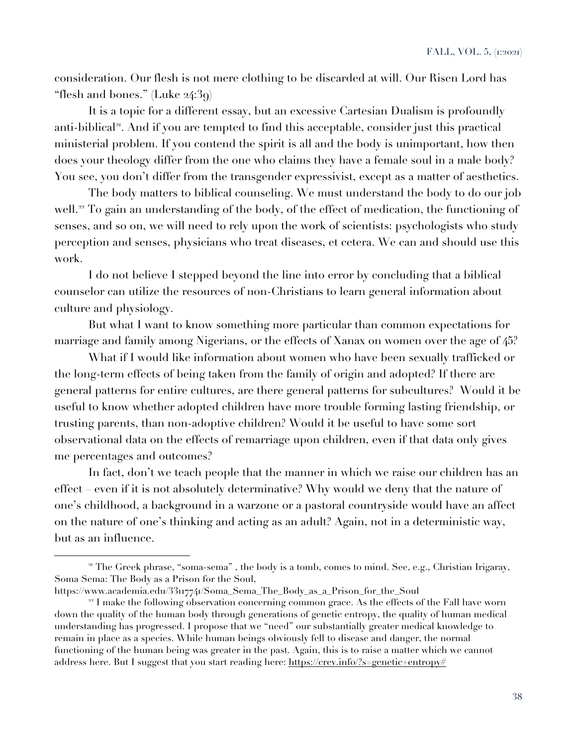consideration. Our flesh is not mere clothing to be discarded at will. Our Risen Lord has "flesh and bones." (Luke 24:39)

It is a topic for a different essay, but an excessive Cartesian Dualism is profoundly anti-biblical<sup>21</sup>. And if you are tempted to find this acceptable, consider just this practical ministerial problem. If you contend the spirit is all and the body is unimportant, how then does your theology differ from the one who claims they have a female soul in a male body? You see, you don't differ from the transgender expressivist, except as a matter of aesthetics.

The body matters to biblical counseling. We must understand the body to do our job well.<sup>22</sup> To gain an understanding of the body, of the effect of medication, the functioning of senses, and so on, we will need to rely upon the work of scientists: psychologists who study perception and senses, physicians who treat diseases, et cetera. We can and should use this work.

I do not believe I stepped beyond the line into error by concluding that a biblical counselor can utilize the resources of non-Christians to learn general information about culture and physiology.

But what I want to know something more particular than common expectations for marriage and family among Nigerians, or the effects of Xanax on women over the age of 45?

What if I would like information about women who have been sexually trafficked or the long-term effects of being taken from the family of origin and adopted? If there are general patterns for entire cultures, are there general patterns for subcultures? Would it be useful to know whether adopted children have more trouble forming lasting friendship, or trusting parents, than non-adoptive children? Would it be useful to have some sort observational data on the effects of remarriage upon children, even if that data only gives me percentages and outcomes?

In fact, don't we teach people that the manner in which we raise our children has an effect – even if it is not absolutely determinative? Why would we deny that the nature of one's childhood, a background in a warzone or a pastoral countryside would have an affect on the nature of one's thinking and acting as an adult? Again, not in a deterministic way, but as an influence.

<sup>&</sup>lt;sup>21</sup> The Greek phrase, "soma-sema", the body is a tomb, comes to mind. See, e.g., Christian Irigaray, Soma Sema: The Body as a Prison for the Soul,

https://www.academia.edu/33117741/Soma\_Sema\_The\_Body\_as\_a\_Prison\_for\_the\_Soul

<sup>&</sup>lt;sup>22</sup> I make the following observation concerning common grace. As the effects of the Fall have worn down the quality of the human body through generations of genetic entropy, the quality of human medical understanding has progressed. I propose that we "need" our substantially greater medical knowledge to remain in place as a species. While human beings obviously fell to disease and danger, the normal functioning of the human being was greater in the past. Again, this is to raise a matter which we cannot address here. But I suggest that you start reading here: https://crev.info/?s=genetic+entropy#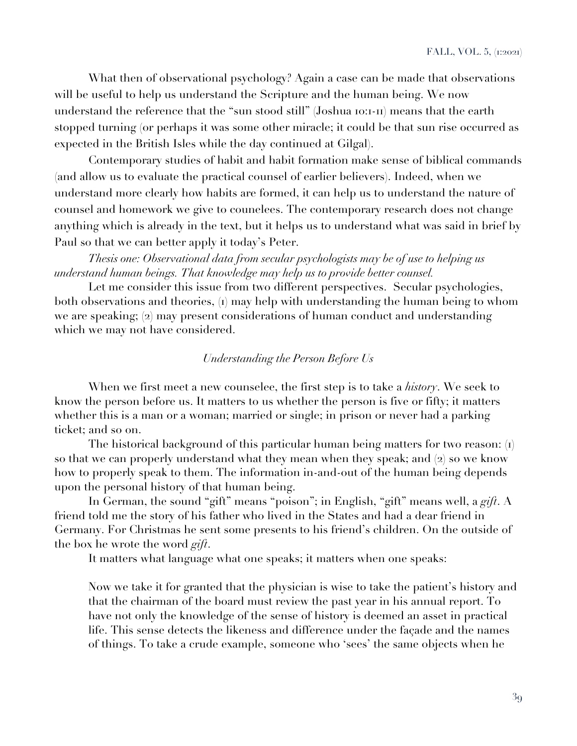What then of observational psychology? Again a case can be made that observations will be useful to help us understand the Scripture and the human being. We now understand the reference that the "sun stood still" (Joshua 10:1-11) means that the earth stopped turning (or perhaps it was some other miracle; it could be that sun rise occurred as expected in the British Isles while the day continued at Gilgal).

Contemporary studies of habit and habit formation make sense of biblical commands (and allow us to evaluate the practical counsel of earlier believers). Indeed, when we understand more clearly how habits are formed, it can help us to understand the nature of counsel and homework we give to counelees. The contemporary research does not change anything which is already in the text, but it helps us to understand what was said in brief by Paul so that we can better apply it today's Peter.

*Thesis one: Observational data from secular psychologists may be of use to helping us understand human beings. That knowledge may help us to provide better counsel.*

Let me consider this issue from two different perspectives. Secular psychologies, both observations and theories, (1) may help with understanding the human being to whom we are speaking; (2) may present considerations of human conduct and understanding which we may not have considered.

## *Understanding the Person Before Us*

When we first meet a new counselee, the first step is to take a *history*. We seek to know the person before us. It matters to us whether the person is five or fifty; it matters whether this is a man or a woman; married or single; in prison or never had a parking ticket; and so on.

The historical background of this particular human being matters for two reason: (1) so that we can properly understand what they mean when they speak; and (2) so we know how to properly speak to them. The information in-and-out of the human being depends upon the personal history of that human being.

In German, the sound "gift" means "poison"; in English, "gift" means well, a *gift*. A friend told me the story of his father who lived in the States and had a dear friend in Germany. For Christmas he sent some presents to his friend's children. On the outside of the box he wrote the word *gift*.

It matters what language what one speaks; it matters when one speaks:

Now we take it for granted that the physician is wise to take the patient's history and that the chairman of the board must review the past year in his annual report. To have not only the knowledge of the sense of history is deemed an asset in practical life. This sense detects the likeness and difference under the façade and the names of things. To take a crude example, someone who 'sees' the same objects when he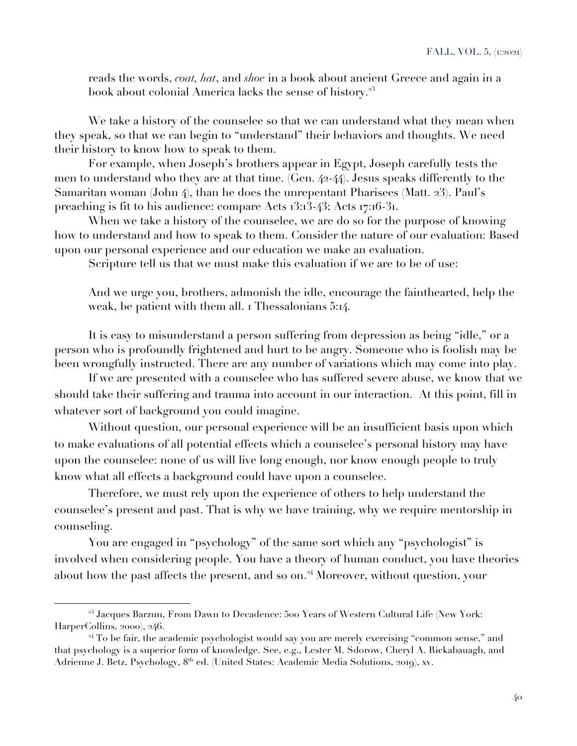reads the words, *coat, hat*, and *shoe* in a book about ancient Greece and again in a book about colonial America lacks the sense of history.<sup>23</sup>

We take a history of the counselee so that we can understand what they mean when they speak, so that we can begin to "understand" their behaviors and thoughts. We need their history to know how to speak to them.

For example, when Joseph's brothers appear in Egypt, Joseph carefully tests the men to understand who they are at that time. (Gen. 42-44). Jesus speaks differently to the Samaritan woman (John 4), than he does the unrepentant Pharisees (Matt. 23). Paul's preaching is fit to his audience: compare Acts 13:13-43; Acts 17:16-31.

When we take a history of the counselee, we are do so for the purpose of knowing how to understand and how to speak to them. Consider the nature of our evaluation: Based upon our personal experience and our education we make an evaluation.

Scripture tell us that we must make this evaluation if we are to be of use:

And we urge you, brothers, admonish the idle, encourage the fainthearted, help the weak, be patient with them all. I Thessalonians 5:14.

It is easy to misunderstand a person suffering from depression as being "idle," or a person who is profoundly frightened and hurt to be angry. Someone who is foolish may be been wrongfully instructed. There are any number of variations which may come into play.

If we are presented with a counselee who has suffered severe abuse, we know that we should take their suffering and trauma into account in our interaction. At this point, fill in whatever sort of background you could imagine.

Without question, our personal experience will be an insufficient basis upon which to make evaluations of all potential effects which a counselee's personal history may have upon the counselee: none of us will live long enough, nor know enough people to truly know what all effects a background could have upon a counselee.

Therefore, we must rely upon the experience of others to help understand the counselee's present and past. That is why we have training, why we require mentorship in counseling.

You are engaged in "psychology" of the same sort which any "psychologist" is involved when considering people. You have a theory of human conduct, you have theories about how the past affects the present, and so on.<sup>24</sup> Moreover, without question, your

 $^{23}$  Jacques Barzun, From Dawn to Decadence: 500 Years of Western Cultural Life (New York: HarperCollins, 2000), 246.

<sup>&</sup>lt;sup>24</sup> To be fair, the academic psychologist would say you are merely exercising "common sense," and that psychology is a superior form of knowledge. See, e.g., Lester M. Sdorow, Cheryl A. Rickabauagh, and Adrienne J. Betz, Psychology, 8<sup>th</sup> ed. (United States: Academic Media Solutions, 2019), xv.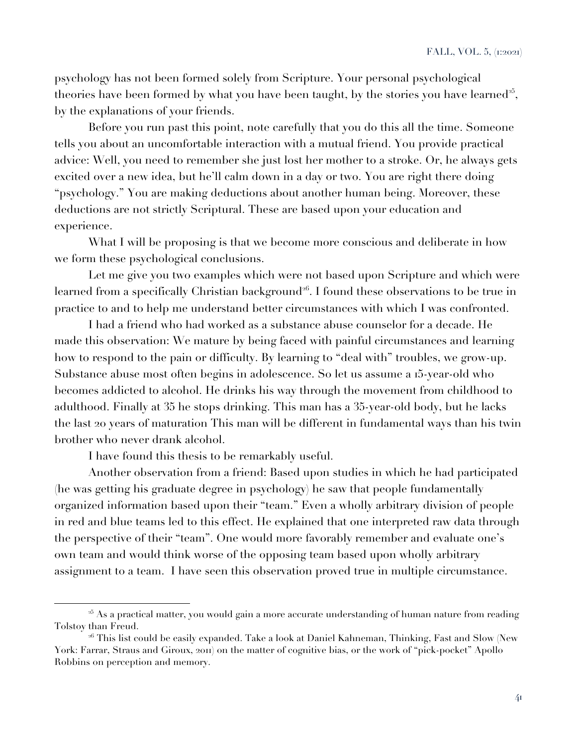psychology has not been formed solely from Scripture. Your personal psychological theories have been formed by what you have been taught, by the stories you have learned<sup>25</sup>, by the explanations of your friends.

Before you run past this point, note carefully that you do this all the time. Someone tells you about an uncomfortable interaction with a mutual friend. You provide practical advice: Well, you need to remember she just lost her mother to a stroke. Or, he always gets excited over a new idea, but he'll calm down in a day or two. You are right there doing "psychology." You are making deductions about another human being. Moreover, these deductions are not strictly Scriptural. These are based upon your education and experience.

What I will be proposing is that we become more conscious and deliberate in how we form these psychological conclusions.

Let me give you two examples which were not based upon Scripture and which were learned from a specifically Christian background<sup>26</sup>. I found these observations to be true in practice to and to help me understand better circumstances with which I was confronted.

I had a friend who had worked as a substance abuse counselor for a decade. He made this observation: We mature by being faced with painful circumstances and learning how to respond to the pain or difficulty. By learning to "deal with" troubles, we grow-up. Substance abuse most often begins in adolescence. So let us assume a 15-year-old who becomes addicted to alcohol. He drinks his way through the movement from childhood to adulthood. Finally at 35 he stops drinking. This man has a 35-year-old body, but he lacks the last 20 years of maturation This man will be different in fundamental ways than his twin brother who never drank alcohol.

I have found this thesis to be remarkably useful.

Another observation from a friend: Based upon studies in which he had participated (he was getting his graduate degree in psychology) he saw that people fundamentally organized information based upon their "team." Even a wholly arbitrary division of people in red and blue teams led to this effect. He explained that one interpreted raw data through the perspective of their "team". One would more favorably remember and evaluate one's own team and would think worse of the opposing team based upon wholly arbitrary assignment to a team. I have seen this observation proved true in multiple circumstance.

<sup>&</sup>lt;sup>25</sup> As a practical matter, you would gain a more accurate understanding of human nature from reading Tolstoy than Freud.

 $^{26}$  This list could be easily expanded. Take a look at Daniel Kahneman, Thinking, Fast and Slow (New York: Farrar, Straus and Giroux, 2011) on the matter of cognitive bias, or the work of "pick-pocket" Apollo Robbins on perception and memory.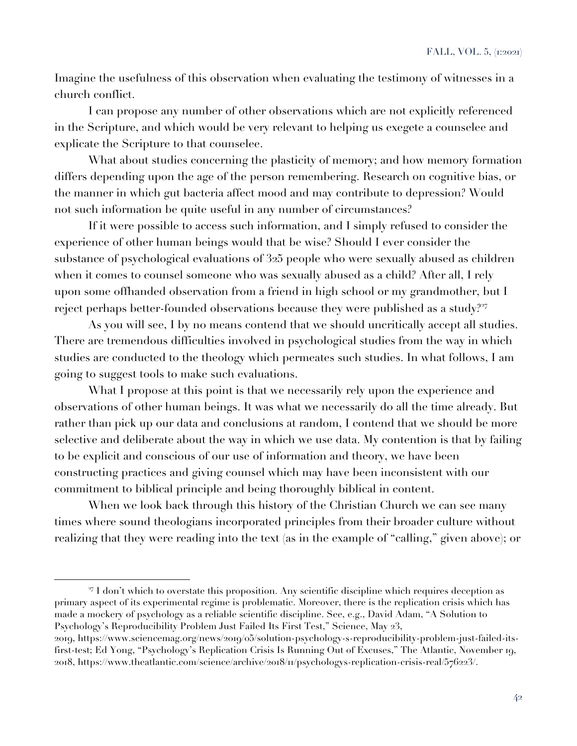Imagine the usefulness of this observation when evaluating the testimony of witnesses in a church conflict.

I can propose any number of other observations which are not explicitly referenced in the Scripture, and which would be very relevant to helping us exegete a counselee and explicate the Scripture to that counselee.

What about studies concerning the plasticity of memory; and how memory formation differs depending upon the age of the person remembering. Research on cognitive bias, or the manner in which gut bacteria affect mood and may contribute to depression? Would not such information be quite useful in any number of circumstances?

If it were possible to access such information, and I simply refused to consider the experience of other human beings would that be wise? Should I ever consider the substance of psychological evaluations of 325 people who were sexually abused as children when it comes to counsel someone who was sexually abused as a child? After all, I rely upon some offhanded observation from a friend in high school or my grandmother, but I reject perhaps better-founded observations because they were published as a study?<sup>27</sup>

As you will see, I by no means contend that we should uncritically accept all studies. There are tremendous difficulties involved in psychological studies from the way in which studies are conducted to the theology which permeates such studies. In what follows, I am going to suggest tools to make such evaluations.

What I propose at this point is that we necessarily rely upon the experience and observations of other human beings. It was what we necessarily do all the time already. But rather than pick up our data and conclusions at random, I contend that we should be more selective and deliberate about the way in which we use data. My contention is that by failing to be explicit and conscious of our use of information and theory, we have been constructing practices and giving counsel which may have been inconsistent with our commitment to biblical principle and being thoroughly biblical in content.

When we look back through this history of the Christian Church we can see many times where sound theologians incorporated principles from their broader culture without realizing that they were reading into the text (as in the example of "calling," given above); or

<sup>27</sup> I don't which to overstate this proposition. Any scientific discipline which requires deception as primary aspect of its experimental regime is problematic. Moreover, there is the replication crisis which has made a mockery of psychology as a reliable scientific discipline. See, e.g., David Adam, "A Solution to Psychology's Reproducibility Problem Just Failed Its First Test," Science, May 23,

<sup>2019</sup>, https://www.sciencemag.org/news/2019/05/solution-psychology-s-reproducibility-problem-just-failed-itsfirst-test; Ed Yong, "Psychology's Replication Crisis Is Running Out of Excuses," The Atlantic, November 19, 2018, https://www.theatlantic.com/science/archive/2018/11/psychologys-replication-crisis-real/576223/.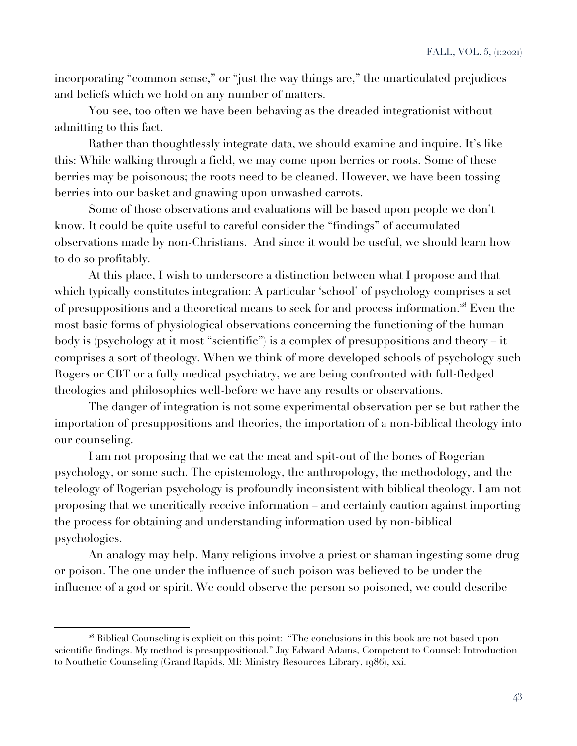incorporating "common sense," or "just the way things are," the unarticulated prejudices and beliefs which we hold on any number of matters.

You see, too often we have been behaving as the dreaded integrationist without admitting to this fact.

Rather than thoughtlessly integrate data, we should examine and inquire. It's like this: While walking through a field, we may come upon berries or roots. Some of these berries may be poisonous; the roots need to be cleaned. However, we have been tossing berries into our basket and gnawing upon unwashed carrots.

Some of those observations and evaluations will be based upon people we don't know. It could be quite useful to careful consider the "findings" of accumulated observations made by non-Christians. And since it would be useful, we should learn how to do so profitably.

At this place, I wish to underscore a distinction between what I propose and that which typically constitutes integration: A particular 'school' of psychology comprises a set of presuppositions and a theoretical means to seek for and process information.<sup>28</sup> Even the most basic forms of physiological observations concerning the functioning of the human body is (psychology at it most "scientific") is a complex of presuppositions and theory – it comprises a sort of theology. When we think of more developed schools of psychology such Rogers or CBT or a fully medical psychiatry, we are being confronted with full-fledged theologies and philosophies well-before we have any results or observations.

The danger of integration is not some experimental observation per se but rather the importation of presuppositions and theories, the importation of a non-biblical theology into our counseling.

I am not proposing that we eat the meat and spit-out of the bones of Rogerian psychology, or some such. The epistemology, the anthropology, the methodology, and the teleology of Rogerian psychology is profoundly inconsistent with biblical theology. I am not proposing that we uncritically receive information – and certainly caution against importing the process for obtaining and understanding information used by non-biblical psychologies.

An analogy may help. Many religions involve a priest or shaman ingesting some drug or poison. The one under the influence of such poison was believed to be under the influence of a god or spirit. We could observe the person so poisoned, we could describe

<sup>&</sup>lt;sup>28</sup> Biblical Counseling is explicit on this point: "The conclusions in this book are not based upon scientific findings. My method is presuppositional." Jay Edward Adams, Competent to Counsel: Introduction to Nouthetic Counseling (Grand Rapids, MI: Ministry Resources Library, 1986), xxi.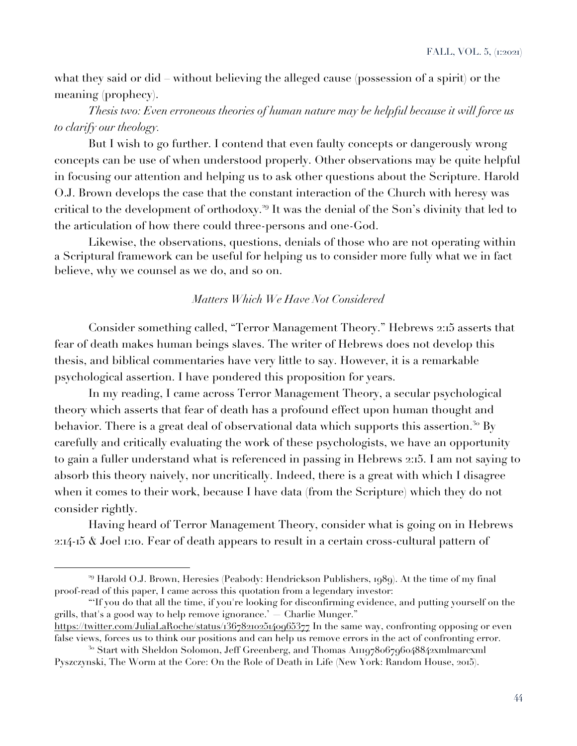what they said or did – without believing the alleged cause (possession of a spirit) or the meaning (prophecy).

*Thesis two: Even erroneous theories of human nature may be helpful because it will force us to clarify our theology.*

But I wish to go further. I contend that even faulty concepts or dangerously wrong concepts can be use of when understood properly. Other observations may be quite helpful in focusing our attention and helping us to ask other questions about the Scripture. Harold O.J. Brown develops the case that the constant interaction of the Church with heresy was critical to the development of orthodoxy.<sup>29</sup> It was the denial of the Son's divinity that led to the articulation of how there could three-persons and one-God.

Likewise, the observations, questions, denials of those who are not operating within a Scriptural framework can be useful for helping us to consider more fully what we in fact believe, why we counsel as we do, and so on.

#### *Matters Which We Have Not Considered*

Consider something called, "Terror Management Theory." Hebrews 2:15 asserts that fear of death makes human beings slaves. The writer of Hebrews does not develop this thesis, and biblical commentaries have very little to say. However, it is a remarkable psychological assertion. I have pondered this proposition for years.

In my reading, I came across Terror Management Theory, a secular psychological theory which asserts that fear of death has a profound effect upon human thought and behavior. There is a great deal of observational data which supports this assertion.<sup>30</sup> By carefully and critically evaluating the work of these psychologists, we have an opportunity to gain a fuller understand what is referenced in passing in Hebrews 2:15. I am not saying to absorb this theory naively, nor uncritically. Indeed, there is a great with which I disagree when it comes to their work, because I have data (from the Scripture) which they do not consider rightly.

Having heard of Terror Management Theory, consider what is going on in Hebrews 2:14-15 & Joel 1:10. Fear of death appears to result in a certain cross-cultural pattern of

"'If you do that all the time, if you're looking for disconfirming evidence, and putting yourself on the grills, that's a good way to help remove ignorance.' — Charlie Munger."

https://twitter.com/JuliaLaRoche/status/1367821025140965377 In the same way, confronting opposing or even false views, forces us to think our positions and can help us remove errors in the act of confronting error.

<sup>&</sup>lt;sup>29</sup> Harold O.J. Brown, Heresies (Peabody: Hendrickson Publishers, 1989). At the time of my final proof-read of this paper, I came across this quotation from a legendary investor:

<sup>&</sup>lt;sup>30</sup> Start with Sheldon Solomon, Jeff Greenberg, and Thomas A11197806796048842xmlmarcxml Pyszczynski, The Worm at the Core: On the Role of Death in Life (New York: Random House, 2015).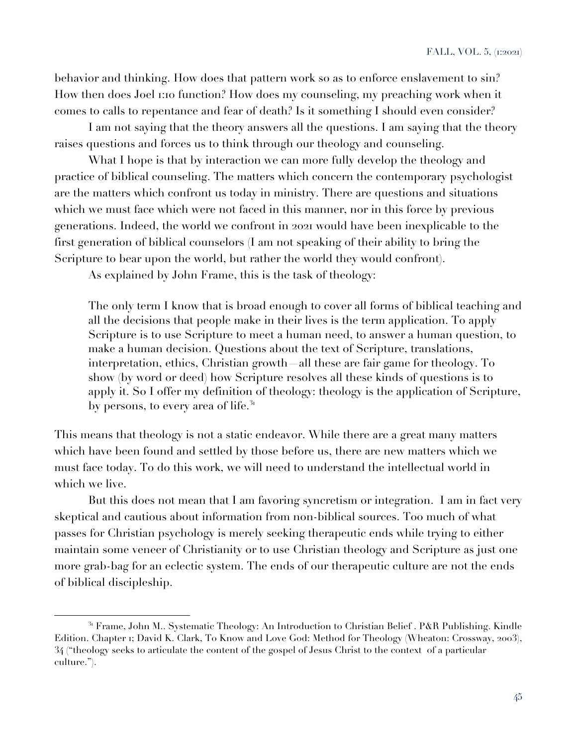behavior and thinking. How does that pattern work so as to enforce enslavement to sin? How then does Joel 1:10 function? How does my counseling, my preaching work when it comes to calls to repentance and fear of death? Is it something I should even consider?

I am not saying that the theory answers all the questions. I am saying that the theory raises questions and forces us to think through our theology and counseling.

What I hope is that by interaction we can more fully develop the theology and practice of biblical counseling. The matters which concern the contemporary psychologist are the matters which confront us today in ministry. There are questions and situations which we must face which were not faced in this manner, nor in this force by previous generations. Indeed, the world we confront in 2021 would have been inexplicable to the first generation of biblical counselors (I am not speaking of their ability to bring the Scripture to bear upon the world, but rather the world they would confront).

As explained by John Frame, this is the task of theology:

The only term I know that is broad enough to cover all forms of biblical teaching and all the decisions that people make in their lives is the term application. To apply Scripture is to use Scripture to meet a human need, to answer a human question, to make a human decision. Questions about the text of Scripture, translations, interpretation, ethics, Christian growth—all these are fair game for theology. To show (by word or deed) how Scripture resolves all these kinds of questions is to apply it. So I offer my definition of theology: theology is the application of Scripture, by persons, to every area of life. $31$ 

This means that theology is not a static endeavor. While there are a great many matters which have been found and settled by those before us, there are new matters which we must face today. To do this work, we will need to understand the intellectual world in which we live.

But this does not mean that I am favoring syncretism or integration. I am in fact very skeptical and cautious about information from non-biblical sources. Too much of what passes for Christian psychology is merely seeking therapeutic ends while trying to either maintain some veneer of Christianity or to use Christian theology and Scripture as just one more grab-bag for an eclectic system. The ends of our therapeutic culture are not the ends of biblical discipleship.

<sup>&</sup>lt;sup>31</sup> Frame, John M.. Systematic Theology: An Introduction to Christian Belief . P&R Publishing. Kindle Edition. Chapter 1; David K. Clark, To Know and Love God: Method for Theology (Wheaton: Crossway, 2003), 34 ("theology seeks to articulate the content of the gospel of Jesus Christ to the context of a particular culture.").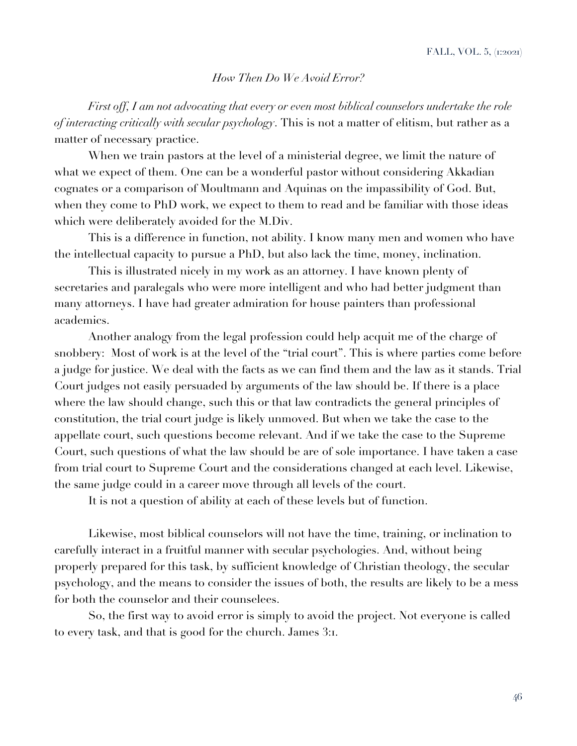#### *How Then Do We Avoid Error?*

*First off, I am not advocating that every or even most biblical counselors undertake the role of interacting critically with secular psychology*. This is not a matter of elitism, but rather as a matter of necessary practice.

When we train pastors at the level of a ministerial degree, we limit the nature of what we expect of them. One can be a wonderful pastor without considering Akkadian cognates or a comparison of Moultmann and Aquinas on the impassibility of God. But, when they come to PhD work, we expect to them to read and be familiar with those ideas which were deliberately avoided for the M.Div.

This is a difference in function, not ability. I know many men and women who have the intellectual capacity to pursue a PhD, but also lack the time, money, inclination.

This is illustrated nicely in my work as an attorney. I have known plenty of secretaries and paralegals who were more intelligent and who had better judgment than many attorneys. I have had greater admiration for house painters than professional academics.

Another analogy from the legal profession could help acquit me of the charge of snobbery: Most of work is at the level of the "trial court". This is where parties come before a judge for justice. We deal with the facts as we can find them and the law as it stands. Trial Court judges not easily persuaded by arguments of the law should be. If there is a place where the law should change, such this or that law contradicts the general principles of constitution, the trial court judge is likely unmoved. But when we take the case to the appellate court, such questions become relevant. And if we take the case to the Supreme Court, such questions of what the law should be are of sole importance. I have taken a case from trial court to Supreme Court and the considerations changed at each level. Likewise, the same judge could in a career move through all levels of the court.

It is not a question of ability at each of these levels but of function.

Likewise, most biblical counselors will not have the time, training, or inclination to carefully interact in a fruitful manner with secular psychologies. And, without being properly prepared for this task, by sufficient knowledge of Christian theology, the secular psychology, and the means to consider the issues of both, the results are likely to be a mess for both the counselor and their counselees.

So, the first way to avoid error is simply to avoid the project. Not everyone is called to every task, and that is good for the church. James 3:1.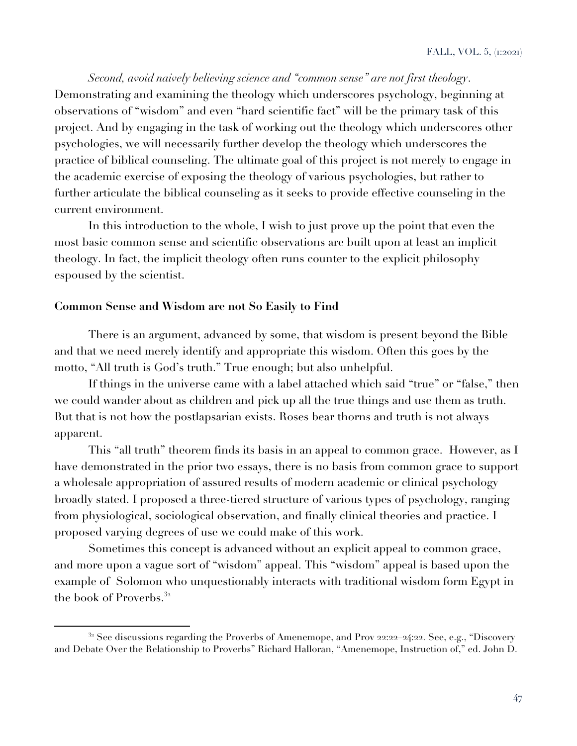*Second, avoid naively believing science and "common sense" are not first theology*. Demonstrating and examining the theology which underscores psychology, beginning at observations of "wisdom" and even "hard scientific fact" will be the primary task of this project. And by engaging in the task of working out the theology which underscores other psychologies, we will necessarily further develop the theology which underscores the practice of biblical counseling. The ultimate goal of this project is not merely to engage in the academic exercise of exposing the theology of various psychologies, but rather to further articulate the biblical counseling as it seeks to provide effective counseling in the current environment.

In this introduction to the whole, I wish to just prove up the point that even the most basic common sense and scientific observations are built upon at least an implicit theology. In fact, the implicit theology often runs counter to the explicit philosophy espoused by the scientist.

#### **Common Sense and Wisdom are not So Easily to Find**

There is an argument, advanced by some, that wisdom is present beyond the Bible and that we need merely identify and appropriate this wisdom. Often this goes by the motto, "All truth is God's truth." True enough; but also unhelpful.

If things in the universe came with a label attached which said "true" or "false," then we could wander about as children and pick up all the true things and use them as truth. But that is not how the postlapsarian exists. Roses bear thorns and truth is not always apparent.

This "all truth" theorem finds its basis in an appeal to common grace. However, as I have demonstrated in the prior two essays, there is no basis from common grace to support a wholesale appropriation of assured results of modern academic or clinical psychology broadly stated. I proposed a three-tiered structure of various types of psychology, ranging from physiological, sociological observation, and finally clinical theories and practice. I proposed varying degrees of use we could make of this work.

Sometimes this concept is advanced without an explicit appeal to common grace, and more upon a vague sort of "wisdom" appeal. This "wisdom" appeal is based upon the example of Solomon who unquestionably interacts with traditional wisdom form Egypt in the book of Proverbs.<sup>32</sup>

 $32$  See discussions regarding the Proverbs of Amenemope, and Prov 22:22–24:22. See, e.g., "Discovery and Debate Over the Relationship to Proverbs" Richard Halloran, "Amenemope, Instruction of," ed. John D.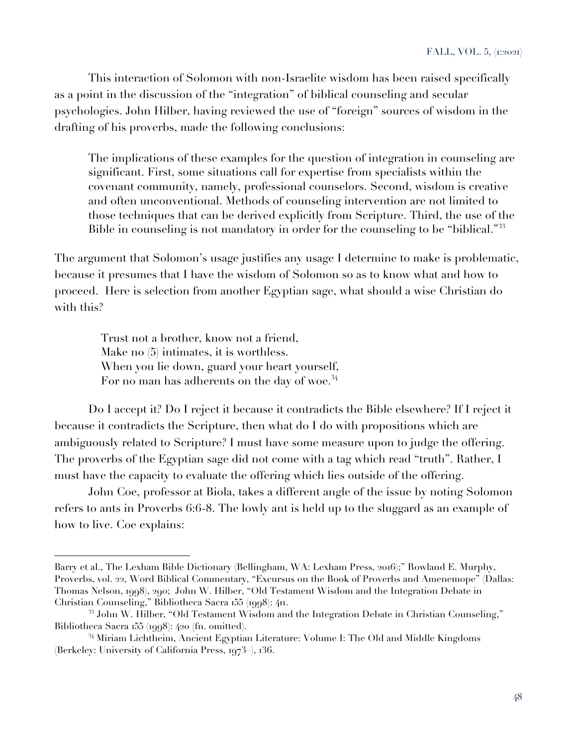This interaction of Solomon with non-Israelite wisdom has been raised specifically as a point in the discussion of the "integration" of biblical counseling and secular psychologies. John Hilber, having reviewed the use of "foreign" sources of wisdom in the drafting of his proverbs, made the following conclusions:

The implications of these examples for the question of integration in counseling are significant. First, some situations call for expertise from specialists within the covenant community, namely, professional counselors. Second, wisdom is creative and often unconventional. Methods of counseling intervention are not limited to those techniques that can be derived explicitly from Scripture. Third, the use of the Bible in counseling is not mandatory in order for the counseling to be "biblical."<sup>33</sup>

The argument that Solomon's usage justifies any usage I determine to make is problematic, because it presumes that I have the wisdom of Solomon so as to know what and how to proceed. Here is selection from another Egyptian sage, what should a wise Christian do with this?

 Trust not a brother, know not a friend, Make no (5) intimates, it is worthless. When you lie down, guard your heart yourself, For no man has adherents on the day of woe.<sup>34</sup>

Do I accept it? Do I reject it because it contradicts the Bible elsewhere? If I reject it because it contradicts the Scripture, then what do I do with propositions which are ambiguously related to Scripture? I must have some measure upon to judge the offering. The proverbs of the Egyptian sage did not come with a tag which read "truth". Rather, I must have the capacity to evaluate the offering which lies outside of the offering.

John Coe, professor at Biola, takes a different angle of the issue by noting Solomon refers to ants in Proverbs 6:6-8. The lowly ant is held up to the sluggard as an example of how to live. Coe explains:

Barry et al., The Lexham Bible Dictionary (Bellingham, WA: Lexham Press, 2016);" Rowland E. Murphy, Proverbs, vol. 22, Word Biblical Commentary, "Excursus on the Book of Proverbs and Amenemope" (Dallas: Thomas Nelson, 1998), 290; John W. Hilber, "Old Testament Wisdom and the Integration Debate in Christian Counseling," Bibliotheca Sacra 155 (1998): 411.

 $^{33}$  John W. Hilber, "Old Testament Wisdom and the Integration Debate in Christian Counseling," Bibliotheca Sacra 155 (1998): 420 (fn. omitted).

<sup>&</sup>lt;sup>34</sup> Miriam Lichtheim, Ancient Egyptian Literature: Volume I: The Old and Middle Kingdoms (Berkeley: University of California Press, 1973–), 136.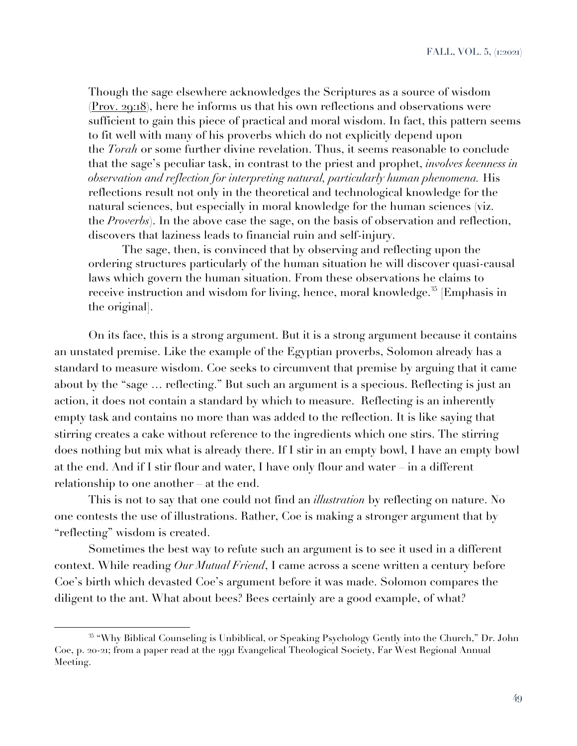Though the sage elsewhere acknowledges the Scriptures as a source of wisdom (Prov. 29:18), here he informs us that his own reflections and observations were sufficient to gain this piece of practical and moral wisdom. In fact, this pattern seems to fit well with many of his proverbs which do not explicitly depend upon the *Torah* or some further divine revelation. Thus, it seems reasonable to conclude that the sage's peculiar task, in contrast to the priest and prophet, *involves keenness in observation and reflection for interpreting natural, particularly human phenomena.* His reflections result not only in the theoretical and technological knowledge for the natural sciences, but especially in moral knowledge for the human sciences (viz. the *Proverbs*). In the above case the sage, on the basis of observation and reflection, discovers that laziness leads to financial ruin and self-injury.

The sage, then, is convinced that by observing and reflecting upon the ordering structures particularly of the human situation he will discover quasi-causal laws which govern the human situation. From these observations he claims to receive instruction and wisdom for living, hence, moral knowledge.<sup>35</sup> [Emphasis in the original].

On its face, this is a strong argument. But it is a strong argument because it contains an unstated premise. Like the example of the Egyptian proverbs, Solomon already has a standard to measure wisdom. Coe seeks to circumvent that premise by arguing that it came about by the "sage … reflecting." But such an argument is a specious. Reflecting is just an action, it does not contain a standard by which to measure. Reflecting is an inherently empty task and contains no more than was added to the reflection. It is like saying that stirring creates a cake without reference to the ingredients which one stirs. The stirring does nothing but mix what is already there. If I stir in an empty bowl, I have an empty bowl at the end. And if I stir flour and water, I have only flour and water – in a different relationship to one another – at the end.

This is not to say that one could not find an *illustration* by reflecting on nature. No one contests the use of illustrations. Rather, Coe is making a stronger argument that by "reflecting" wisdom is created.

Sometimes the best way to refute such an argument is to see it used in a different context. While reading *Our Mutual Friend*, I came across a scene written a century before Coe's birth which devasted Coe's argument before it was made. Solomon compares the diligent to the ant. What about bees? Bees certainly are a good example, of what?

<sup>35</sup> "Why Biblical Counseling is Unbiblical, or Speaking Psychology Gently into the Church," Dr. John Coe, p. 20-21; from a paper read at the 1991 Evangelical Theological Society, Far West Regional Annual Meeting.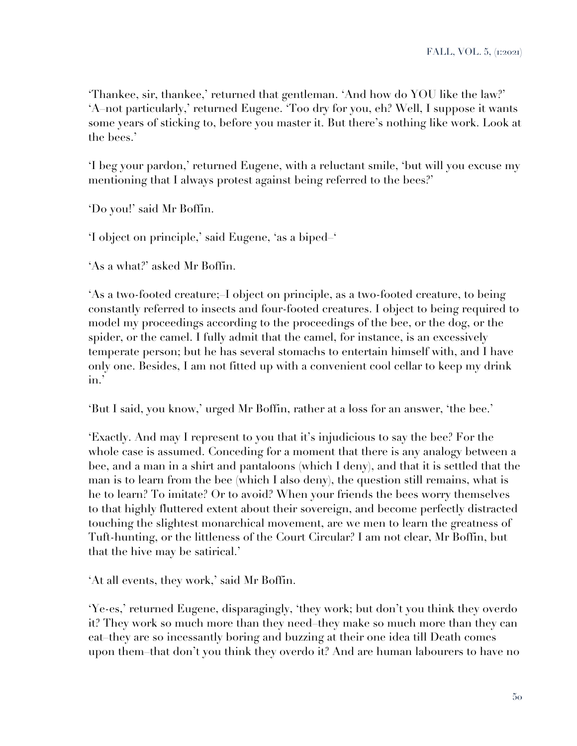'Thankee, sir, thankee,' returned that gentleman. 'And how do YOU like the law?' 'A–not particularly,' returned Eugene. 'Too dry for you, eh? Well, I suppose it wants some years of sticking to, before you master it. But there's nothing like work. Look at the bees.'

'I beg your pardon,' returned Eugene, with a reluctant smile, 'but will you excuse my mentioning that I always protest against being referred to the bees?'

'Do you!' said Mr Boffin.

'I object on principle,' said Eugene, 'as a biped–'

'As a what?' asked Mr Boffin.

'As a two-footed creature;–I object on principle, as a two-footed creature, to being constantly referred to insects and four-footed creatures. I object to being required to model my proceedings according to the proceedings of the bee, or the dog, or the spider, or the camel. I fully admit that the camel, for instance, is an excessively temperate person; but he has several stomachs to entertain himself with, and I have only one. Besides, I am not fitted up with a convenient cool cellar to keep my drink in.'

'But I said, you know,' urged Mr Boffin, rather at a loss for an answer, 'the bee.'

'Exactly. And may I represent to you that it's injudicious to say the bee? For the whole case is assumed. Conceding for a moment that there is any analogy between a bee, and a man in a shirt and pantaloons (which I deny), and that it is settled that the man is to learn from the bee (which I also deny), the question still remains, what is he to learn? To imitate? Or to avoid? When your friends the bees worry themselves to that highly fluttered extent about their sovereign, and become perfectly distracted touching the slightest monarchical movement, are we men to learn the greatness of Tuft-hunting, or the littleness of the Court Circular? I am not clear, Mr Boffin, but that the hive may be satirical.'

'At all events, they work,' said Mr Boffin.

'Ye-es,' returned Eugene, disparagingly, 'they work; but don't you think they overdo it? They work so much more than they need–they make so much more than they can eat–they are so incessantly boring and buzzing at their one idea till Death comes upon them–that don't you think they overdo it? And are human labourers to have no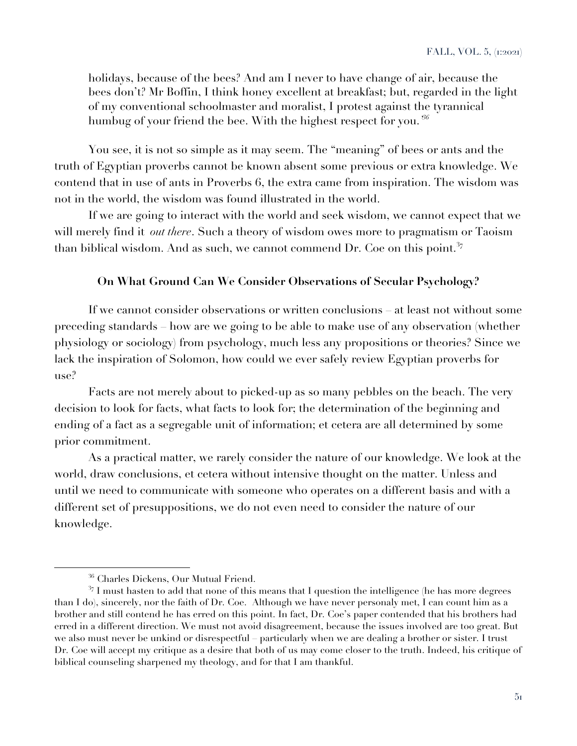holidays, because of the bees? And am I never to have change of air, because the bees don't? Mr Boffin, I think honey excellent at breakfast; but, regarded in the light of my conventional schoolmaster and moralist, I protest against the tyrannical humbug of your friend the bee. With the highest respect for you.*' 36*

You see, it is not so simple as it may seem. The "meaning" of bees or ants and the truth of Egyptian proverbs cannot be known absent some previous or extra knowledge. We contend that in use of ants in Proverbs 6, the extra came from inspiration. The wisdom was not in the world, the wisdom was found illustrated in the world.

If we are going to interact with the world and seek wisdom, we cannot expect that we will merely find it *out there*. Such a theory of wisdom owes more to pragmatism or Taoism than biblical wisdom. And as such, we cannot commend Dr. Coe on this point.<sup>37</sup>

## **On What Ground Can We Consider Observations of Secular Psychology?**

If we cannot consider observations or written conclusions – at least not without some preceding standards – how are we going to be able to make use of any observation (whether physiology or sociology) from psychology, much less any propositions or theories? Since we lack the inspiration of Solomon, how could we ever safely review Egyptian proverbs for  $use<sup>9</sup>$ 

Facts are not merely about to picked-up as so many pebbles on the beach. The very decision to look for facts, what facts to look for; the determination of the beginning and ending of a fact as a segregable unit of information; et cetera are all determined by some prior commitment.

As a practical matter, we rarely consider the nature of our knowledge. We look at the world, draw conclusions, et cetera without intensive thought on the matter. Unless and until we need to communicate with someone who operates on a different basis and with a different set of presuppositions, we do not even need to consider the nature of our knowledge.

<sup>36</sup> Charles Dickens, Our Mutual Friend.

 $37$  I must hasten to add that none of this means that I question the intelligence (he has more degrees than I do), sincerely, nor the faith of Dr. Coe. Although we have never personaly met, I can count him as a brother and still contend he has erred on this point. In fact, Dr. Coe's paper contended that his brothers had erred in a different direction. We must not avoid disagreement, because the issues involved are too great. But we also must never be unkind or disrespectful – particularly when we are dealing a brother or sister. I trust Dr. Coe will accept my critique as a desire that both of us may come closer to the truth. Indeed, his critique of biblical counseling sharpened my theology, and for that I am thankful.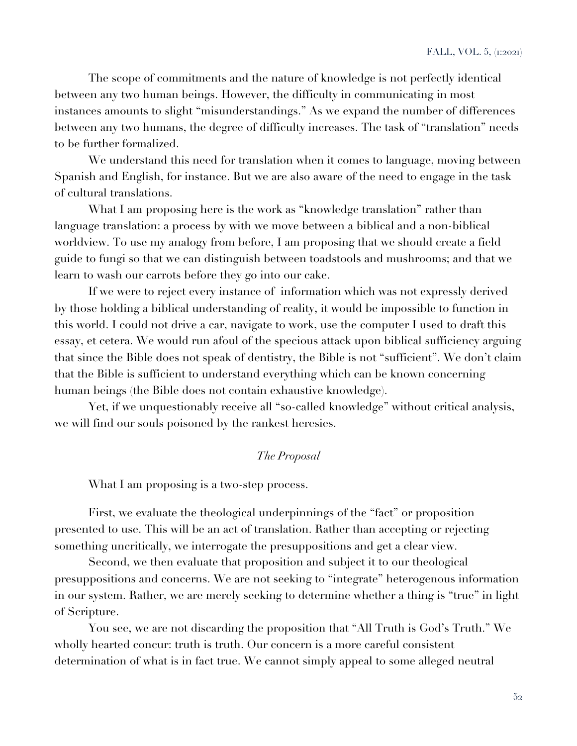The scope of commitments and the nature of knowledge is not perfectly identical between any two human beings. However, the difficulty in communicating in most instances amounts to slight "misunderstandings." As we expand the number of differences between any two humans, the degree of difficulty increases. The task of "translation" needs to be further formalized.

We understand this need for translation when it comes to language, moving between Spanish and English, for instance. But we are also aware of the need to engage in the task of cultural translations.

What I am proposing here is the work as "knowledge translation" rather than language translation: a process by with we move between a biblical and a non-biblical worldview. To use my analogy from before, I am proposing that we should create a field guide to fungi so that we can distinguish between toadstools and mushrooms; and that we learn to wash our carrots before they go into our cake.

If we were to reject every instance of information which was not expressly derived by those holding a biblical understanding of reality, it would be impossible to function in this world. I could not drive a car, navigate to work, use the computer I used to draft this essay, et cetera. We would run afoul of the specious attack upon biblical sufficiency arguing that since the Bible does not speak of dentistry, the Bible is not "sufficient". We don't claim that the Bible is sufficient to understand everything which can be known concerning human beings (the Bible does not contain exhaustive knowledge).

Yet, if we unquestionably receive all "so-called knowledge" without critical analysis, we will find our souls poisoned by the rankest heresies.

## *The Proposal*

What I am proposing is a two-step process.

First, we evaluate the theological underpinnings of the "fact" or proposition presented to use. This will be an act of translation. Rather than accepting or rejecting something uncritically, we interrogate the presuppositions and get a clear view.

Second, we then evaluate that proposition and subject it to our theological presuppositions and concerns. We are not seeking to "integrate" heterogenous information in our system. Rather, we are merely seeking to determine whether a thing is "true" in light of Scripture.

You see, we are not discarding the proposition that "All Truth is God's Truth." We wholly hearted concur: truth is truth. Our concern is a more careful consistent determination of what is in fact true. We cannot simply appeal to some alleged neutral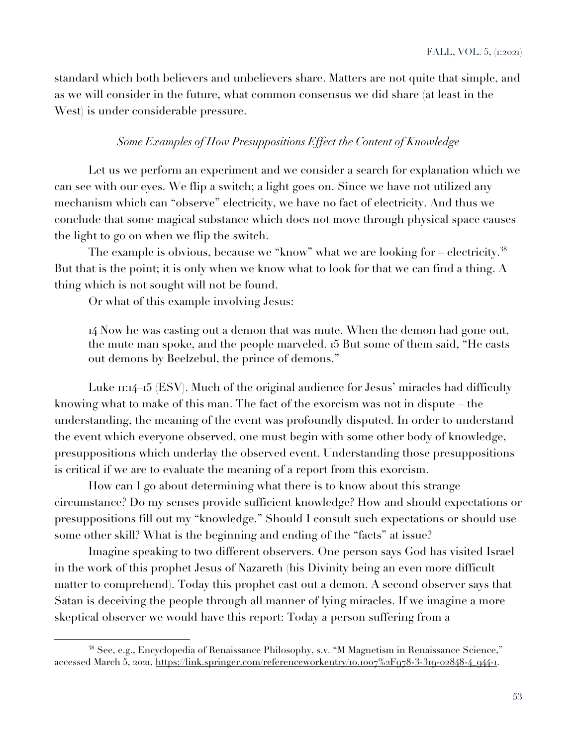standard which both believers and unbelievers share. Matters are not quite that simple, and as we will consider in the future, what common consensus we did share (at least in the West) is under considerable pressure.

## *Some Examples of How Presuppositions Effect the Content of Knowledge*

Let us we perform an experiment and we consider a search for explanation which we can see with our eyes. We flip a switch; a light goes on. Since we have not utilized any mechanism which can "observe" electricity, we have no fact of electricity. And thus we conclude that some magical substance which does not move through physical space causes the light to go on when we flip the switch.

The example is obvious, because we "know" what we are looking for – electricity.<sup>38</sup> But that is the point; it is only when we know what to look for that we can find a thing. A thing which is not sought will not be found.

Or what of this example involving Jesus:

14 Now he was casting out a demon that was mute. When the demon had gone out, the mute man spoke, and the people marveled. 15 But some of them said, "He casts out demons by Beelzebul, the prince of demons."

Luke 11:14–15 (ESV). Much of the original audience for Jesus' miracles had difficulty knowing what to make of this man. The fact of the exorcism was not in dispute – the understanding, the meaning of the event was profoundly disputed. In order to understand the event which everyone observed, one must begin with some other body of knowledge, presuppositions which underlay the observed event. Understanding those presuppositions is critical if we are to evaluate the meaning of a report from this exorcism.

How can I go about determining what there is to know about this strange circumstance? Do my senses provide sufficient knowledge? How and should expectations or presuppositions fill out my "knowledge." Should I consult such expectations or should use some other skill? What is the beginning and ending of the "facts" at issue?

Imagine speaking to two different observers. One person says God has visited Israel in the work of this prophet Jesus of Nazareth (his Divinity being an even more difficult matter to comprehend). Today this prophet cast out a demon. A second observer says that Satan is deceiving the people through all manner of lying miracles. If we imagine a more skeptical observer we would have this report: Today a person suffering from a

<sup>38</sup> See, e.g., Encyclopedia of Renaissance Philosophy, s.v. "M Magnetism in Renaissance Science," accessed March 5, 2021, https://link.springer.com/referenceworkentry/10.1007%2F978-3-319-02848-4\_944-1.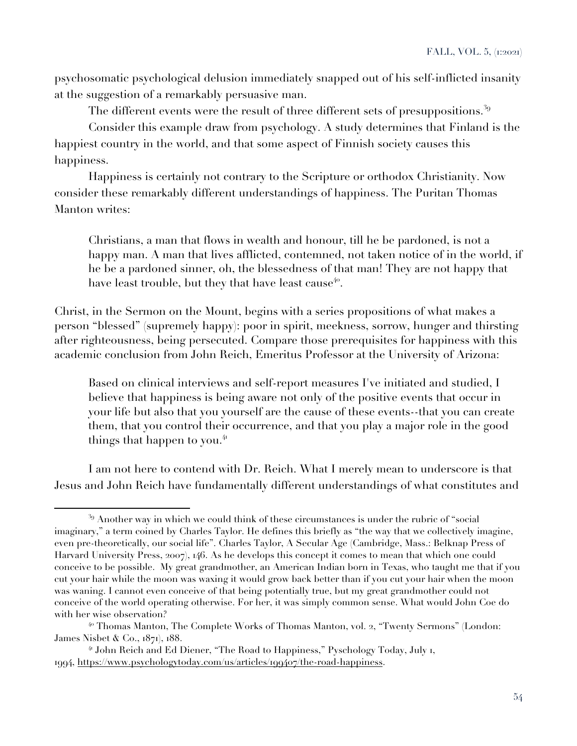psychosomatic psychological delusion immediately snapped out of his self-inflicted insanity at the suggestion of a remarkably persuasive man.

The different events were the result of three different sets of presuppositions.<sup>39</sup>

Consider this example draw from psychology. A study determines that Finland is the happiest country in the world, and that some aspect of Finnish society causes this happiness.

Happiness is certainly not contrary to the Scripture or orthodox Christianity. Now consider these remarkably different understandings of happiness. The Puritan Thomas Manton writes:

Christians, a man that flows in wealth and honour, till he be pardoned, is not a happy man. A man that lives afflicted, contemned, not taken notice of in the world, if he be a pardoned sinner, oh, the blessedness of that man! They are not happy that have least trouble, but they that have least cause<sup>40</sup>.

Christ, in the Sermon on the Mount, begins with a series propositions of what makes a person "blessed" (supremely happy): poor in spirit, meekness, sorrow, hunger and thirsting after righteousness, being persecuted. Compare those prerequisites for happiness with this academic conclusion from John Reich, Emeritus Professor at the University of Arizona:

Based on clinical interviews and self-report measures I've initiated and studied, I believe that happiness is being aware not only of the positive events that occur in your life but also that you yourself are the cause of these events--that you can create them, that you control their occurrence, and that you play a major role in the good things that happen to you. $4$ 

I am not here to contend with Dr. Reich. What I merely mean to underscore is that Jesus and John Reich have fundamentally different understandings of what constitutes and

<sup>&</sup>lt;sup>39</sup> Another way in which we could think of these circumstances is under the rubric of "social imaginary," a term coined by Charles Taylor. He defines this briefly as "the way that we collectively imagine, even pre-theoretically, our social life". Charles Taylor, A Secular Age (Cambridge, Mass.: Belknap Press of Harvard University Press, 2007), 146. As he develops this concept it comes to mean that which one could conceive to be possible. My great grandmother, an American Indian born in Texas, who taught me that if you cut your hair while the moon was waxing it would grow back better than if you cut your hair when the moon was waning. I cannot even conceive of that being potentially true, but my great grandmother could not conceive of the world operating otherwise. For her, it was simply common sense. What would John Coe do with her wise observation?

<sup>&</sup>lt;sup>40</sup> Thomas Manton, The Complete Works of Thomas Manton, vol. 2, "Twenty Sermons" (London: James Nisbet & Co., 1871), 188.

<sup>&</sup>lt;sup>41</sup> John Reich and Ed Diener, "The Road to Happiness," Pyschology Today, July 1, 1994, https://www.psychologytoday.com/us/articles/199407/the-road-happiness.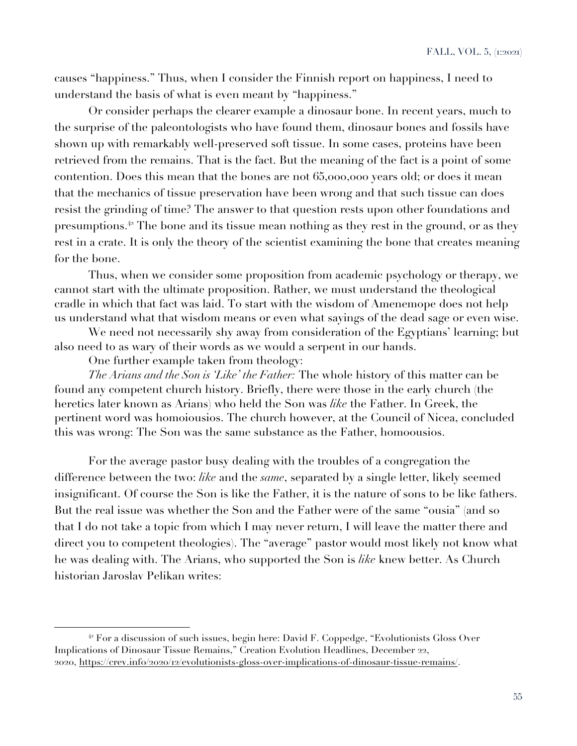causes "happiness." Thus, when I consider the Finnish report on happiness, I need to understand the basis of what is even meant by "happiness."

Or consider perhaps the clearer example a dinosaur bone. In recent years, much to the surprise of the paleontologists who have found them, dinosaur bones and fossils have shown up with remarkably well-preserved soft tissue. In some cases, proteins have been retrieved from the remains. That is the fact. But the meaning of the fact is a point of some contention. Does this mean that the bones are not 65,000,000 years old; or does it mean that the mechanics of tissue preservation have been wrong and that such tissue can does resist the grinding of time? The answer to that question rests upon other foundations and presumptions.<sup>42</sup> The bone and its tissue mean nothing as they rest in the ground, or as they rest in a crate. It is only the theory of the scientist examining the bone that creates meaning for the bone.

Thus, when we consider some proposition from academic psychology or therapy, we cannot start with the ultimate proposition. Rather, we must understand the theological cradle in which that fact was laid. To start with the wisdom of Amenemope does not help us understand what that wisdom means or even what sayings of the dead sage or even wise.

We need not necessarily shy away from consideration of the Egyptians' learning; but also need to as wary of their words as we would a serpent in our hands.

One further example taken from theology:

*The Arians and the Son is 'Like' the Father:* The whole history of this matter can be found any competent church history. Briefly, there were those in the early church (the heretics later known as Arians) who held the Son was *like* the Father. In Greek, the pertinent word was homoiousios. The church however, at the Council of Nicea, concluded this was wrong: The Son was the same substance as the Father, homoousios.

For the average pastor busy dealing with the troubles of a congregation the difference between the two: *like* and the *same*, separated by a single letter, likely seemed insignificant. Of course the Son is like the Father, it is the nature of sons to be like fathers. But the real issue was whether the Son and the Father were of the same "ousia" (and so that I do not take a topic from which I may never return, I will leave the matter there and direct you to competent theologies). The "average" pastor would most likely not know what he was dealing with. The Arians, who supported the Son is *like* knew better. As Church historian Jaroslav Pelikan writes:

 $42$  For a discussion of such issues, begin here: David F. Coppedge, "Evolutionists Gloss Over Implications of Dinosaur Tissue Remains," Creation Evolution Headlines, December 22, 2020, https://crev.info/2020/12/evolutionists-gloss-over-implications-of-dinosaur-tissue-remains/.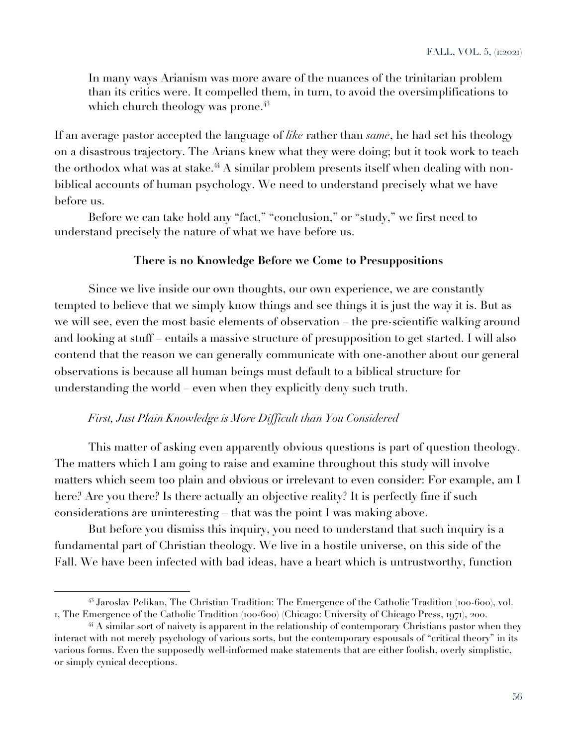In many ways Arianism was more aware of the nuances of the trinitarian problem than its critics were. It compelled them, in turn, to avoid the oversimplifications to which church theology was prone. $4^3$ 

If an average pastor accepted the language of *like* rather than *same*, he had set his theology on a disastrous trajectory. The Arians knew what they were doing; but it took work to teach the orthodox what was at stake.<sup>44</sup> A similar problem presents itself when dealing with nonbiblical accounts of human psychology. We need to understand precisely what we have before us.

Before we can take hold any "fact," "conclusion," or "study," we first need to understand precisely the nature of what we have before us.

## **There is no Knowledge Before we Come to Presuppositions**

Since we live inside our own thoughts, our own experience, we are constantly tempted to believe that we simply know things and see things it is just the way it is. But as we will see, even the most basic elements of observation – the pre-scientific walking around and looking at stuff – entails a massive structure of presupposition to get started. I will also contend that the reason we can generally communicate with one-another about our general observations is because all human beings must default to a biblical structure for understanding the world – even when they explicitly deny such truth.

### *First, Just Plain Knowledge is More Difficult than You Considered*

This matter of asking even apparently obvious questions is part of question theology. The matters which I am going to raise and examine throughout this study will involve matters which seem too plain and obvious or irrelevant to even consider: For example, am I here? Are you there? Is there actually an objective reality? It is perfectly fine if such considerations are uninteresting – that was the point I was making above.

But before you dismiss this inquiry, you need to understand that such inquiry is a fundamental part of Christian theology. We live in a hostile universe, on this side of the Fall. We have been infected with bad ideas, have a heart which is untrustworthy, function

<sup>43</sup> Jaroslav Pelikan, The Christian Tradition: The Emergence of the Catholic Tradition (100-600), vol. 1, The Emergence of the Catholic Tradition (100-600) (Chicago: University of Chicago Press, 1971), 200.

<sup>&</sup>lt;sup>44</sup> A similar sort of naivety is apparent in the relationship of contemporary Christians pastor when they interact with not merely psychology of various sorts, but the contemporary espousals of "critical theory" in its various forms. Even the supposedly well-informed make statements that are either foolish, overly simplistic, or simply cynical deceptions.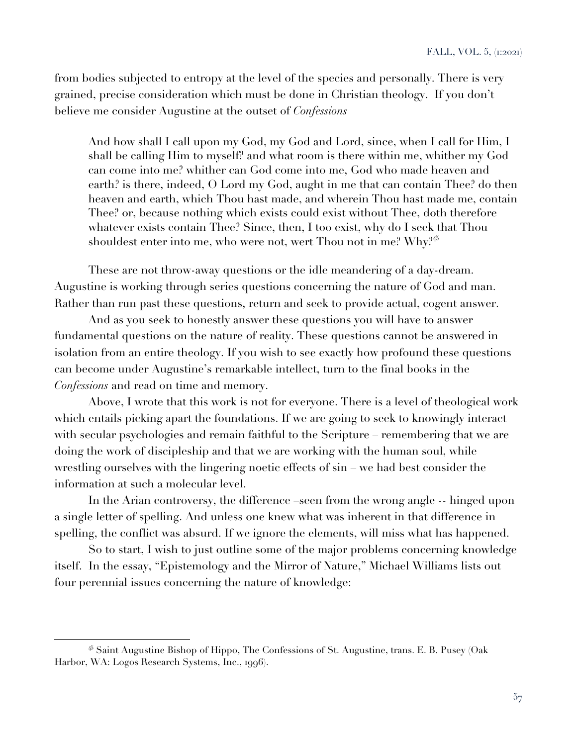from bodies subjected to entropy at the level of the species and personally. There is very grained, precise consideration which must be done in Christian theology. If you don't believe me consider Augustine at the outset of *Confessions*

And how shall I call upon my God, my God and Lord, since, when I call for Him, I shall be calling Him to myself? and what room is there within me, whither my God can come into me? whither can God come into me, God who made heaven and earth? is there, indeed, O Lord my God, aught in me that can contain Thee? do then heaven and earth, which Thou hast made, and wherein Thou hast made me, contain Thee? or, because nothing which exists could exist without Thee, doth therefore whatever exists contain Thee? Since, then, I too exist, why do I seek that Thou shouldest enter into me, who were not, wert Thou not in me? Why?<sup>45</sup>

These are not throw-away questions or the idle meandering of a day-dream. Augustine is working through series questions concerning the nature of God and man. Rather than run past these questions, return and seek to provide actual, cogent answer.

And as you seek to honestly answer these questions you will have to answer fundamental questions on the nature of reality. These questions cannot be answered in isolation from an entire theology. If you wish to see exactly how profound these questions can become under Augustine's remarkable intellect, turn to the final books in the *Confessions* and read on time and memory.

Above, I wrote that this work is not for everyone. There is a level of theological work which entails picking apart the foundations. If we are going to seek to knowingly interact with secular psychologies and remain faithful to the Scripture – remembering that we are doing the work of discipleship and that we are working with the human soul, while wrestling ourselves with the lingering noetic effects of sin – we had best consider the information at such a molecular level.

In the Arian controversy, the difference seen from the wrong angle -- hinged upon a single letter of spelling. And unless one knew what was inherent in that difference in spelling, the conflict was absurd. If we ignore the elements, will miss what has happened.

So to start, I wish to just outline some of the major problems concerning knowledge itself. In the essay, "Epistemology and the Mirror of Nature," Michael Williams lists out four perennial issues concerning the nature of knowledge:

 $45$  Saint Augustine Bishop of Hippo, The Confessions of St. Augustine, trans. E. B. Pusey (Oak Harbor, WA: Logos Research Systems, Inc., 1996).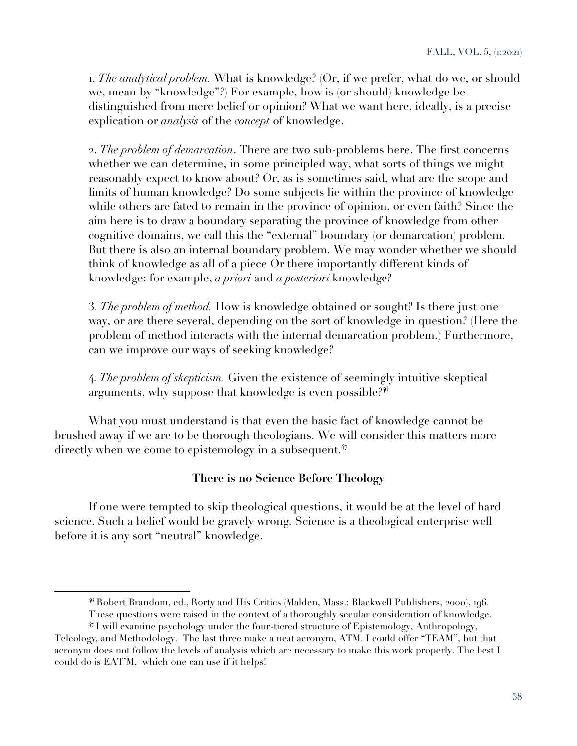1. *The analytical problem.* What is knowledge? (Or, if we prefer, what do we, or should we, mean by "knowledge"?) For example, how is (or should) knowledge be distinguished from mere belief or opinion? What we want here, ideally, is a precise explication or *analysis* of the *concept* of knowledge.

2. *The problem of demarcation*. There are two sub-problems here. The first concerns whether we can determine, in some principled way, what sorts of things we might reasonably expect to know about? Or, as is sometimes said, what are the scope and limits of human knowledge? Do some subjects lie within the province of knowledge while others are fated to remain in the province of opinion, or even faith? Since the aim here is to draw a boundary separating the province of knowledge from other cognitive domains, we call this the "external" boundary (or demarcation) problem. But there is also an internal boundary problem. We may wonder whether we should think of knowledge as all of a piece Or there importantly different kinds of knowledge: for example, *a priori* and *a posteriori* knowledge?

3. *The problem of method.* How is knowledge obtained or sought? Is there just one way, or are there several, depending on the sort of knowledge in question? (Here the problem of method interacts with the internal demarcation problem.) Furthermore, can we improve our ways of seeking knowledge?

4. *The problem of skepticism.* Given the existence of seemingly intuitive skeptical arguments, why suppose that knowledge is even possible. $2^{46}$ 

What you must understand is that even the basic fact of knowledge cannot be brushed away if we are to be thorough theologians. We will consider this matters more directly when we come to epistemology in a subsequent.<sup>47</sup>

### **There is no Science Before Theology**

If one were tempted to skip theological questions, it would be at the level of hard science. Such a belief would be gravely wrong. Science is a theological enterprise well before it is any sort "neutral" knowledge.

<sup>46</sup> Robert Brandom, ed., Rorty and His Critics (Malden, Mass.: Blackwell Publishers, 2000), 196. These questions were raised in the context of a thoroughly secular consideration of knowledge.

<sup>47</sup> I will examine psychology under the four-tiered structure of Epistemology, Anthropology, Teleology, and Methodology. The last three make a neat acronym, ATM. I could offer "TEAM", but that acronym does not follow the levels of analysis which are necessary to make this work properly. The best I could do is EAT'M, which one can use if it helps!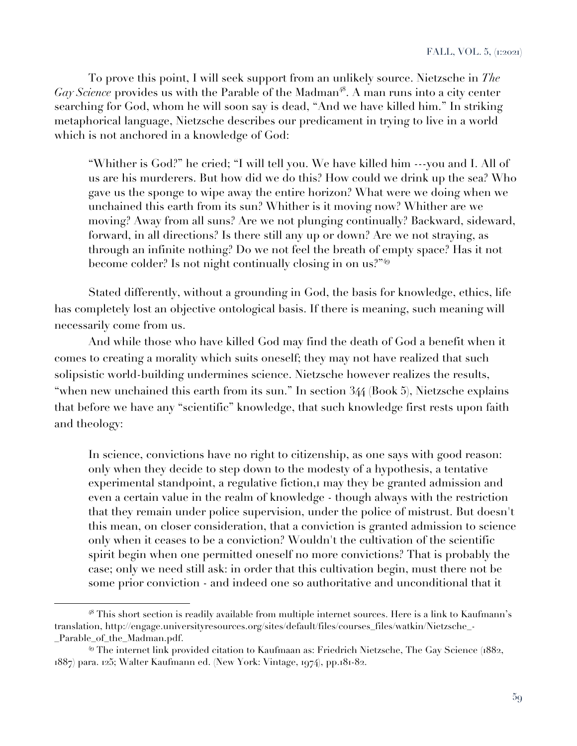To prove this point, I will seek support from an unlikely source. Nietzsche in *The Gay Science* provides us with the Parable of the Madman<sup>48</sup>. A man runs into a city center searching for God, whom he will soon say is dead, "And we have killed him." In striking metaphorical language, Nietzsche describes our predicament in trying to live in a world which is not anchored in a knowledge of God:

"Whither is God?" he cried; "I will tell you. We have killed him ---you and I. All of us are his murderers. But how did we do this? How could we drink up the sea? Who gave us the sponge to wipe away the entire horizon? What were we doing when we unchained this earth from its sun? Whither is it moving now? Whither are we moving? Away from all suns? Are we not plunging continually? Backward, sideward, forward, in all directions? Is there still any up or down? Are we not straying, as through an infinite nothing? Do we not feel the breath of empty space? Has it not become colder? Is not night continually closing in on us?"<sup>49</sup>

Stated differently, without a grounding in God, the basis for knowledge, ethics, life has completely lost an objective ontological basis. If there is meaning, such meaning will necessarily come from us.

And while those who have killed God may find the death of God a benefit when it comes to creating a morality which suits oneself; they may not have realized that such solipsistic world-building undermines science. Nietzsche however realizes the results, "when new unchained this earth from its sun." In section 344 (Book 5), Nietzsche explains that before we have any "scientific" knowledge, that such knowledge first rests upon faith and theology:

In science, convictions have no right to citizenship, as one says with good reason: only when they decide to step down to the modesty of a hypothesis, a tentative experimental standpoint, a regulative fiction, may they be granted admission and even a certain value in the realm of knowledge - though always with the restriction that they remain under police supervision, under the police of mistrust. But doesn't this mean, on closer consideration, that a conviction is granted admission to science only when it ceases to be a conviction? Wouldn't the cultivation of the scientific spirit begin when one permitted oneself no more convictions? That is probably the case; only we need still ask: in order that this cultivation begin, must there not be some prior conviction - and indeed one so authoritative and unconditional that it

<sup>48</sup> This short section is readily available from multiple internet sources. Here is a link to Kaufmann's translation, http://engage.universityresources.org/sites/default/files/courses\_files/watkin/Nietzsche\_- Parable of the Madman.pdf.

<sup>49</sup> The internet link provided citation to Kaufmaan as: Friedrich Nietzsche, The Gay Science (1882, 1887) para. 125; Walter Kaufmann ed. (New York: Vintage, 1974), pp.181-82.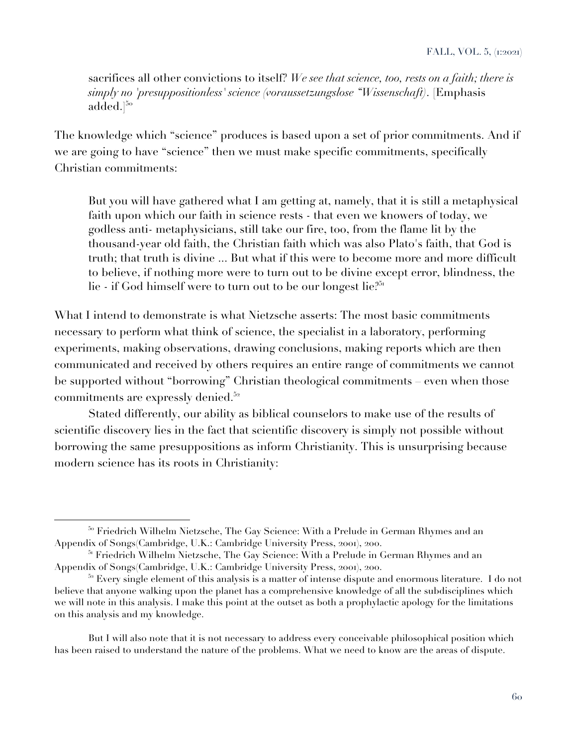sacrifices all other convictions to itself? *We see that science, too, rests on a faith; there is simply no 'presuppositionless' science (voraussetzungslose "Wissenschaft)*. [Emphasis  $\mathrm{added.}]^{5\mathrm{o}}$ 

The knowledge which "science" produces is based upon a set of prior commitments. And if we are going to have "science" then we must make specific commitments, specifically Christian commitments:

But you will have gathered what I am getting at, namely, that it is still a metaphysical faith upon which our faith in science rests - that even we knowers of today, we godless anti- metaphysicians, still take our fire, too, from the flame lit by the thousand-year old faith, the Christian faith which was also Plato's faith, that God is truth; that truth is divine ... But what if this were to become more and more difficult to believe, if nothing more were to turn out to be divine except error, blindness, the lie - if God himself were to turn out to be our longest lie?<sup>51</sup>

What I intend to demonstrate is what Nietzsche asserts: The most basic commitments necessary to perform what think of science, the specialist in a laboratory, performing experiments, making observations, drawing conclusions, making reports which are then communicated and received by others requires an entire range of commitments we cannot be supported without "borrowing" Christian theological commitments – even when those commitments are expressly denied.<sup>52</sup>

Stated differently, our ability as biblical counselors to make use of the results of scientific discovery lies in the fact that scientific discovery is simply not possible without borrowing the same presuppositions as inform Christianity. This is unsurprising because modern science has its roots in Christianity:

But I will also note that it is not necessary to address every conceivable philosophical position which has been raised to understand the nature of the problems. What we need to know are the areas of dispute.

<sup>&</sup>lt;sup>50</sup> Friedrich Wilhelm Nietzsche, The Gay Science: With a Prelude in German Rhymes and an Appendix of Songs(Cambridge, U.K.: Cambridge University Press, 2001), 200.

<sup>&</sup>lt;sup>51</sup> Friedrich Wilhelm Nietzsche, The Gay Science: With a Prelude in German Rhymes and an Appendix of Songs(Cambridge, U.K.: Cambridge University Press, 2001), 200.

 $52$  Every single element of this analysis is a matter of intense dispute and enormous literature. I do not believe that anyone walking upon the planet has a comprehensive knowledge of all the subdisciplines which we will note in this analysis. I make this point at the outset as both a prophylactic apology for the limitations on this analysis and my knowledge.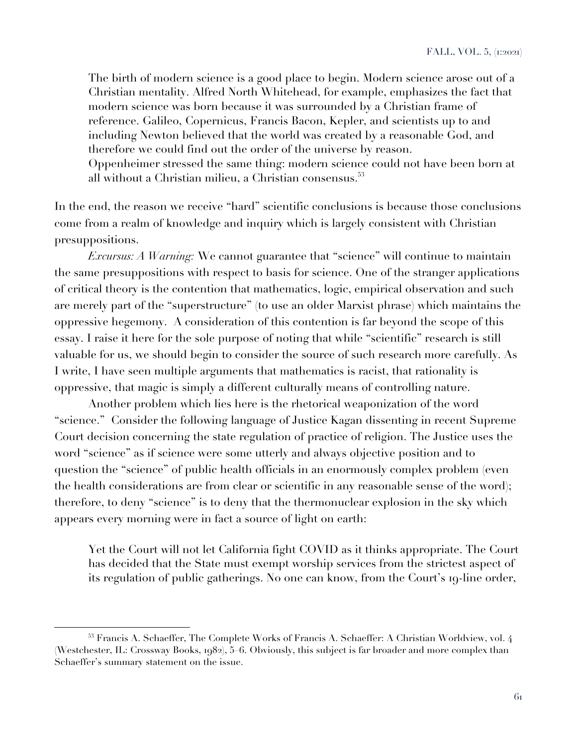The birth of modern science is a good place to begin. Modern science arose out of a Christian mentality. Alfred North Whitehead, for example, emphasizes the fact that modern science was born because it was surrounded by a Christian frame of reference. Galileo, Copernicus, Francis Bacon, Kepler, and scientists up to and including Newton believed that the world was created by a reasonable God, and therefore we could find out the order of the universe by reason. Oppenheimer stressed the same thing: modern science could not have been born at all without a Christian milieu, a Christian consensus.<sup>53</sup>

In the end, the reason we receive "hard" scientific conclusions is because those conclusions come from a realm of knowledge and inquiry which is largely consistent with Christian presuppositions.

*Excursus: A Warning:* We cannot guarantee that "science" will continue to maintain the same presuppositions with respect to basis for science. One of the stranger applications of critical theory is the contention that mathematics, logic, empirical observation and such are merely part of the "superstructure" (to use an older Marxist phrase) which maintains the oppressive hegemony. A consideration of this contention is far beyond the scope of this essay. I raise it here for the sole purpose of noting that while "scientific" research is still valuable for us, we should begin to consider the source of such research more carefully. As I write, I have seen multiple arguments that mathematics is racist, that rationality is oppressive, that magic is simply a different culturally means of controlling nature.

Another problem which lies here is the rhetorical weaponization of the word "science." Consider the following language of Justice Kagan dissenting in recent Supreme Court decision concerning the state regulation of practice of religion. The Justice uses the word "science" as if science were some utterly and always objective position and to question the "science" of public health officials in an enormously complex problem (even the health considerations are from clear or scientific in any reasonable sense of the word); therefore, to deny "science" is to deny that the thermonuclear explosion in the sky which appears every morning were in fact a source of light on earth:

Yet the Court will not let California fight COVID as it thinks appropriate. The Court has decided that the State must exempt worship services from the strictest aspect of its regulation of public gatherings. No one can know, from the Court's 19-line order,

<sup>&</sup>lt;sup>53</sup> Francis A. Schaeffer, The Complete Works of Francis A. Schaeffer: A Christian Worldview, vol. 4 (Westchester, IL: Crossway Books, 1982), 5–6. Obviously, this subject is far broader and more complex than Schaeffer's summary statement on the issue.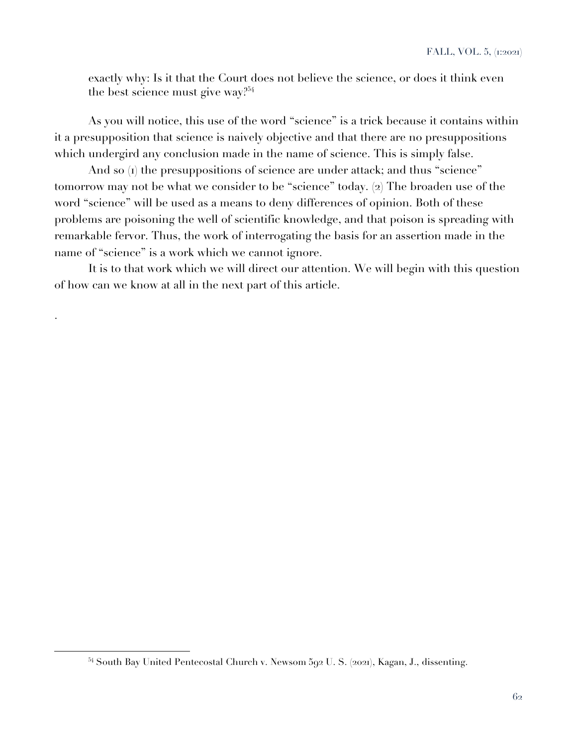exactly why: Is it that the Court does not believe the science, or does it think even the best science must give way?<sup>54</sup>

As you will notice, this use of the word "science" is a trick because it contains within it a presupposition that science is naively objective and that there are no presuppositions which undergird any conclusion made in the name of science. This is simply false.

And so (1) the presuppositions of science are under attack; and thus "science" tomorrow may not be what we consider to be "science" today. (2) The broaden use of the word "science" will be used as a means to deny differences of opinion. Both of these problems are poisoning the well of scientific knowledge, and that poison is spreading with remarkable fervor. Thus, the work of interrogating the basis for an assertion made in the name of "science" is a work which we cannot ignore.

It is to that work which we will direct our attention. We will begin with this question of how can we know at all in the next part of this article.

.

<sup>54</sup> South Bay United Pentecostal Church v. Newsom 592 U. S. (2021), Kagan, J., dissenting.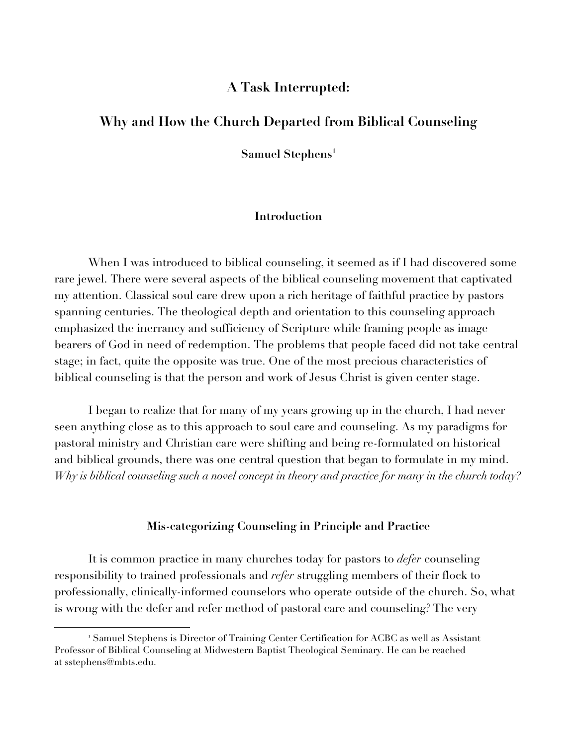# **A Task Interrupted:**

# **Why and How the Church Departed from Biblical Counseling**

**Samuel Stephens1**

#### **Introduction**

When I was introduced to biblical counseling, it seemed as if I had discovered some rare jewel. There were several aspects of the biblical counseling movement that captivated my attention. Classical soul care drew upon a rich heritage of faithful practice by pastors spanning centuries. The theological depth and orientation to this counseling approach emphasized the inerrancy and sufficiency of Scripture while framing people as image bearers of God in need of redemption. The problems that people faced did not take central stage; in fact, quite the opposite was true. One of the most precious characteristics of biblical counseling is that the person and work of Jesus Christ is given center stage.

I began to realize that for many of my years growing up in the church, I had never seen anything close as to this approach to soul care and counseling. As my paradigms for pastoral ministry and Christian care were shifting and being re-formulated on historical and biblical grounds, there was one central question that began to formulate in my mind. Why is biblical counseling such a novel concept in theory and practice for many in the church today?

#### **Mis-categorizing Counseling in Principle and Practice**

It is common practice in many churches today for pastors to *defer* counseling responsibility to trained professionals and *refer* struggling members of their flock to professionally, clinically-informed counselors who operate outside of the church. So, what is wrong with the defer and refer method of pastoral care and counseling? The very

<sup>1</sup> Samuel Stephens is Director of Training Center Certification for ACBC as well as Assistant Professor of Biblical Counseling at Midwestern Baptist Theological Seminary. He can be reached at sstephens@mbts.edu.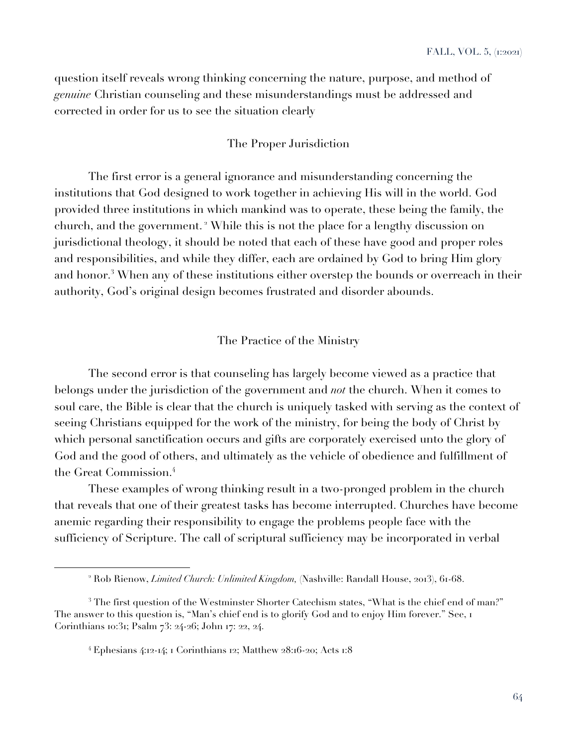question itself reveals wrong thinking concerning the nature, purpose, and method of *genuine* Christian counseling and these misunderstandings must be addressed and corrected in order for us to see the situation clearly

### The Proper Jurisdiction

The first error is a general ignorance and misunderstanding concerning the institutions that God designed to work together in achieving His will in the world. God provided three institutions in which mankind was to operate, these being the family, the church, and the government. <sup>2</sup> While this is not the place for a lengthy discussion on jurisdictional theology, it should be noted that each of these have good and proper roles and responsibilities, and while they differ, each are ordained by God to bring Him glory and honor.<sup>3</sup> When any of these institutions either overstep the bounds or overreach in their authority, God's original design becomes frustrated and disorder abounds.

The Practice of the Ministry

The second error is that counseling has largely become viewed as a practice that belongs under the jurisdiction of the government and *not* the church. When it comes to soul care, the Bible is clear that the church is uniquely tasked with serving as the context of seeing Christians equipped for the work of the ministry, for being the body of Christ by which personal sanctification occurs and gifts are corporately exercised unto the glory of God and the good of others, and ultimately as the vehicle of obedience and fulfillment of the Great Commission.<sup>4</sup>

These examples of wrong thinking result in a two-pronged problem in the church that reveals that one of their greatest tasks has become interrupted. Churches have become anemic regarding their responsibility to engage the problems people face with the sufficiency of Scripture. The call of scriptural sufficiency may be incorporated in verbal

<sup>2</sup> Rob Rienow, *Limited Church: Unlimited Kingdom,* (Nashville: Randall House, 2013), 61-68.

<sup>&</sup>lt;sup>3</sup> The first question of the Westminster Shorter Catechism states, "What is the chief end of man?" The answer to this question is, "Man's chief end is to glorify God and to enjoy Him forever." See, I Corinthians 10:31; Psalm 73: 24-26; John 17: 22, 24.

<sup>4</sup> Ephesians 4:12-14; 1 Corinthians 12; Matthew 28:16-20; Acts 1:8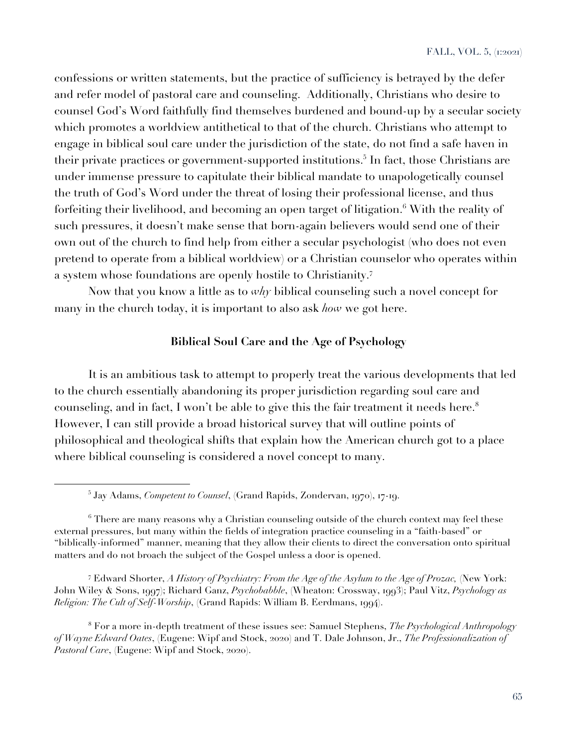confessions or written statements, but the practice of sufficiency is betrayed by the defer and refer model of pastoral care and counseling. Additionally, Christians who desire to counsel God's Word faithfully find themselves burdened and bound-up by a secular society which promotes a worldview antithetical to that of the church. Christians who attempt to engage in biblical soul care under the jurisdiction of the state, do not find a safe haven in their private practices or government-supported institutions.<sup>5</sup> In fact, those Christians are under immense pressure to capitulate their biblical mandate to unapologetically counsel the truth of God's Word under the threat of losing their professional license, and thus forfeiting their livelihood, and becoming an open target of litigation.<sup>6</sup> With the reality of such pressures, it doesn't make sense that born-again believers would send one of their own out of the church to find help from either a secular psychologist (who does not even pretend to operate from a biblical worldview) or a Christian counselor who operates within a system whose foundations are openly hostile to Christianity.<sup>7</sup>

Now that you know a little as to *why* biblical counseling such a novel concept for many in the church today, it is important to also ask *how* we got here.

## **Biblical Soul Care and the Age of Psychology**

It is an ambitious task to attempt to properly treat the various developments that led to the church essentially abandoning its proper jurisdiction regarding soul care and counseling, and in fact, I won't be able to give this the fair treatment it needs here.<sup>8</sup> However, I can still provide a broad historical survey that will outline points of philosophical and theological shifts that explain how the American church got to a place where biblical counseling is considered a novel concept to many.

<sup>7</sup> Edward Shorter, *A History of Psychiatry: From the Age of the Asylum to the Age of Prozac,* (New York: John Wiley & Sons, 1997); Richard Ganz, *Psychobabble*, (Wheaton: Crossway, 1993); Paul Vitz, *Psychology as Religion: The Cult of Self-Worship*, (Grand Rapids: William B. Eerdmans, 1994).

<sup>8</sup> For a more in-depth treatment of these issues see: Samuel Stephens, *The Psychological Anthropology of Wayne Edward Oates*, (Eugene: Wipf and Stock, 2020) and T. Dale Johnson, Jr., *The Professionalization of Pastoral Care*, (Eugene: Wipf and Stock, 2020).

<sup>5</sup> Jay Adams, *Competent to Counsel*, (Grand Rapids, Zondervan, 1970), 17-19.

 $6$  There are many reasons why a Christian counseling outside of the church context may feel these external pressures, but many within the fields of integration practice counseling in a "faith-based" or "biblically-informed" manner, meaning that they allow their clients to direct the conversation onto spiritual matters and do not broach the subject of the Gospel unless a door is opened.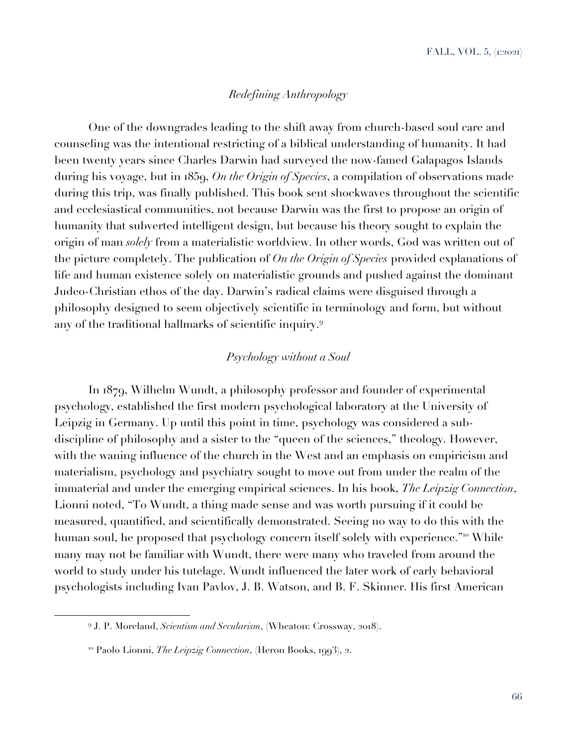## *Redefining Anthropology*

One of the downgrades leading to the shift away from church-based soul care and counseling was the intentional restricting of a biblical understanding of humanity. It had been twenty years since Charles Darwin had surveyed the now-famed Galapagos Islands during his voyage, but in 1859, *On the Origin of Species*, a compilation of observations made during this trip, was finally published. This book sent shockwaves throughout the scientific and ecclesiastical communities, not because Darwin was the first to propose an origin of humanity that subverted intelligent design, but because his theory sought to explain the origin of man *solely* from a materialistic worldview. In other words, God was written out of the picture completely. The publication of *On the Origin of Species* provided explanations of life and human existence solely on materialistic grounds and pushed against the dominant Judeo-Christian ethos of the day. Darwin's radical claims were disguised through a philosophy designed to seem objectively scientific in terminology and form, but without any of the traditional hallmarks of scientific inquiry.<sup>9</sup>

# *Psychology without a Soul*

In 1879, Wilhelm Wundt, a philosophy professor and founder of experimental psychology, established the first modern psychological laboratory at the University of Leipzig in Germany. Up until this point in time, psychology was considered a subdiscipline of philosophy and a sister to the "queen of the sciences," theology. However, with the waning influence of the church in the West and an emphasis on empiricism and materialism, psychology and psychiatry sought to move out from under the realm of the immaterial and under the emerging empirical sciences. In his book, *The Leipzig Connection*, Lionni noted, "To Wundt, a thing made sense and was worth pursuing if it could be measured, quantified, and scientifically demonstrated. Seeing no way to do this with the human soul, he proposed that psychology concern itself solely with experience."<sup>10</sup> While many may not be familiar with Wundt, there were many who traveled from around the world to study under his tutelage. Wundt influenced the later work of early behavioral psychologists including Ivan Pavlov, J. B. Watson, and B. F. Skinner. His first American

<sup>9</sup> J. P. Moreland, *Scientism and Secularism*, (Wheaton: Crossway, 2018).

<sup>10</sup> Paolo Lionni, *The Leipzig Connection*, (Heron Books, 1993), 2.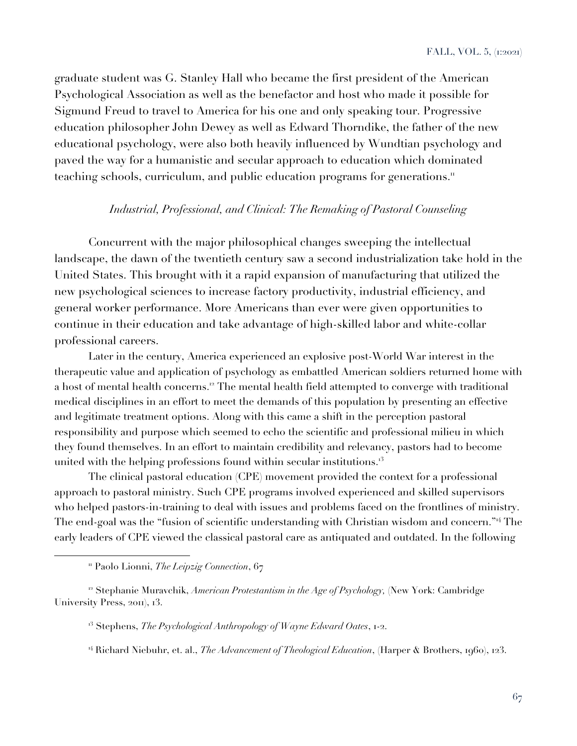graduate student was G. Stanley Hall who became the first president of the American Psychological Association as well as the benefactor and host who made it possible for Sigmund Freud to travel to America for his one and only speaking tour. Progressive education philosopher John Dewey as well as Edward Thorndike, the father of the new educational psychology, were also both heavily influenced by Wundtian psychology and paved the way for a humanistic and secular approach to education which dominated teaching schools, curriculum, and public education programs for generations.<sup>11</sup>

### *Industrial, Professional, and Clinical: The Remaking of Pastoral Counseling*

Concurrent with the major philosophical changes sweeping the intellectual landscape, the dawn of the twentieth century saw a second industrialization take hold in the United States. This brought with it a rapid expansion of manufacturing that utilized the new psychological sciences to increase factory productivity, industrial efficiency, and general worker performance. More Americans than ever were given opportunities to continue in their education and take advantage of high-skilled labor and white-collar professional careers.

Later in the century, America experienced an explosive post-World War interest in the therapeutic value and application of psychology as embattled American soldiers returned home with a host of mental health concerns.<sup>12</sup> The mental health field attempted to converge with traditional medical disciplines in an effort to meet the demands of this population by presenting an effective and legitimate treatment options. Along with this came a shift in the perception pastoral responsibility and purpose which seemed to echo the scientific and professional milieu in which they found themselves. In an effort to maintain credibility and relevancy, pastors had to become united with the helping professions found within secular institutions. $13$ 

The clinical pastoral education (CPE) movement provided the context for a professional approach to pastoral ministry. Such CPE programs involved experienced and skilled supervisors who helped pastors-in-training to deal with issues and problems faced on the frontlines of ministry. The end-goal was the "fusion of scientific understanding with Christian wisdom and concern."<sup>14</sup> The early leaders of CPE viewed the classical pastoral care as antiquated and outdated. In the following

<sup>&</sup>lt;sup>11</sup> Paolo Lionni, *The Leipzig Connection*, 67

<sup>&</sup>lt;sup>12</sup> Stephanie Muravchik, *American Protestantism in the Age of Psychology*, (New York: Cambridge University Press, 2011), 13.

<sup>&</sup>lt;sup>13</sup> Stephens, *The Psychological Anthropology of Wayne Edward Oates*, 1-2.

<sup>14</sup> Richard Niebuhr, et. al., *The Advancement of Theological Education*, (Harper & Brothers, 1960), 123.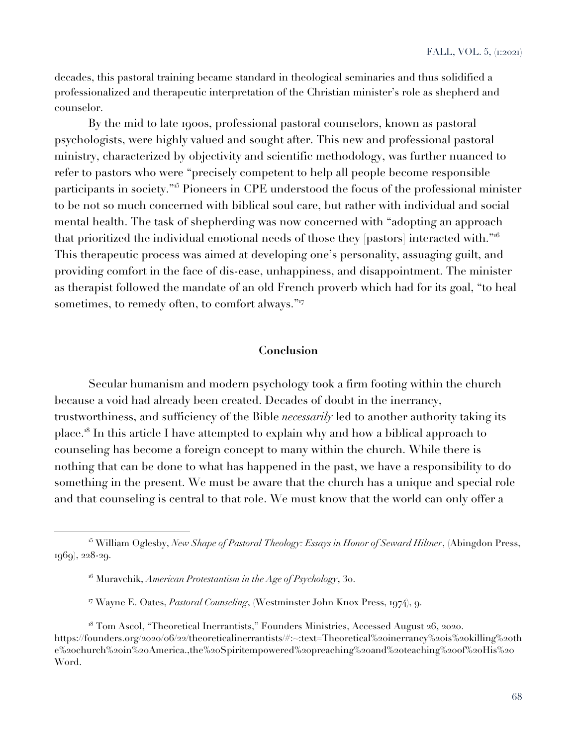decades, this pastoral training became standard in theological seminaries and thus solidified a professionalized and therapeutic interpretation of the Christian minister's role as shepherd and counselor.

By the mid to late 1900s, professional pastoral counselors, known as pastoral psychologists, were highly valued and sought after. This new and professional pastoral ministry, characterized by objectivity and scientific methodology, was further nuanced to refer to pastors who were "precisely competent to help all people become responsible participants in society."<sup>15</sup> Pioneers in CPE understood the focus of the professional minister to be not so much concerned with biblical soul care, but rather with individual and social mental health. The task of shepherding was now concerned with "adopting an approach that prioritized the individual emotional needs of those they [pastors] interacted with."<sup>16</sup> This therapeutic process was aimed at developing one's personality, assuaging guilt, and providing comfort in the face of dis-ease, unhappiness, and disappointment. The minister as therapist followed the mandate of an old French proverb which had for its goal, "to heal sometimes, to remedy often, to comfort always."<sup>17</sup>

#### **Conclusion**

Secular humanism and modern psychology took a firm footing within the church because a void had already been created. Decades of doubt in the inerrancy, trustworthiness, and sufficiency of the Bible *necessarily* led to another authority taking its place.<sup>18</sup> In this article I have attempted to explain why and how a biblical approach to counseling has become a foreign concept to many within the church. While there is nothing that can be done to what has happened in the past, we have a responsibility to do something in the present. We must be aware that the church has a unique and special role and that counseling is central to that role. We must know that the world can only offer a

<sup>15</sup> William Oglesby, *New Shape of Pastoral Theology: Essays in Honor of Seward Hiltner*, (Abingdon Press, 1969), 228-29.

<sup>16</sup> Muravchik, *American Protestantism in the Age of Psychology*, 30.

<sup>17</sup> Wayne E. Oates, *Pastoral Counseling*, (Westminster John Knox Press, 1974), 9.

<sup>&</sup>lt;sup>18</sup> Tom Ascol, "Theoretical Inerrantists," Founders Ministries, Accessed August 26, 2020. https://founders.org/2020/06/22/theoreticalinerrantists/#:~:text=Theoretical%20inerrancy%20is%20killing%20th e%20church%20in%20America.,the%20Spiritempowered%20preaching%20and%20teaching%20of%20His%20 Word.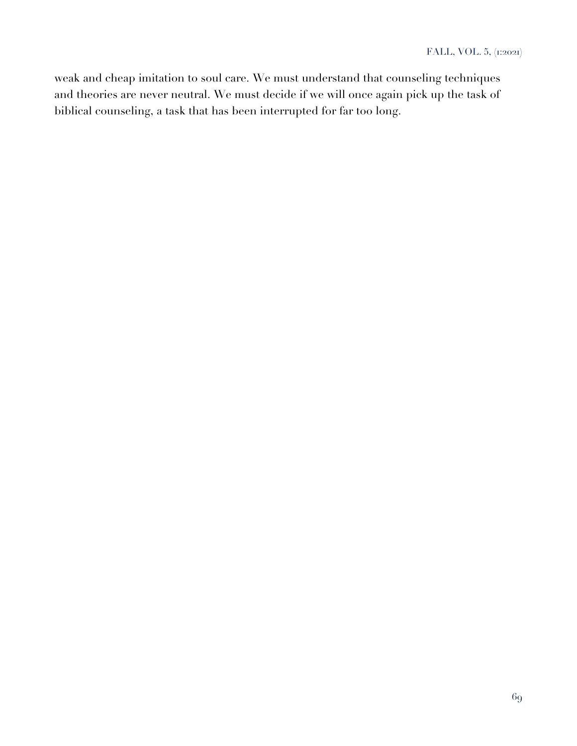weak and cheap imitation to soul care. We must understand that counseling techniques and theories are never neutral. We must decide if we will once again pick up the task of biblical counseling, a task that has been interrupted for far too long.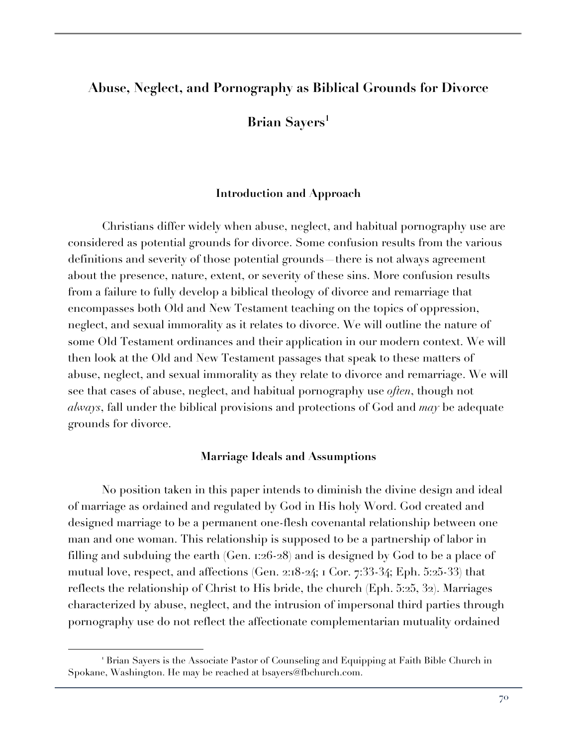# **Abuse, Neglect, and Pornography as Biblical Grounds for Divorce**

**Brian Sayers<sup>1</sup>** 

### **Introduction and Approach**

Christians differ widely when abuse, neglect, and habitual pornography use are considered as potential grounds for divorce. Some confusion results from the various definitions and severity of those potential grounds—there is not always agreement about the presence, nature, extent, or severity of these sins. More confusion results from a failure to fully develop a biblical theology of divorce and remarriage that encompasses both Old and New Testament teaching on the topics of oppression, neglect, and sexual immorality as it relates to divorce. We will outline the nature of some Old Testament ordinances and their application in our modern context. We will then look at the Old and New Testament passages that speak to these matters of abuse, neglect, and sexual immorality as they relate to divorce and remarriage. We will see that cases of abuse, neglect, and habitual pornography use *often*, though not *always*, fall under the biblical provisions and protections of God and *may* be adequate grounds for divorce.

#### **Marriage Ideals and Assumptions**

No position taken in this paper intends to diminish the divine design and ideal of marriage as ordained and regulated by God in His holy Word. God created and designed marriage to be a permanent one-flesh covenantal relationship between one man and one woman. This relationship is supposed to be a partnership of labor in filling and subduing the earth (Gen. 1:26-28) and is designed by God to be a place of mutual love, respect, and affections (Gen. 2:18-24; 1 Cor. 7:33-34; Eph. 5:25-33) that reflects the relationship of Christ to His bride, the church (Eph. 5:25, 32). Marriages characterized by abuse, neglect, and the intrusion of impersonal third parties through pornography use do not reflect the affectionate complementarian mutuality ordained

<sup>&</sup>lt;sup>1</sup> Brian Sayers is the Associate Pastor of Counseling and Equipping at Faith Bible Church in Spokane, Washington. He may be reached at bsayers@fbchurch.com.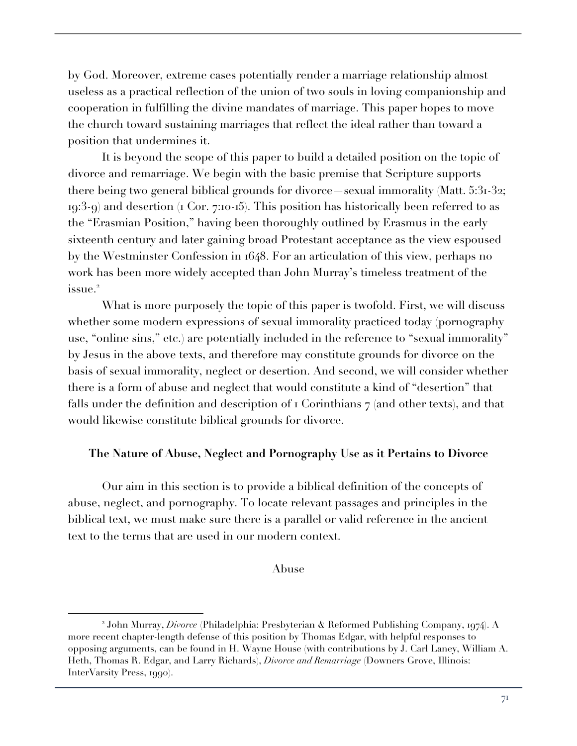by God. Moreover, extreme cases potentially render a marriage relationship almost useless as a practical reflection of the union of two souls in loving companionship and cooperation in fulfilling the divine mandates of marriage. This paper hopes to move the church toward sustaining marriages that reflect the ideal rather than toward a position that undermines it.

It is beyond the scope of this paper to build a detailed position on the topic of divorce and remarriage. We begin with the basic premise that Scripture supports there being two general biblical grounds for divorce—sexual immorality (Matt. 5:31-32; 19:3-9) and desertion (1 Cor. 7:10-15). This position has historically been referred to as the "Erasmian Position," having been thoroughly outlined by Erasmus in the early sixteenth century and later gaining broad Protestant acceptance as the view espoused by the Westminster Confession in 1648. For an articulation of this view, perhaps no work has been more widely accepted than John Murray's timeless treatment of the issue.<sup>2</sup>

What is more purposely the topic of this paper is twofold. First, we will discuss whether some modern expressions of sexual immorality practiced today (pornography use, "online sins," etc.) are potentially included in the reference to "sexual immorality" by Jesus in the above texts, and therefore may constitute grounds for divorce on the basis of sexual immorality, neglect or desertion. And second, we will consider whether there is a form of abuse and neglect that would constitute a kind of "desertion" that falls under the definition and description of  $\iota$  Corinthians  $\tau$  (and other texts), and that would likewise constitute biblical grounds for divorce.

## **The Nature of Abuse, Neglect and Pornography Use as it Pertains to Divorce**

Our aim in this section is to provide a biblical definition of the concepts of abuse, neglect, and pornography. To locate relevant passages and principles in the biblical text, we must make sure there is a parallel or valid reference in the ancient text to the terms that are used in our modern context.

### Abuse

<sup>2</sup> John Murray, *Divorce* (Philadelphia: Presbyterian & Reformed Publishing Company, 1974). A more recent chapter-length defense of this position by Thomas Edgar, with helpful responses to opposing arguments, can be found in H. Wayne House (with contributions by J. Carl Laney, William A. Heth, Thomas R. Edgar, and Larry Richards), *Divorce and Remarriage* (Downers Grove, Illinois: InterVarsity Press, 1990).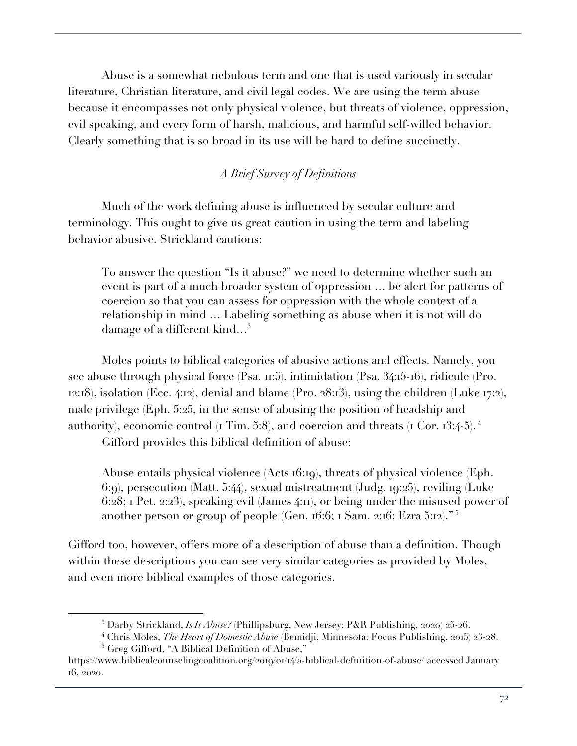Abuse is a somewhat nebulous term and one that is used variously in secular literature, Christian literature, and civil legal codes. We are using the term abuse because it encompasses not only physical violence, but threats of violence, oppression, evil speaking, and every form of harsh, malicious, and harmful self-willed behavior. Clearly something that is so broad in its use will be hard to define succinctly.

# *A Brief Survey of Definitions*

Much of the work defining abuse is influenced by secular culture and terminology. This ought to give us great caution in using the term and labeling behavior abusive. Strickland cautions:

To answer the question "Is it abuse?" we need to determine whether such an event is part of a much broader system of oppression … be alert for patterns of coercion so that you can assess for oppression with the whole context of a relationship in mind … Labeling something as abuse when it is not will do damage of a different kind...<sup>3</sup>

Moles points to biblical categories of abusive actions and effects. Namely, you see abuse through physical force (Psa. 11:5), intimidation (Psa. 34:15-16), ridicule (Pro. 12:18), isolation (Ecc. 4:12), denial and blame (Pro. 28:13), using the children (Luke 17:2), male privilege (Eph. 5:25, in the sense of abusing the position of headship and authority), economic control (1 Tim. 5:8), and coercion and threats (1 Cor.  $13:4-5$ ).  $4$ 

Gifford provides this biblical definition of abuse:

Abuse entails physical violence (Acts 16:19), threats of physical violence (Eph. 6:9), persecution (Matt. 5:44), sexual mistreatment (Judg. 19:25), reviling (Luke 6:28; 1 Pet. 2:23), speaking evil (James 4:11), or being under the misused power of another person or group of people (Gen. 16:6; 1 Sam. 2:16; Ezra 5:12)." <sup>5</sup>

Gifford too, however, offers more of a description of abuse than a definition. Though within these descriptions you can see very similar categories as provided by Moles, and even more biblical examples of those categories.

<sup>3</sup> Darby Strickland, *Is It Abuse?* (Phillipsburg, New Jersey: P&R Publishing, 2020) 25-26.

<sup>4</sup> Chris Moles, *The Heart of Domestic Abuse* (Bemidji, Minnesota: Focus Publishing, 2015) 23-28.

<sup>5</sup> Greg Gifford, "A Biblical Definition of Abuse,"

https://www.biblicalcounselingcoalition.org/2019/01/14/a-biblical-definition-of-abuse/ accessed January 16, 2020.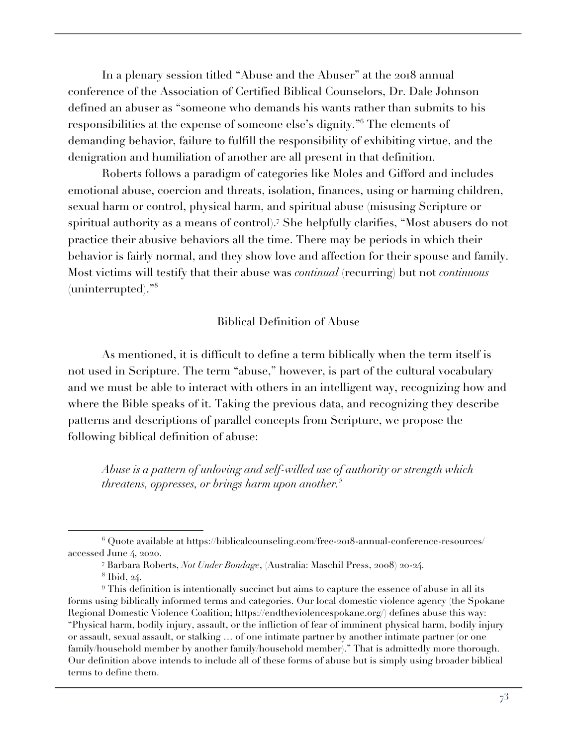In a plenary session titled "Abuse and the Abuser" at the 2018 annual conference of the Association of Certified Biblical Counselors, Dr. Dale Johnson defined an abuser as "someone who demands his wants rather than submits to his responsibilities at the expense of someone else's dignity."<sup>6</sup> The elements of demanding behavior, failure to fulfill the responsibility of exhibiting virtue, and the denigration and humiliation of another are all present in that definition.

Roberts follows a paradigm of categories like Moles and Gifford and includes emotional abuse, coercion and threats, isolation, finances, using or harming children, sexual harm or control, physical harm, and spiritual abuse (misusing Scripture or spiritual authority as a means of control).<sup>7</sup> She helpfully clarifies, "Most abusers do not practice their abusive behaviors all the time. There may be periods in which their behavior is fairly normal, and they show love and affection for their spouse and family. Most victims will testify that their abuse was *continual* (recurring) but not *continuous* (uninterrupted)."<sup>8</sup>

# Biblical Definition of Abuse

As mentioned, it is difficult to define a term biblically when the term itself is not used in Scripture. The term "abuse," however, is part of the cultural vocabulary and we must be able to interact with others in an intelligent way, recognizing how and where the Bible speaks of it. Taking the previous data, and recognizing they describe patterns and descriptions of parallel concepts from Scripture, we propose the following biblical definition of abuse:

*Abuse is a pattern of unloving and self-willed use of authority or strength which threatens, oppresses, or brings harm upon another.9*

<sup>6</sup> Quote available at https://biblicalcounseling.com/free-2018-annual-conference-resources/ accessed June 4, 2020.

<sup>7</sup> Barbara Roberts, *Not Under Bondage*, (Australia: Maschil Press, 2008) 20-24.

<sup>8</sup> Ibid, 24.

<sup>9</sup> This definition is intentionally succinct but aims to capture the essence of abuse in all its forms using biblically informed terms and categories. Our local domestic violence agency (the Spokane Regional Domestic Violence Coalition; https://endtheviolencespokane.org/) defines abuse this way: "Physical harm, bodily injury, assault, or the infliction of fear of imminent physical harm, bodily injury or assault, sexual assault, or stalking … of one intimate partner by another intimate partner (or one family/household member by another family/household member)." That is admittedly more thorough. Our definition above intends to include all of these forms of abuse but is simply using broader biblical terms to define them.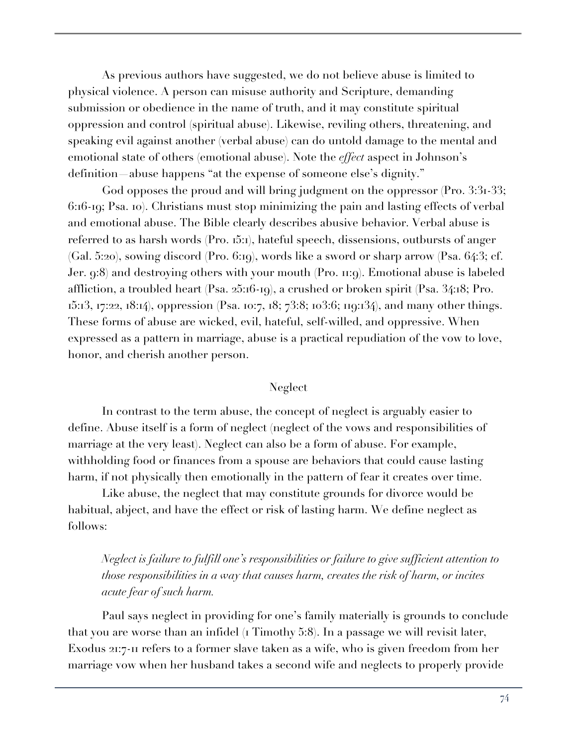As previous authors have suggested, we do not believe abuse is limited to physical violence. A person can misuse authority and Scripture, demanding submission or obedience in the name of truth, and it may constitute spiritual oppression and control (spiritual abuse). Likewise, reviling others, threatening, and speaking evil against another (verbal abuse) can do untold damage to the mental and emotional state of others (emotional abuse). Note the *effect* aspect in Johnson's definition—abuse happens "at the expense of someone else's dignity."

God opposes the proud and will bring judgment on the oppressor (Pro. 3:31-33; 6:16-19; Psa. 10). Christians must stop minimizing the pain and lasting effects of verbal and emotional abuse. The Bible clearly describes abusive behavior. Verbal abuse is referred to as harsh words (Pro. 15:1), hateful speech, dissensions, outbursts of anger (Gal. 5:20), sowing discord (Pro. 6:19), words like a sword or sharp arrow (Psa. 64:3; cf. Jer. 9:8) and destroying others with your mouth (Pro. 11:9). Emotional abuse is labeled affliction, a troubled heart (Psa. 25:16-19), a crushed or broken spirit (Psa. 34:18; Pro. 15:13, 17:22, 18:14), oppression (Psa. 10:7, 18; 73:8; 103:6; 119:134), and many other things. These forms of abuse are wicked, evil, hateful, self-willed, and oppressive. When expressed as a pattern in marriage, abuse is a practical repudiation of the vow to love, honor, and cherish another person.

# Neglect

In contrast to the term abuse, the concept of neglect is arguably easier to define. Abuse itself is a form of neglect (neglect of the vows and responsibilities of marriage at the very least). Neglect can also be a form of abuse. For example, withholding food or finances from a spouse are behaviors that could cause lasting harm, if not physically then emotionally in the pattern of fear it creates over time.

Like abuse, the neglect that may constitute grounds for divorce would be habitual, abject, and have the effect or risk of lasting harm. We define neglect as follows:

*Neglect is failure to fulfill one's responsibilities or failure to give sufficient attention to those responsibilities in a way that causes harm, creates the risk of harm, or incites acute fear of such harm.*

Paul says neglect in providing for one's family materially is grounds to conclude that you are worse than an infidel (1 Timothy 5:8). In a passage we will revisit later, Exodus 21:7-11 refers to a former slave taken as a wife, who is given freedom from her marriage vow when her husband takes a second wife and neglects to properly provide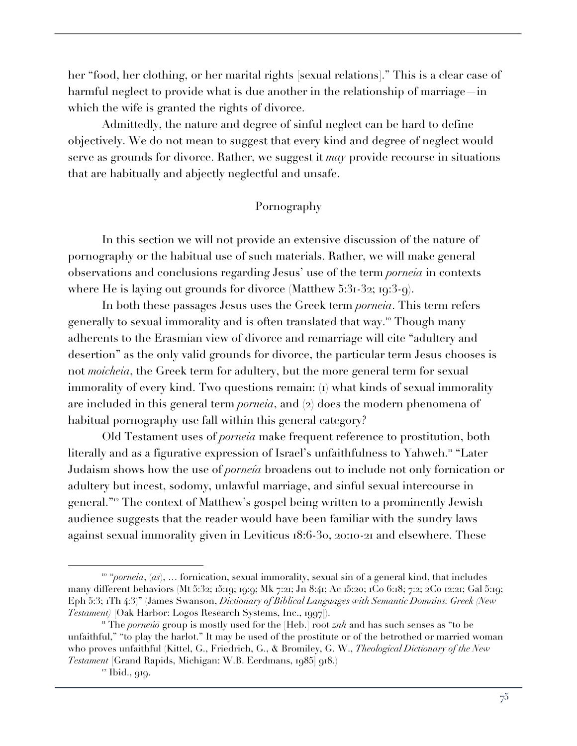her "food, her clothing, or her marital rights [sexual relations]." This is a clear case of harmful neglect to provide what is due another in the relationship of marriage—in which the wife is granted the rights of divorce.

Admittedly, the nature and degree of sinful neglect can be hard to define objectively. We do not mean to suggest that every kind and degree of neglect would serve as grounds for divorce. Rather, we suggest it *may* provide recourse in situations that are habitually and abjectly neglectful and unsafe.

# Pornography

In this section we will not provide an extensive discussion of the nature of pornography or the habitual use of such materials. Rather, we will make general observations and conclusions regarding Jesus' use of the term *porneia* in contexts where He is laying out grounds for divorce (Matthew 5:31-32; 19:3-9).

In both these passages Jesus uses the Greek term *porneia*. This term refers generally to sexual immorality and is often translated that way.<sup>10</sup> Though many adherents to the Erasmian view of divorce and remarriage will cite "adultery and desertion" as the only valid grounds for divorce, the particular term Jesus chooses is not *moicheia*, the Greek term for adultery, but the more general term for sexual immorality of every kind. Two questions remain: (1) what kinds of sexual immorality are included in this general term *porneia*, and (2) does the modern phenomena of habitual pornography use fall within this general category?

Old Testament uses of *porneia* make frequent reference to prostitution, both literally and as a figurative expression of Israel's unfaithfulness to Yahweh.<sup>11</sup> "Later Judaism shows how the use of *porneía* broadens out to include not only fornication or adultery but incest, sodomy, unlawful marriage, and sinful sexual intercourse in general."<sup>12</sup> The context of Matthew's gospel being written to a prominently Jewish audience suggests that the reader would have been familiar with the sundry laws against sexual immorality given in Leviticus 18:6-30, 20:10-21 and elsewhere. These

<sup>10</sup> "*porneia*, (*as*), … fornication, sexual immorality, sexual sin of a general kind, that includes many different behaviors (Mt 5:32; 15:19; 19:9; Mk 7:21; Jn 8:41; Ac 15:20; 1Co 6:18; 7:2; 2Co 12:21; Gal 5:19; Eph 5:3; 1Th 4:3)" (James Swanson, *Dictionary of Biblical Languages with Semantic Domains: Greek (New Testament)* [Oak Harbor: Logos Research Systems, Inc., 1997]).

<sup>11</sup> The *porneúō* group is mostly used for the [Heb.] root *znh* and has such senses as "to be unfaithful," "to play the harlot." It may be used of the prostitute or of the betrothed or married woman who proves unfaithful (Kittel, G., Friedrich, G., & Bromiley, G. W., *Theological Dictionary of the New Testament* [Grand Rapids, Michigan: W.B. Eerdmans, 1985] 918.)

<sup>&</sup>lt;sup>12</sup> Ibid., 919.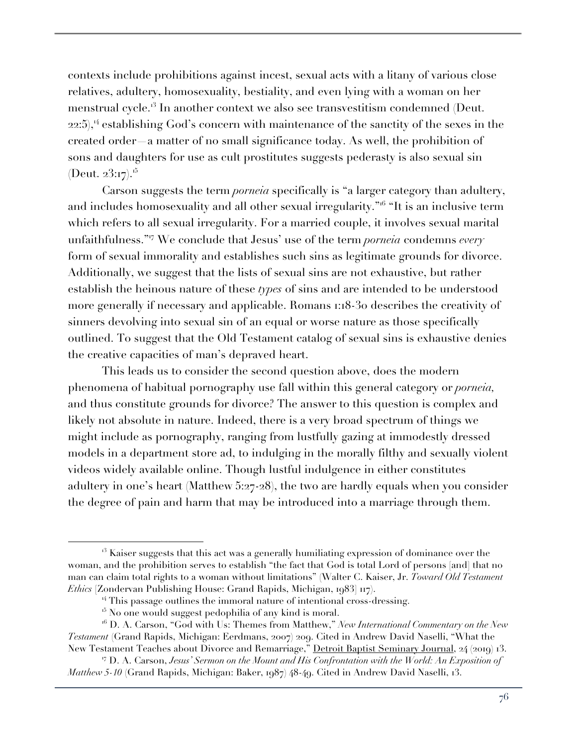contexts include prohibitions against incest, sexual acts with a litany of various close relatives, adultery, homosexuality, bestiality, and even lying with a woman on her menstrual cycle.<sup>3</sup> In another context we also see transvestitism condemned (Deut.  $22:5$ ,<sup>14</sup> establishing God's concern with maintenance of the sanctity of the sexes in the created order—a matter of no small significance today. As well, the prohibition of sons and daughters for use as cult prostitutes suggests pederasty is also sexual sin (Deut.  $23:17$ ).<sup>15</sup>

Carson suggests the term *porneia* specifically is "a larger category than adultery, and includes homosexuality and all other sexual irregularity.<sup>"16</sup> "It is an inclusive term which refers to all sexual irregularity. For a married couple, it involves sexual marital unfaithfulness."<sup>17</sup> We conclude that Jesus' use of the term *porneia* condemns *every* form of sexual immorality and establishes such sins as legitimate grounds for divorce. Additionally, we suggest that the lists of sexual sins are not exhaustive, but rather establish the heinous nature of these *types* of sins and are intended to be understood more generally if necessary and applicable. Romans 1:18-30 describes the creativity of sinners devolving into sexual sin of an equal or worse nature as those specifically outlined. To suggest that the Old Testament catalog of sexual sins is exhaustive denies the creative capacities of man's depraved heart.

This leads us to consider the second question above, does the modern phenomena of habitual pornography use fall within this general category or *porneia,*  and thus constitute grounds for divorce? The answer to this question is complex and likely not absolute in nature. Indeed, there is a very broad spectrum of things we might include as pornography, ranging from lustfully gazing at immodestly dressed models in a department store ad, to indulging in the morally filthy and sexually violent videos widely available online. Though lustful indulgence in either constitutes adultery in one's heart (Matthew 5:27-28), the two are hardly equals when you consider the degree of pain and harm that may be introduced into a marriage through them.

 $13$  Kaiser suggests that this act was a generally humiliating expression of dominance over the woman, and the prohibition serves to establish "the fact that God is total Lord of persons [and] that no man can claim total rights to a woman without limitations" (Walter C. Kaiser, Jr. *Toward Old Testament Ethics* [Zondervan Publishing House: Grand Rapids, Michigan, 1983] 117).

 $14$  This passage outlines the immoral nature of intentional cross-dressing.

 $15$  No one would suggest pedophilia of any kind is moral.

<sup>16</sup> D. A. Carson, "God with Us: Themes from Matthew," *New International Commentary on the New Testament* (Grand Rapids, Michigan: Eerdmans, 2007) 209. Cited in Andrew David Naselli, "What the New Testament Teaches about Divorce and Remarriage," Detroit Baptist Seminary Journal, 24 (2019) 13.

<sup>17</sup> D. A. Carson, *Jesus' Sermon on the Mount and His Confrontation with the World: An Exposition of Matthew 5-10* (Grand Rapids, Michigan: Baker, 1987) 48-49. Cited in Andrew David Naselli, 13.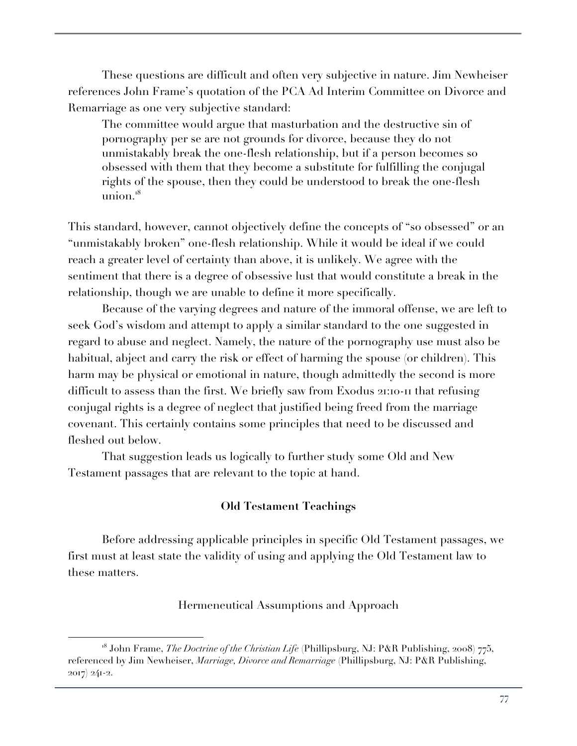These questions are difficult and often very subjective in nature. Jim Newheiser references John Frame's quotation of the PCA Ad Interim Committee on Divorce and Remarriage as one very subjective standard:

The committee would argue that masturbation and the destructive sin of pornography per se are not grounds for divorce, because they do not unmistakably break the one-flesh relationship, but if a person becomes so obsessed with them that they become a substitute for fulfilling the conjugal rights of the spouse, then they could be understood to break the one-flesh union. $18$ 

This standard, however, cannot objectively define the concepts of "so obsessed" or an "unmistakably broken" one-flesh relationship. While it would be ideal if we could reach a greater level of certainty than above, it is unlikely. We agree with the sentiment that there is a degree of obsessive lust that would constitute a break in the relationship, though we are unable to define it more specifically.

Because of the varying degrees and nature of the immoral offense, we are left to seek God's wisdom and attempt to apply a similar standard to the one suggested in regard to abuse and neglect. Namely, the nature of the pornography use must also be habitual, abject and carry the risk or effect of harming the spouse (or children). This harm may be physical or emotional in nature, though admittedly the second is more difficult to assess than the first. We briefly saw from Exodus 21:10-11 that refusing conjugal rights is a degree of neglect that justified being freed from the marriage covenant. This certainly contains some principles that need to be discussed and fleshed out below.

That suggestion leads us logically to further study some Old and New Testament passages that are relevant to the topic at hand.

# **Old Testament Teachings**

Before addressing applicable principles in specific Old Testament passages, we first must at least state the validity of using and applying the Old Testament law to these matters.

## Hermeneutical Assumptions and Approach

<sup>18</sup> John Frame, *The Doctrine of the Christian Life* (Phillipsburg, NJ: P&R Publishing, 2008) 775, referenced by Jim Newheiser, *Marriage, Divorce and Remarriage* (Phillipsburg, NJ: P&R Publishing, 2017) 241-2.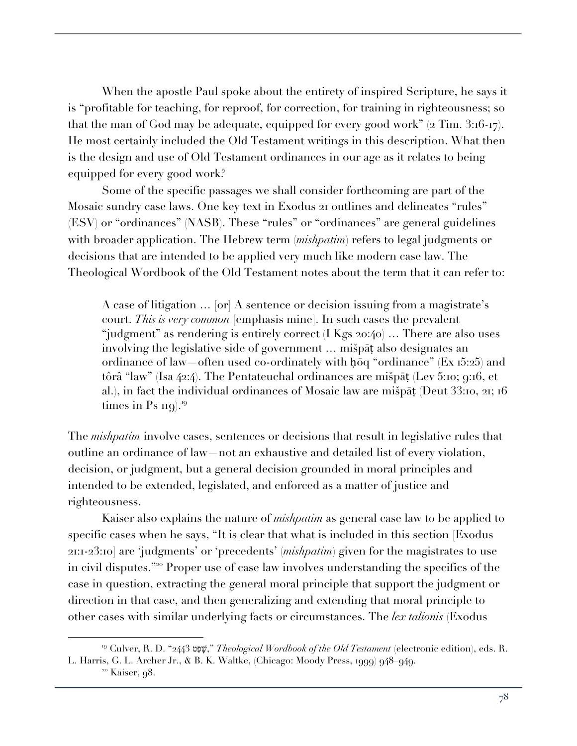When the apostle Paul spoke about the entirety of inspired Scripture, he says it is "profitable for teaching, for reproof, for correction, for training in righteousness; so that the man of God may be adequate, equipped for every good work" (2 Tim. 3:16-17). He most certainly included the Old Testament writings in this description. What then is the design and use of Old Testament ordinances in our age as it relates to being equipped for every good work?

Some of the specific passages we shall consider forthcoming are part of the Mosaic sundry case laws. One key text in Exodus 21 outlines and delineates "rules" (ESV) or "ordinances" (NASB). These "rules" or "ordinances" are general guidelines with broader application. The Hebrew term (*mishpatim*) refers to legal judgments or decisions that are intended to be applied very much like modern case law. The Theological Wordbook of the Old Testament notes about the term that it can refer to:

A case of litigation … [or] A sentence or decision issuing from a magistrate's court. *This is very common* [emphasis mine]. In such cases the prevalent "judgment" as rendering is entirely correct (I Kgs 20:40) … There are also uses involving the legislative side of government … mišpāṭ also designates an ordinance of law often used co-ordinately with hose "ordinance" (Ex 15:25) and tôrâ "law" (Isa 42:4). The Pentateuchal ordinances are mišpāṭ (Lev 5:10; 9:16, et al.), in fact the individual ordinances of Mosaic law are mišpāṭ (Deut 33:10, 21; 16 times in Ps  $_{119}$ .<sup>19</sup>

The *mishpatim* involve cases, sentences or decisions that result in legislative rules that outline an ordinance of law—not an exhaustive and detailed list of every violation, decision, or judgment, but a general decision grounded in moral principles and intended to be extended, legislated, and enforced as a matter of justice and righteousness.

Kaiser also explains the nature of *mishpatim* as general case law to be applied to specific cases when he says, "It is clear that what is included in this section [Exodus] 21:1-23:10] are 'judgments' or 'precedents' (*mishpatim*) given for the magistrates to use in civil disputes."<sup>20</sup> Proper use of case law involves understanding the specifics of the case in question, extracting the general moral principle that support the judgment or direction in that case, and then generalizing and extending that moral principle to other cases with similar underlying facts or circumstances. The *lex talionis* (Exodus

<sup>19</sup> Culver, R. D. "2443 ט שָׁפַ , "*Theological Wordbook of the Old Testament* (electronic edition), eds. R. L. Harris, G. L. Archer Jr., & B. K. Waltke, (Chicago: Moody Press, 1999) 948–949.

<sup>20</sup> Kaiser, 98.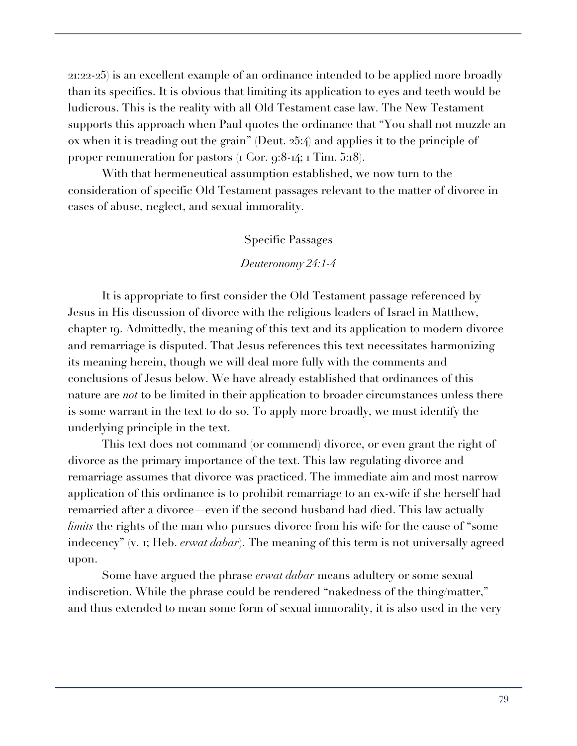21:22-25) is an excellent example of an ordinance intended to be applied more broadly than its specifics. It is obvious that limiting its application to eyes and teeth would be ludicrous. This is the reality with all Old Testament case law. The New Testament supports this approach when Paul quotes the ordinance that "You shall not muzzle an ox when it is treading out the grain" (Deut. 25:4) and applies it to the principle of proper remuneration for pastors (1 Cor. 9:8-14; 1 Tim. 5:18).

With that hermeneutical assumption established, we now turn to the consideration of specific Old Testament passages relevant to the matter of divorce in cases of abuse, neglect, and sexual immorality.

#### Specific Passages

#### *Deuteronomy 24:1-4*

It is appropriate to first consider the Old Testament passage referenced by Jesus in His discussion of divorce with the religious leaders of Israel in Matthew, chapter 19. Admittedly, the meaning of this text and its application to modern divorce and remarriage is disputed. That Jesus references this text necessitates harmonizing its meaning herein, though we will deal more fully with the comments and conclusions of Jesus below. We have already established that ordinances of this nature are *not* to be limited in their application to broader circumstances unless there is some warrant in the text to do so. To apply more broadly, we must identify the underlying principle in the text.

This text does not command (or commend) divorce, or even grant the right of divorce as the primary importance of the text. This law regulating divorce and remarriage assumes that divorce was practiced. The immediate aim and most narrow application of this ordinance is to prohibit remarriage to an ex-wife if she herself had remarried after a divorce—even if the second husband had died. This law actually *limits* the rights of the man who pursues divorce from his wife for the cause of "some indecency" (v. 1; Heb. *erwat dabar*). The meaning of this term is not universally agreed upon.

Some have argued the phrase *erwat dabar* means adultery or some sexual indiscretion. While the phrase could be rendered "nakedness of the thing/matter," and thus extended to mean some form of sexual immorality, it is also used in the very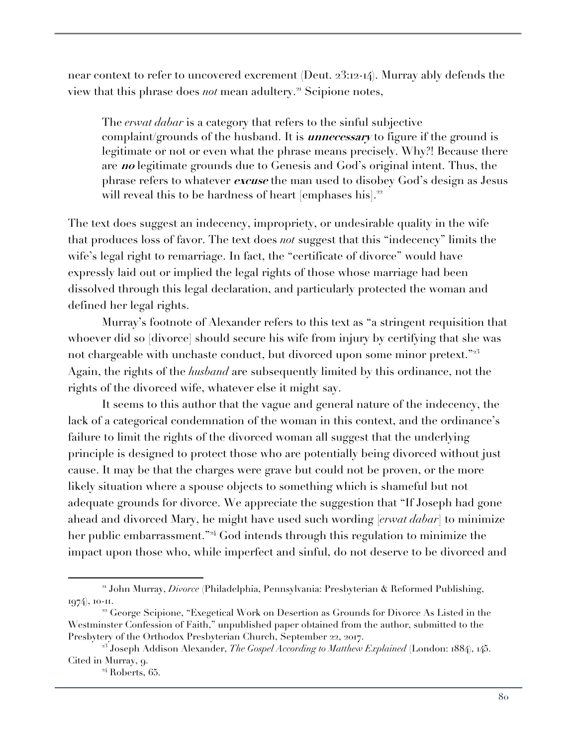near context to refer to uncovered excrement (Deut. 23:12-14). Murray ably defends the view that this phrase does *not* mean adultery.<sup>21</sup> Scipione notes,

The *erwat dabar* is a category that refers to the sinful subjective complaint/grounds of the husband. It is **unnecessary** to figure if the ground is legitimate or not or even what the phrase means precisely. Why?! Because there are **no** legitimate grounds due to Genesis and God's original intent. Thus, the phrase refers to whatever **excuse** the man used to disobey God's design as Jesus will reveal this to be hardness of heart [emphases his].<sup>22</sup>

The text does suggest an indecency, impropriety, or undesirable quality in the wife that produces loss of favor. The text does *not* suggest that this "indecency" limits the wife's legal right to remarriage. In fact, the "certificate of divorce" would have expressly laid out or implied the legal rights of those whose marriage had been dissolved through this legal declaration, and particularly protected the woman and defined her legal rights.

Murray's footnote of Alexander refers to this text as "a stringent requisition that whoever did so [divorce] should secure his wife from injury by certifying that she was not chargeable with unchaste conduct, but divorced upon some minor pretext."<sup>23</sup> Again, the rights of the *husband* are subsequently limited by this ordinance, not the rights of the divorced wife, whatever else it might say.

It seems to this author that the vague and general nature of the indecency, the lack of a categorical condemnation of the woman in this context, and the ordinance's failure to limit the rights of the divorced woman all suggest that the underlying principle is designed to protect those who are potentially being divorced without just cause. It may be that the charges were grave but could not be proven, or the more likely situation where a spouse objects to something which is shameful but not adequate grounds for divorce. We appreciate the suggestion that "If Joseph had gone ahead and divorced Mary, he might have used such wording [*erwat dabar*] to minimize her public embarrassment."<sup>24</sup> God intends through this regulation to minimize the impact upon those who, while imperfect and sinful, do not deserve to be divorced and

<sup>21</sup> John Murray, *Divorce* (Philadelphia, Pennsylvania: Presbyterian & Reformed Publishing, 1974), 10-11.

<sup>&</sup>lt;sup>22</sup> George Scipione, "Exegetical Work on Desertion as Grounds for Divorce As Listed in the Westminster Confession of Faith," unpublished paper obtained from the author, submitted to the Presbytery of the Orthodox Presbyterian Church, September 22, 2017.

<sup>&</sup>lt;sup>23</sup> Joseph Addison Alexander, *The Gospel According to Matthew Explained* (London: 1884), 145. Cited in Murray, 9.

<sup>&</sup>lt;sup>24</sup> Roberts, 65.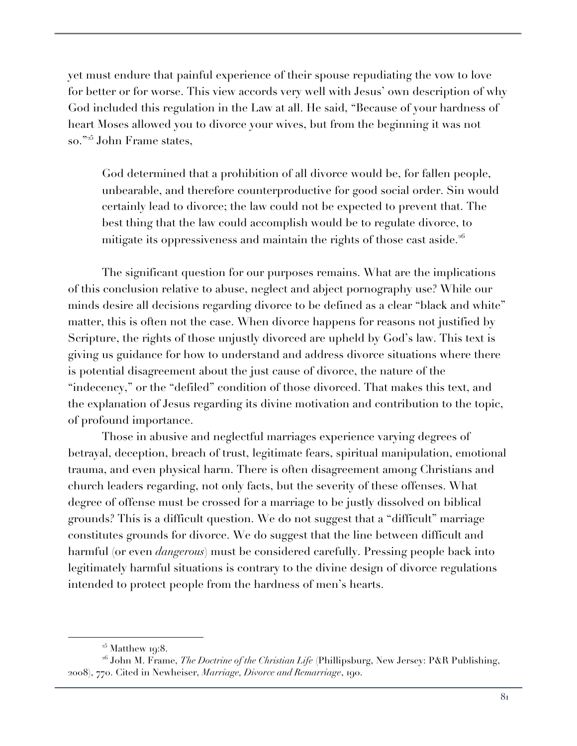yet must endure that painful experience of their spouse repudiating the vow to love for better or for worse. This view accords very well with Jesus' own description of why God included this regulation in the Law at all. He said, "Because of your hardness of heart Moses allowed you to divorce your wives, but from the beginning it was not so."<sup>25</sup> John Frame states,

God determined that a prohibition of all divorce would be, for fallen people, unbearable, and therefore counterproductive for good social order. Sin would certainly lead to divorce; the law could not be expected to prevent that. The best thing that the law could accomplish would be to regulate divorce, to mitigate its oppressiveness and maintain the rights of those cast aside.<sup>26</sup>

The significant question for our purposes remains. What are the implications of this conclusion relative to abuse, neglect and abject pornography use? While our minds desire all decisions regarding divorce to be defined as a clear "black and white" matter, this is often not the case. When divorce happens for reasons not justified by Scripture, the rights of those unjustly divorced are upheld by God's law. This text is giving us guidance for how to understand and address divorce situations where there is potential disagreement about the just cause of divorce, the nature of the "indecency," or the "defiled" condition of those divorced. That makes this text, and the explanation of Jesus regarding its divine motivation and contribution to the topic, of profound importance.

Those in abusive and neglectful marriages experience varying degrees of betrayal, deception, breach of trust, legitimate fears, spiritual manipulation, emotional trauma, and even physical harm. There is often disagreement among Christians and church leaders regarding, not only facts, but the severity of these offenses. What degree of offense must be crossed for a marriage to be justly dissolved on biblical grounds? This is a difficult question. We do not suggest that a "difficult" marriage constitutes grounds for divorce. We do suggest that the line between difficult and harmful (or even *dangerous*) must be considered carefully. Pressing people back into legitimately harmful situations is contrary to the divine design of divorce regulations intended to protect people from the hardness of men's hearts.

 $25$  Matthew 19:8.

<sup>&</sup>lt;sup>26</sup> John M. Frame, *The Doctrine of the Christian Life* (Phillipsburg, New Jersey: P&R Publishing, 2008), 770. Cited in Newheiser, *Marriage, Divorce and Remarriage*, 190.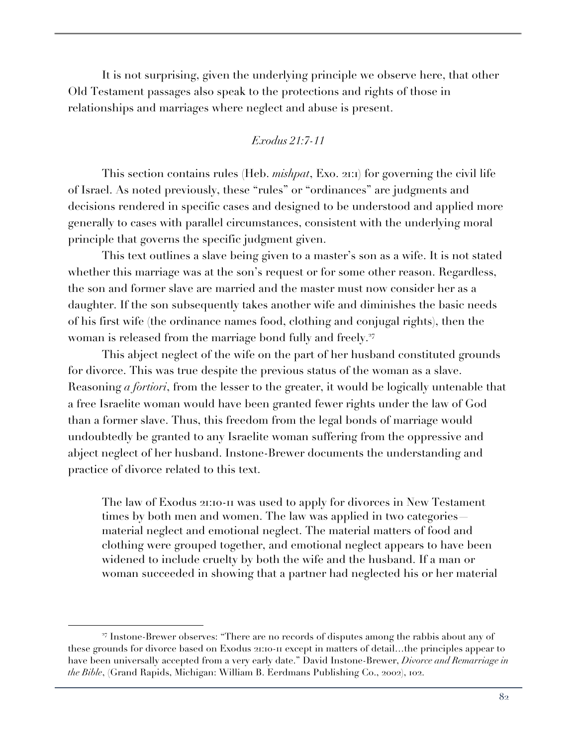It is not surprising, given the underlying principle we observe here, that other Old Testament passages also speak to the protections and rights of those in relationships and marriages where neglect and abuse is present.

# *Exodus 21:7-11*

This section contains rules (Heb. *mishpat*, Exo. 21:1) for governing the civil life of Israel. As noted previously, these "rules" or "ordinances" are judgments and decisions rendered in specific cases and designed to be understood and applied more generally to cases with parallel circumstances, consistent with the underlying moral principle that governs the specific judgment given.

This text outlines a slave being given to a master's son as a wife. It is not stated whether this marriage was at the son's request or for some other reason. Regardless, the son and former slave are married and the master must now consider her as a daughter. If the son subsequently takes another wife and diminishes the basic needs of his first wife (the ordinance names food, clothing and conjugal rights), then the woman is released from the marriage bond fully and freely.<sup>27</sup>

This abject neglect of the wife on the part of her husband constituted grounds for divorce. This was true despite the previous status of the woman as a slave. Reasoning *a fortiori*, from the lesser to the greater, it would be logically untenable that a free Israelite woman would have been granted fewer rights under the law of God than a former slave. Thus, this freedom from the legal bonds of marriage would undoubtedly be granted to any Israelite woman suffering from the oppressive and abject neglect of her husband. Instone-Brewer documents the understanding and practice of divorce related to this text.

The law of Exodus 21:10-11 was used to apply for divorces in New Testament times by both men and women. The law was applied in two categories material neglect and emotional neglect. The material matters of food and clothing were grouped together, and emotional neglect appears to have been widened to include cruelty by both the wife and the husband. If a man or woman succeeded in showing that a partner had neglected his or her material

<sup>27</sup> Instone-Brewer observes: "There are no records of disputes among the rabbis about any of these grounds for divorce based on Exodus 21:10-11 except in matters of detail…the principles appear to have been universally accepted from a very early date." David Instone-Brewer, *Divorce and Remarriage in the Bible*, (Grand Rapids, Michigan: William B. Eerdmans Publishing Co., 2002), 102.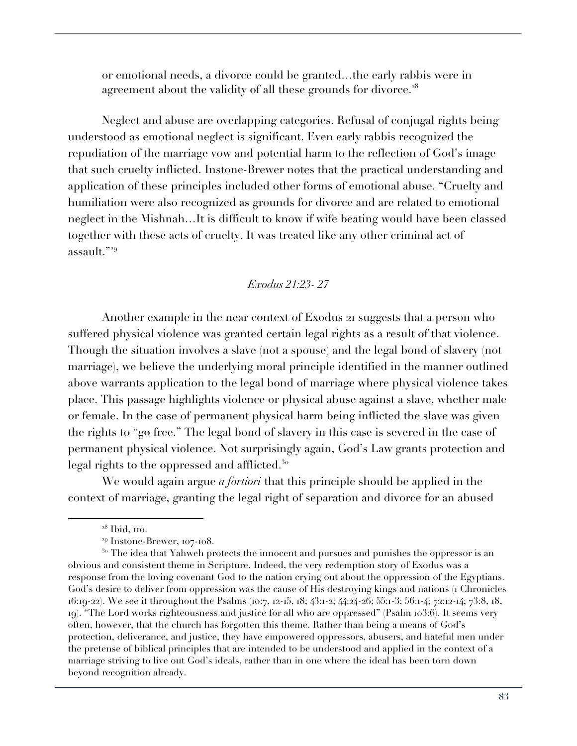or emotional needs, a divorce could be granted…the early rabbis were in agreement about the validity of all these grounds for divorce.<sup>28</sup>

Neglect and abuse are overlapping categories. Refusal of conjugal rights being understood as emotional neglect is significant. Even early rabbis recognized the repudiation of the marriage vow and potential harm to the reflection of God's image that such cruelty inflicted. Instone-Brewer notes that the practical understanding and application of these principles included other forms of emotional abuse. "Cruelty and humiliation were also recognized as grounds for divorce and are related to emotional neglect in the Mishnah…It is difficult to know if wife beating would have been classed together with these acts of cruelty. It was treated like any other criminal act of assault."<sup>29</sup>

# *Exodus 21:23- 27*

Another example in the near context of Exodus 21 suggests that a person who suffered physical violence was granted certain legal rights as a result of that violence. Though the situation involves a slave (not a spouse) and the legal bond of slavery (not marriage), we believe the underlying moral principle identified in the manner outlined above warrants application to the legal bond of marriage where physical violence takes place. This passage highlights violence or physical abuse against a slave, whether male or female. In the case of permanent physical harm being inflicted the slave was given the rights to "go free." The legal bond of slavery in this case is severed in the case of permanent physical violence. Not surprisingly again, God's Law grants protection and legal rights to the oppressed and afflicted.<sup>30</sup>

We would again argue *a fortiori* that this principle should be applied in the context of marriage, granting the legal right of separation and divorce for an abused

 $28$  Ibid, 110.

<sup>29</sup> Instone-Brewer, 107-108.

<sup>&</sup>lt;sup>30</sup> The idea that Yahweh protects the innocent and pursues and punishes the oppressor is an obvious and consistent theme in Scripture. Indeed, the very redemption story of Exodus was a response from the loving covenant God to the nation crying out about the oppression of the Egyptians. God's desire to deliver from oppression was the cause of His destroying kings and nations (1 Chronicles 16:19-22). We see it throughout the Psalms (10:7, 12-15, 18; 43:1-2; 44:24-26; 55:1-3; 56:1-4; 72:12-14; 73:8, 18, 19). "The Lord works righteousness and justice for all who are oppressed" (Psalm 103:6). It seems very often, however, that the church has forgotten this theme. Rather than being a means of God's protection, deliverance, and justice, they have empowered oppressors, abusers, and hateful men under the pretense of biblical principles that are intended to be understood and applied in the context of a marriage striving to live out God's ideals, rather than in one where the ideal has been torn down beyond recognition already.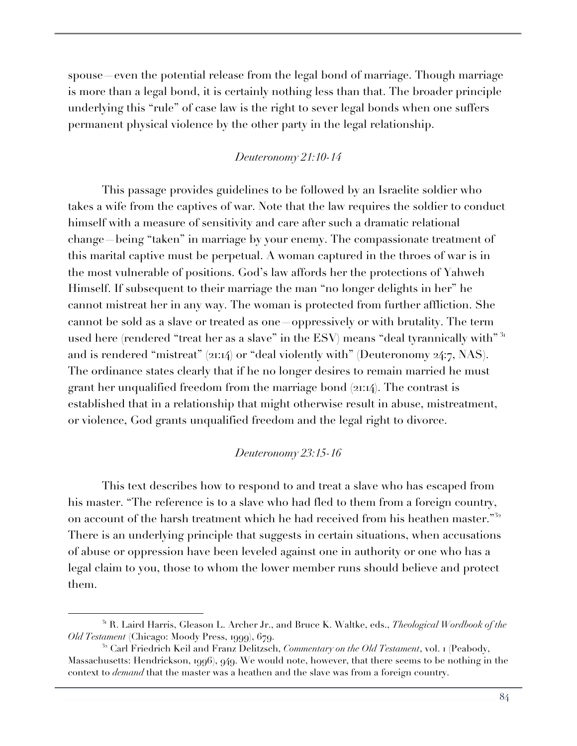spouse—even the potential release from the legal bond of marriage. Though marriage is more than a legal bond, it is certainly nothing less than that. The broader principle underlying this "rule" of case law is the right to sever legal bonds when one suffers permanent physical violence by the other party in the legal relationship.

## *Deuteronomy 21:10-14*

This passage provides guidelines to be followed by an Israelite soldier who takes a wife from the captives of war. Note that the law requires the soldier to conduct himself with a measure of sensitivity and care after such a dramatic relational change—being "taken" in marriage by your enemy. The compassionate treatment of this marital captive must be perpetual. A woman captured in the throes of war is in the most vulnerable of positions. God's law affords her the protections of Yahweh Himself. If subsequent to their marriage the man "no longer delights in her" he cannot mistreat her in any way. The woman is protected from further affliction. She cannot be sold as a slave or treated as one—oppressively or with brutality. The term used here (rendered "treat her as a slave" in the ESV) means "deal tyrannically with"<sup>31</sup> and is rendered "mistreat" (21:14) or "deal violently with" (Deuteronomy 24:7, NAS). The ordinance states clearly that if he no longer desires to remain married he must grant her unqualified freedom from the marriage bond (21:14). The contrast is established that in a relationship that might otherwise result in abuse, mistreatment, or violence, God grants unqualified freedom and the legal right to divorce.

## *Deuteronomy 23:15-16*

This text describes how to respond to and treat a slave who has escaped from his master. "The reference is to a slave who had fled to them from a foreign country, on account of the harsh treatment which he had received from his heathen master."<sup>32</sup> There is an underlying principle that suggests in certain situations, when accusations of abuse or oppression have been leveled against one in authority or one who has a legal claim to you, those to whom the lower member runs should believe and protect them.

<sup>31</sup> R. Laird Harris, Gleason L. Archer Jr., and Bruce K. Waltke, eds., *Theological Wordbook of the Old Testament* (Chicago: Moody Press, 1999), 679.

<sup>32</sup> Carl Friedrich Keil and Franz Delitzsch, *Commentary on the Old Testament*, vol. 1 (Peabody, Massachusetts: Hendrickson, 1996), 949. We would note, however, that there seems to be nothing in the context to *demand* that the master was a heathen and the slave was from a foreign country.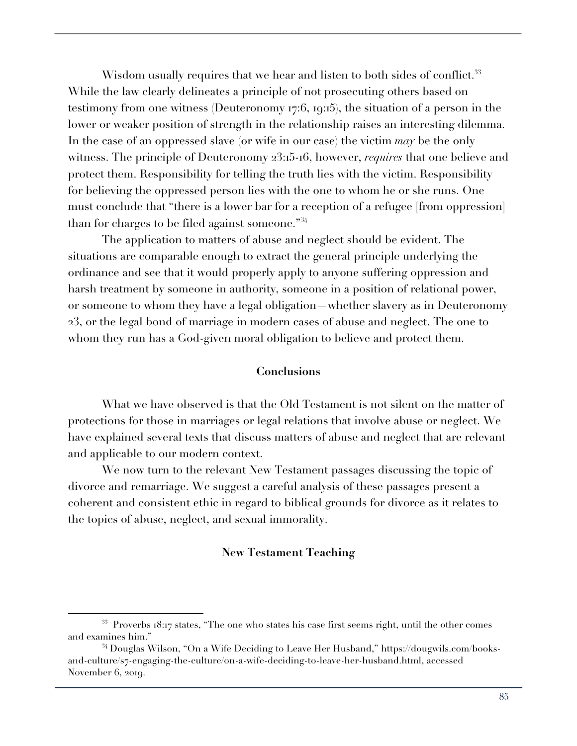Wisdom usually requires that we hear and listen to both sides of conflict.<sup>33</sup> While the law clearly delineates a principle of not prosecuting others based on testimony from one witness (Deuteronomy 17:6, 19:15), the situation of a person in the lower or weaker position of strength in the relationship raises an interesting dilemma. In the case of an oppressed slave (or wife in our case) the victim *may* be the only witness. The principle of Deuteronomy 23:15-16, however, *requires* that one believe and protect them. Responsibility for telling the truth lies with the victim. Responsibility for believing the oppressed person lies with the one to whom he or she runs. One must conclude that "there is a lower bar for a reception of a refugee [from oppression] than for charges to be filed against someone."<sup>34</sup>

The application to matters of abuse and neglect should be evident. The situations are comparable enough to extract the general principle underlying the ordinance and see that it would properly apply to anyone suffering oppression and harsh treatment by someone in authority, someone in a position of relational power, or someone to whom they have a legal obligation—whether slavery as in Deuteronomy 23, or the legal bond of marriage in modern cases of abuse and neglect. The one to whom they run has a God-given moral obligation to believe and protect them.

#### **Conclusions**

What we have observed is that the Old Testament is not silent on the matter of protections for those in marriages or legal relations that involve abuse or neglect. We have explained several texts that discuss matters of abuse and neglect that are relevant and applicable to our modern context.

We now turn to the relevant New Testament passages discussing the topic of divorce and remarriage. We suggest a careful analysis of these passages present a coherent and consistent ethic in regard to biblical grounds for divorce as it relates to the topics of abuse, neglect, and sexual immorality.

#### **New Testament Teaching**

<sup>33</sup> Proverbs 18:17 states, "The one who states his case first seems right, until the other comes and examines him."

<sup>34</sup> Douglas Wilson, "On a Wife Deciding to Leave Her Husband," https://dougwils.com/booksand-culture/s7-engaging-the-culture/on-a-wife-deciding-to-leave-her-husband.html, accessed November 6, 2019.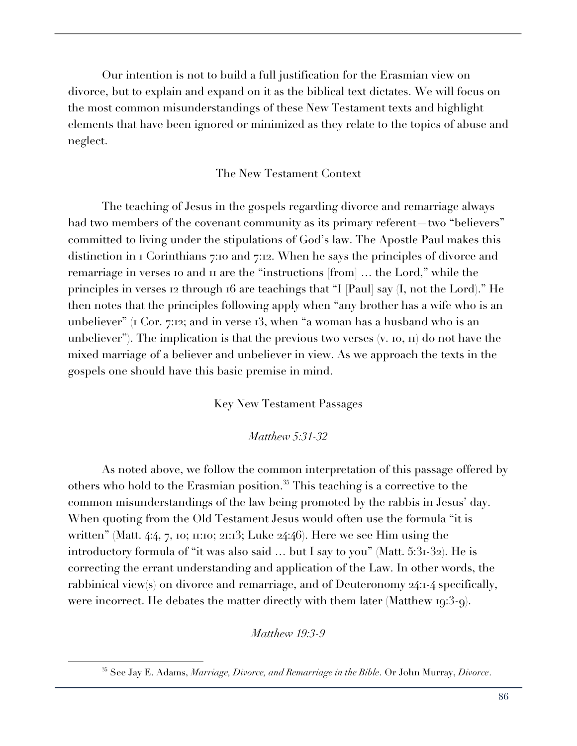Our intention is not to build a full justification for the Erasmian view on divorce, but to explain and expand on it as the biblical text dictates. We will focus on the most common misunderstandings of these New Testament texts and highlight elements that have been ignored or minimized as they relate to the topics of abuse and neglect.

# The New Testament Context

The teaching of Jesus in the gospels regarding divorce and remarriage always had two members of the covenant community as its primary referent—two "believers" committed to living under the stipulations of God's law. The Apostle Paul makes this distinction in 1 Corinthians 7:10 and 7:12. When he says the principles of divorce and remarriage in verses 10 and 11 are the "instructions [from] … the Lord," while the principles in verses 12 through 16 are teachings that "I [Paul] say (I, not the Lord)." He then notes that the principles following apply when "any brother has a wife who is an unbeliever" (1 Cor. 7:12; and in verse 13, when "a woman has a husband who is an unbeliever"). The implication is that the previous two verses  $(v, 10, 11)$  do not have the mixed marriage of a believer and unbeliever in view. As we approach the texts in the gospels one should have this basic premise in mind.

Key New Testament Passages

*Matthew 5:31-32*

As noted above, we follow the common interpretation of this passage offered by others who hold to the Erasmian position.<sup>35</sup> This teaching is a corrective to the common misunderstandings of the law being promoted by the rabbis in Jesus' day. When quoting from the Old Testament Jesus would often use the formula "it is written" (Matt. 4:4, 7, 10; 11:10; 21:13; Luke 24:46). Here we see Him using the introductory formula of "it was also said … but I say to you" (Matt. 5:31-32). He is correcting the errant understanding and application of the Law. In other words, the rabbinical view(s) on divorce and remarriage, and of Deuteronomy 24:1-4 specifically, were incorrect. He debates the matter directly with them later (Matthew 19:3-9).

*Matthew 19:3-9*

<sup>35</sup> See Jay E. Adams, *Marriage, Divorce, and Remarriage in the Bible*. Or John Murray, *Divorce*.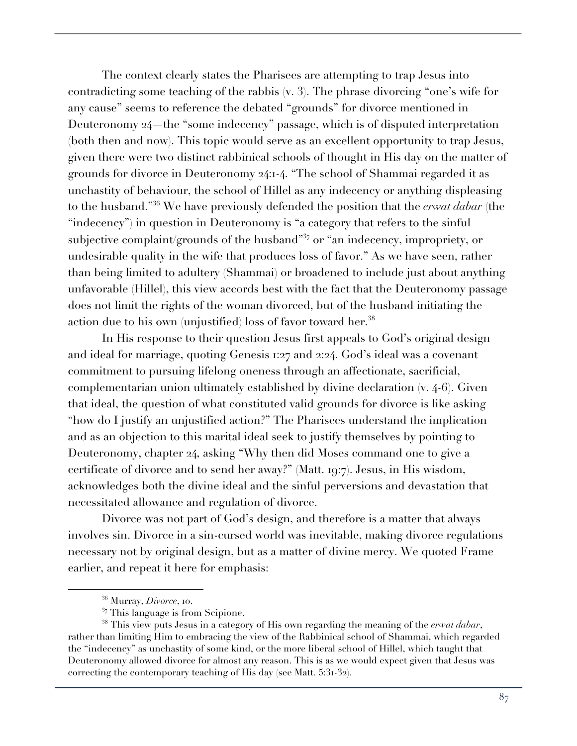The context clearly states the Pharisees are attempting to trap Jesus into contradicting some teaching of the rabbis (v. 3). The phrase divorcing "one's wife for any cause" seems to reference the debated "grounds" for divorce mentioned in Deuteronomy 24—the "some indecency" passage, which is of disputed interpretation (both then and now). This topic would serve as an excellent opportunity to trap Jesus, given there were two distinct rabbinical schools of thought in His day on the matter of grounds for divorce in Deuteronomy 24:1-4. "The school of Shammai regarded it as unchastity of behaviour, the school of Hillel as any indecency or anything displeasing to the husband."<sup>36</sup> We have previously defended the position that the *erwat dabar* (the "indecency") in question in Deuteronomy is "a category that refers to the sinful subjective complaint/grounds of the husband<sup> $37$ </sup> or "an indecency, impropriety, or undesirable quality in the wife that produces loss of favor." As we have seen, rather than being limited to adultery (Shammai) or broadened to include just about anything unfavorable (Hillel), this view accords best with the fact that the Deuteronomy passage does not limit the rights of the woman divorced, but of the husband initiating the action due to his own (unjustified) loss of favor toward her.<sup>38</sup>

In His response to their question Jesus first appeals to God's original design and ideal for marriage, quoting Genesis 1:27 and 2:24. God's ideal was a covenant commitment to pursuing lifelong oneness through an affectionate, sacrificial, complementarian union ultimately established by divine declaration (v. 4-6). Given that ideal, the question of what constituted valid grounds for divorce is like asking "how do I justify an unjustified action?" The Pharisees understand the implication and as an objection to this marital ideal seek to justify themselves by pointing to Deuteronomy, chapter 24, asking "Why then did Moses command one to give a certificate of divorce and to send her away?" (Matt. 19:7). Jesus, in His wisdom, acknowledges both the divine ideal and the sinful perversions and devastation that necessitated allowance and regulation of divorce.

Divorce was not part of God's design, and therefore is a matter that always involves sin. Divorce in a sin-cursed world was inevitable, making divorce regulations necessary not by original design, but as a matter of divine mercy. We quoted Frame earlier, and repeat it here for emphasis:

<sup>36</sup> Murray, *Divorce*, 10.

 $37$  This language is from Scipione.

<sup>38</sup> This view puts Jesus in a category of His own regarding the meaning of the *erwat dabar*, rather than limiting Him to embracing the view of the Rabbinical school of Shammai, which regarded the "indecency" as unchastity of some kind, or the more liberal school of Hillel, which taught that Deuteronomy allowed divorce for almost any reason. This is as we would expect given that Jesus was correcting the contemporary teaching of His day (see Matt. 5:31-32).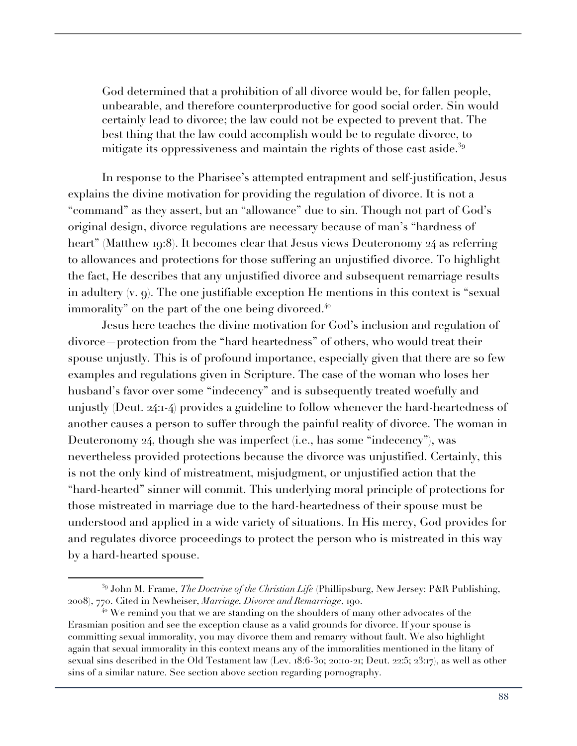God determined that a prohibition of all divorce would be, for fallen people, unbearable, and therefore counterproductive for good social order. Sin would certainly lead to divorce; the law could not be expected to prevent that. The best thing that the law could accomplish would be to regulate divorce, to mitigate its oppressiveness and maintain the rights of those cast aside.<sup>39</sup>

In response to the Pharisee's attempted entrapment and self-justification, Jesus explains the divine motivation for providing the regulation of divorce. It is not a "command" as they assert, but an "allowance" due to sin. Though not part of God's original design, divorce regulations are necessary because of man's "hardness of heart" (Matthew 19:8). It becomes clear that Jesus views Deuteronomy 24 as referring to allowances and protections for those suffering an unjustified divorce. To highlight the fact, He describes that any unjustified divorce and subsequent remarriage results in adultery (v. 9). The one justifiable exception He mentions in this context is "sexual immorality" on the part of the one being divorced.<sup>40</sup>

Jesus here teaches the divine motivation for God's inclusion and regulation of divorce—protection from the "hard heartedness" of others, who would treat their spouse unjustly. This is of profound importance, especially given that there are so few examples and regulations given in Scripture. The case of the woman who loses her husband's favor over some "indecency" and is subsequently treated woefully and unjustly (Deut. 24:1-4) provides a guideline to follow whenever the hard-heartedness of another causes a person to suffer through the painful reality of divorce. The woman in Deuteronomy 24, though she was imperfect (i.e., has some "indecency"), was nevertheless provided protections because the divorce was unjustified. Certainly, this is not the only kind of mistreatment, misjudgment, or unjustified action that the "hard-hearted" sinner will commit. This underlying moral principle of protections for those mistreated in marriage due to the hard-heartedness of their spouse must be understood and applied in a wide variety of situations. In His mercy, God provides for and regulates divorce proceedings to protect the person who is mistreated in this way by a hard-hearted spouse.

<sup>39</sup> John M. Frame, *The Doctrine of the Christian Life* (Phillipsburg, New Jersey: P&R Publishing, 2008), 770. Cited in Newheiser, *Marriage, Divorce and Remarriage*, 190.

 $40$  We remind you that we are standing on the shoulders of many other advocates of the Erasmian position and see the exception clause as a valid grounds for divorce. If your spouse is committing sexual immorality, you may divorce them and remarry without fault. We also highlight again that sexual immorality in this context means any of the immoralities mentioned in the litany of sexual sins described in the Old Testament law (Lev. 18:6-30; 20:10-21; Deut. 22:5; 23:17), as well as other sins of a similar nature. See section above section regarding pornography.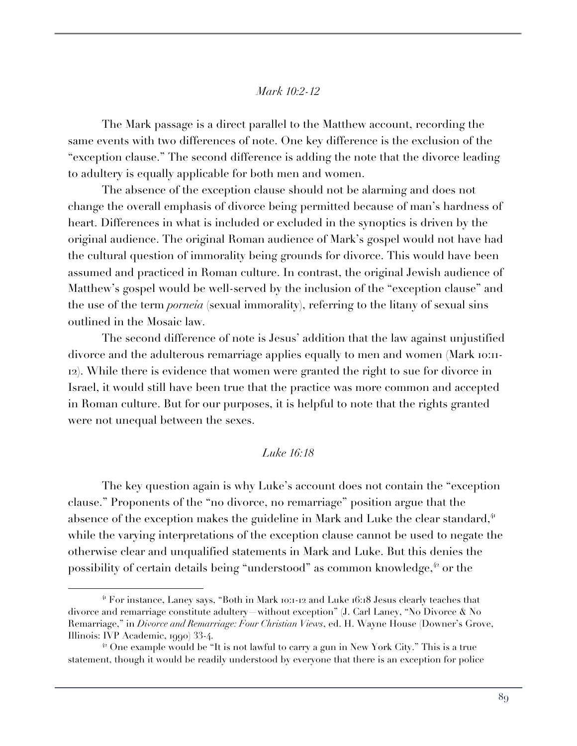# *Mark 10:2-12*

The Mark passage is a direct parallel to the Matthew account, recording the same events with two differences of note. One key difference is the exclusion of the "exception clause." The second difference is adding the note that the divorce leading to adultery is equally applicable for both men and women.

The absence of the exception clause should not be alarming and does not change the overall emphasis of divorce being permitted because of man's hardness of heart. Differences in what is included or excluded in the synoptics is driven by the original audience. The original Roman audience of Mark's gospel would not have had the cultural question of immorality being grounds for divorce. This would have been assumed and practiced in Roman culture. In contrast, the original Jewish audience of Matthew's gospel would be well-served by the inclusion of the "exception clause" and the use of the term *porneia* (sexual immorality), referring to the litany of sexual sins outlined in the Mosaic law.

The second difference of note is Jesus' addition that the law against unjustified divorce and the adulterous remarriage applies equally to men and women (Mark 10:11- 12). While there is evidence that women were granted the right to sue for divorce in Israel, it would still have been true that the practice was more common and accepted in Roman culture. But for our purposes, it is helpful to note that the rights granted were not unequal between the sexes.

# *Luke 16:18*

The key question again is why Luke's account does not contain the "exception clause." Proponents of the "no divorce, no remarriage" position argue that the absence of the exception makes the guideline in Mark and Luke the clear standard,<sup>41</sup> while the varying interpretations of the exception clause cannot be used to negate the otherwise clear and unqualified statements in Mark and Luke. But this denies the possibility of certain details being "understood" as common knowledge,<sup>42</sup> or the

<sup>41</sup> For instance, Laney says, "Both in Mark 10:1-12 and Luke 16:18 Jesus clearly teaches that divorce and remarriage constitute adultery—without exception" (J. Carl Laney, "No Divorce & No Remarriage," in *Divorce and Remarriage: Four Christian Views*, ed. H. Wayne House (Downer's Grove, Illinois: IVP Academic, 1990) 33-4.

 $42$  One example would be "It is not lawful to carry a gun in New York City." This is a true statement, though it would be readily understood by everyone that there is an exception for police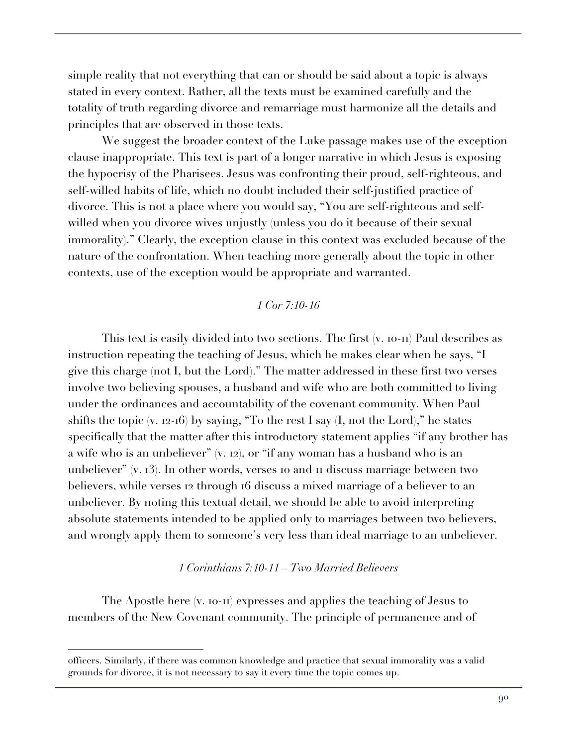simple reality that not everything that can or should be said about a topic is always stated in every context. Rather, all the texts must be examined carefully and the totality of truth regarding divorce and remarriage must harmonize all the details and principles that are observed in those texts.

We suggest the broader context of the Luke passage makes use of the exception clause inappropriate. This text is part of a longer narrative in which Jesus is exposing the hypocrisy of the Pharisees. Jesus was confronting their proud, self-righteous, and self-willed habits of life, which no doubt included their self-justified practice of divorce. This is not a place where you would say, "You are self-righteous and selfwilled when you divorce wives unjustly (unless you do it because of their sexual immorality)." Clearly, the exception clause in this context was excluded because of the nature of the confrontation. When teaching more generally about the topic in other contexts, use of the exception would be appropriate and warranted.

# *1 Cor 7:10-16*

This text is easily divided into two sections. The first (v. 10-11) Paul describes as instruction repeating the teaching of Jesus, which he makes clear when he says, "I give this charge (not I, but the Lord)." The matter addressed in these first two verses involve two believing spouses, a husband and wife who are both committed to living under the ordinances and accountability of the covenant community. When Paul shifts the topic  $(v, 12-16)$  by saying, "To the rest I say  $(I, not the Lord)$ ," he states specifically that the matter after this introductory statement applies "if any brother has a wife who is an unbeliever" (v. 12), or "if any woman has a husband who is an unbeliever" (v. 13). In other words, verses 10 and 11 discuss marriage between two believers, while verses 12 through 16 discuss a mixed marriage of a believer to an unbeliever. By noting this textual detail, we should be able to avoid interpreting absolute statements intended to be applied only to marriages between two believers, and wrongly apply them to someone's very less than ideal marriage to an unbeliever.

#### *1 Corinthians 7:10-11 – Two Married Believers*

The Apostle here (v. 10-11) expresses and applies the teaching of Jesus to members of the New Covenant community. The principle of permanence and of

officers. Similarly, if there was common knowledge and practice that sexual immorality was a valid grounds for divorce, it is not necessary to say it every time the topic comes up.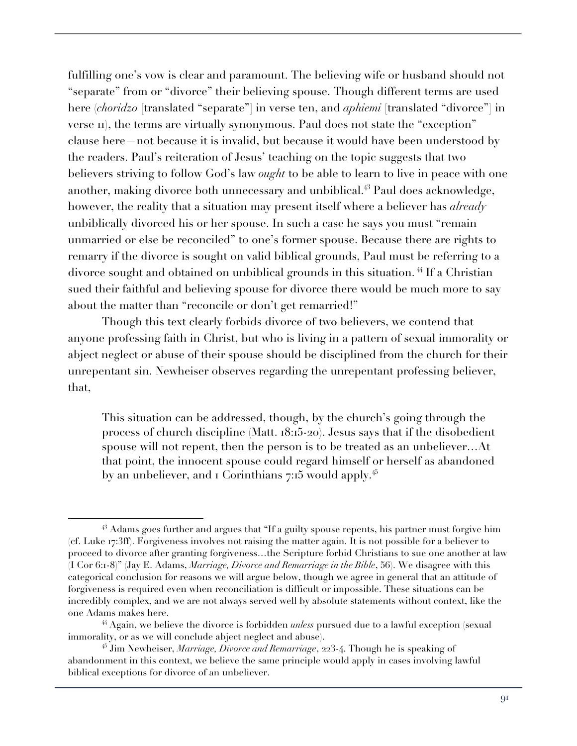fulfilling one's vow is clear and paramount. The believing wife or husband should not "separate" from or "divorce" their believing spouse. Though different terms are used here (*choridzo* [translated "separate"] in verse ten, and *aphiemi* [translated "divorce"] in verse II), the terms are virtually synonymous. Paul does not state the "exception" clause here—not because it is invalid, but because it would have been understood by the readers. Paul's reiteration of Jesus' teaching on the topic suggests that two believers striving to follow God's law *ought* to be able to learn to live in peace with one another, making divorce both unnecessary and unbiblical.<sup>43</sup> Paul does acknowledge, however, the reality that a situation may present itself where a believer has *already* unbiblically divorced his or her spouse. In such a case he says you must "remain unmarried or else be reconciled" to one's former spouse. Because there are rights to remarry if the divorce is sought on valid biblical grounds, Paul must be referring to a divorce sought and obtained on unbiblical grounds in this situation.<sup>44</sup> If a Christian sued their faithful and believing spouse for divorce there would be much more to say about the matter than "reconcile or don't get remarried!"

Though this text clearly forbids divorce of two believers, we contend that anyone professing faith in Christ, but who is living in a pattern of sexual immorality or abject neglect or abuse of their spouse should be disciplined from the church for their unrepentant sin. Newheiser observes regarding the unrepentant professing believer, that,

This situation can be addressed, though, by the church's going through the process of church discipline (Matt. 18:15-20). Jesus says that if the disobedient spouse will not repent, then the person is to be treated as an unbeliever…At that point, the innocent spouse could regard himself or herself as abandoned by an unbeliever, and 1 Corinthians 7:15 would apply.<sup>45</sup>

 $43$  Adams goes further and argues that "If a guilty spouse repents, his partner must forgive him (cf. Luke 17:3ff). Forgiveness involves not raising the matter again. It is not possible for a believer to proceed to divorce after granting forgiveness…the Scripture forbid Christians to sue one another at law (I Cor 6:1-8)" (Jay E. Adams, *Marriage, Divorce and Remarriage in the Bible*, 56). We disagree with this categorical conclusion for reasons we will argue below, though we agree in general that an attitude of forgiveness is required even when reconciliation is difficult or impossible. These situations can be incredibly complex, and we are not always served well by absolute statements without context, like the one Adams makes here.

<sup>44</sup> Again, we believe the divorce is forbidden *unless* pursued due to a lawful exception (sexual immorality, or as we will conclude abject neglect and abuse).

<sup>45</sup> Jim Newheiser, *Marriage, Divorce and Remarriage*, 223-4. Though he is speaking of abandonment in this context, we believe the same principle would apply in cases involving lawful biblical exceptions for divorce of an unbeliever.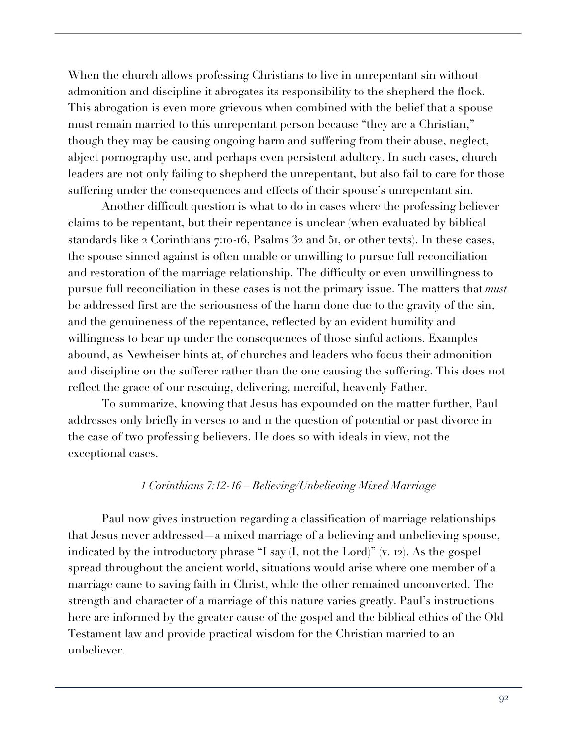When the church allows professing Christians to live in unrepentant sin without admonition and discipline it abrogates its responsibility to the shepherd the flock. This abrogation is even more grievous when combined with the belief that a spouse must remain married to this unrepentant person because "they are a Christian," though they may be causing ongoing harm and suffering from their abuse, neglect, abject pornography use, and perhaps even persistent adultery. In such cases, church leaders are not only failing to shepherd the unrepentant, but also fail to care for those suffering under the consequences and effects of their spouse's unrepentant sin.

Another difficult question is what to do in cases where the professing believer claims to be repentant, but their repentance is unclear (when evaluated by biblical standards like 2 Corinthians 7:10-16, Psalms 32 and 51, or other texts). In these cases, the spouse sinned against is often unable or unwilling to pursue full reconciliation and restoration of the marriage relationship. The difficulty or even unwillingness to pursue full reconciliation in these cases is not the primary issue. The matters that *must* be addressed first are the seriousness of the harm done due to the gravity of the sin, and the genuineness of the repentance, reflected by an evident humility and willingness to bear up under the consequences of those sinful actions. Examples abound, as Newheiser hints at, of churches and leaders who focus their admonition and discipline on the sufferer rather than the one causing the suffering. This does not reflect the grace of our rescuing, delivering, merciful, heavenly Father.

To summarize, knowing that Jesus has expounded on the matter further, Paul addresses only briefly in verses 10 and 11 the question of potential or past divorce in the case of two professing believers. He does so with ideals in view, not the exceptional cases.

# *1 Corinthians 7:12-16 – Believing/Unbelieving Mixed Marriage*

Paul now gives instruction regarding a classification of marriage relationships that Jesus never addressed—a mixed marriage of a believing and unbelieving spouse, indicated by the introductory phrase "I say (I, not the Lord)" (v. 12). As the gospel spread throughout the ancient world, situations would arise where one member of a marriage came to saving faith in Christ, while the other remained unconverted. The strength and character of a marriage of this nature varies greatly. Paul's instructions here are informed by the greater cause of the gospel and the biblical ethics of the Old Testament law and provide practical wisdom for the Christian married to an unbeliever.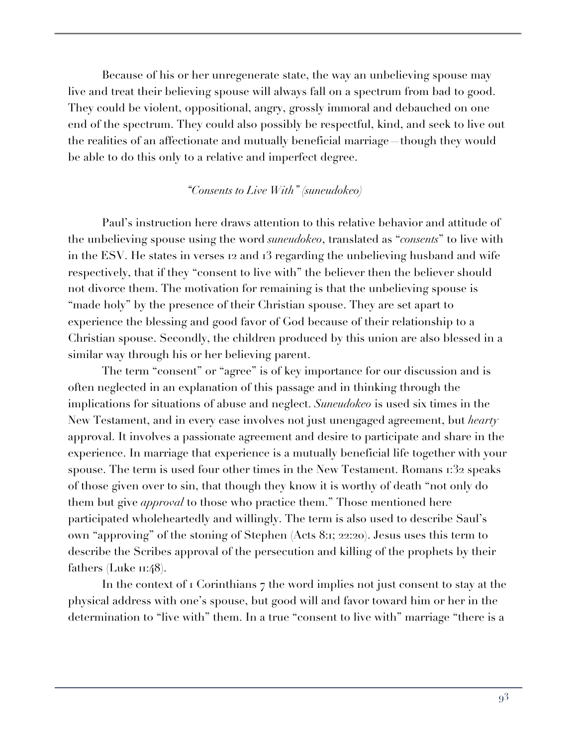Because of his or her unregenerate state, the way an unbelieving spouse may live and treat their believing spouse will always fall on a spectrum from bad to good. They could be violent, oppositional, angry, grossly immoral and debauched on one end of the spectrum. They could also possibly be respectful, kind, and seek to live out the realities of an affectionate and mutually beneficial marriage—though they would be able to do this only to a relative and imperfect degree.

# *"Consents to Live With" (suneudokeo)*

Paul's instruction here draws attention to this relative behavior and attitude of the unbelieving spouse using the word *suneudokeo*, translated as "*consents*" to live with in the ESV. He states in verses 12 and 13 regarding the unbelieving husband and wife respectively, that if they "consent to live with" the believer then the believer should not divorce them. The motivation for remaining is that the unbelieving spouse is "made holy" by the presence of their Christian spouse. They are set apart to experience the blessing and good favor of God because of their relationship to a Christian spouse. Secondly, the children produced by this union are also blessed in a similar way through his or her believing parent.

The term "consent" or "agree" is of key importance for our discussion and is often neglected in an explanation of this passage and in thinking through the implications for situations of abuse and neglect. *Suneudokeo* is used six times in the New Testament, and in every case involves not just unengaged agreement, but *hearty* approval. It involves a passionate agreement and desire to participate and share in the experience. In marriage that experience is a mutually beneficial life together with your spouse. The term is used four other times in the New Testament. Romans 1:32 speaks of those given over to sin, that though they know it is worthy of death "not only do them but give *approval* to those who practice them." Those mentioned here participated wholeheartedly and willingly. The term is also used to describe Saul's own "approving" of the stoning of Stephen (Acts 8:1; 22:20). Jesus uses this term to describe the Scribes approval of the persecution and killing of the prophets by their fathers (Luke  $\pi$ :48).

In the context of 1 Corinthians 7 the word implies not just consent to stay at the physical address with one's spouse, but good will and favor toward him or her in the determination to "live with" them. In a true "consent to live with" marriage "there is a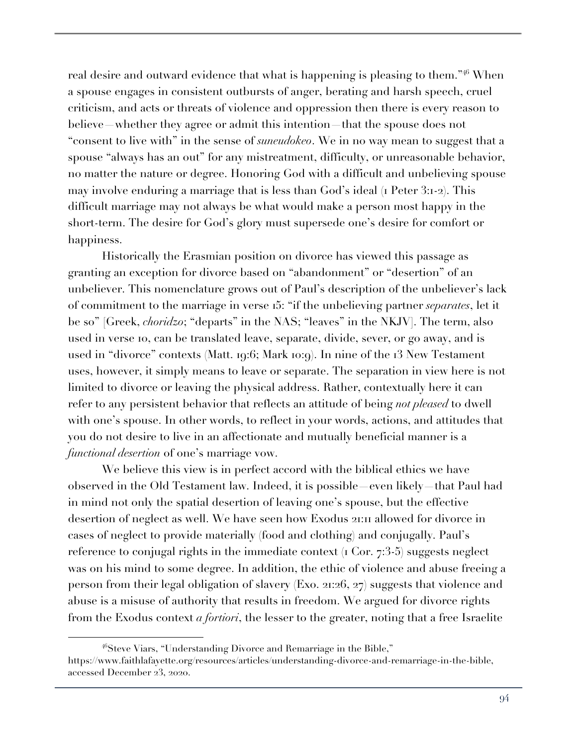real desire and outward evidence that what is happening is pleasing to them."<sup>46</sup> When a spouse engages in consistent outbursts of anger, berating and harsh speech, cruel criticism, and acts or threats of violence and oppression then there is every reason to believe—whether they agree or admit this intention—that the spouse does not "consent to live with" in the sense of *suneudokeo*. We in no way mean to suggest that a spouse "always has an out" for any mistreatment, difficulty, or unreasonable behavior, no matter the nature or degree. Honoring God with a difficult and unbelieving spouse may involve enduring a marriage that is less than God's ideal (1 Peter 3:1-2). This difficult marriage may not always be what would make a person most happy in the short-term. The desire for God's glory must supersede one's desire for comfort or happiness.

Historically the Erasmian position on divorce has viewed this passage as granting an exception for divorce based on "abandonment" or "desertion" of an unbeliever. This nomenclature grows out of Paul's description of the unbeliever's lack of commitment to the marriage in verse 15: "if the unbelieving partner *separates*, let it be so" [Greek, *choridzo*; "departs" in the NAS; "leaves" in the NKJV]. The term, also used in verse 10, can be translated leave, separate, divide, sever, or go away, and is used in "divorce" contexts (Matt. 19:6; Mark 10:9). In nine of the 13 New Testament uses, however, it simply means to leave or separate. The separation in view here is not limited to divorce or leaving the physical address. Rather, contextually here it can refer to any persistent behavior that reflects an attitude of being *not pleased* to dwell with one's spouse. In other words, to reflect in your words, actions, and attitudes that you do not desire to live in an affectionate and mutually beneficial manner is a *functional desertion* of one's marriage vow.

We believe this view is in perfect accord with the biblical ethics we have observed in the Old Testament law. Indeed, it is possible—even likely—that Paul had in mind not only the spatial desertion of leaving one's spouse, but the effective desertion of neglect as well. We have seen how Exodus 21:11 allowed for divorce in cases of neglect to provide materially (food and clothing) and conjugally. Paul's reference to conjugal rights in the immediate context (1 Cor. 7:3-5) suggests neglect was on his mind to some degree. In addition, the ethic of violence and abuse freeing a person from their legal obligation of slavery (Exo. 21:26, 27) suggests that violence and abuse is a misuse of authority that results in freedom. We argued for divorce rights from the Exodus context *a fortiori*, the lesser to the greater, noting that a free Israelite

<sup>46</sup>Steve Viars, "Understanding Divorce and Remarriage in the Bible," https://www.faithlafayette.org/resources/articles/understanding-divorce-and-remarriage-in-the-bible, accessed December 23, 2020.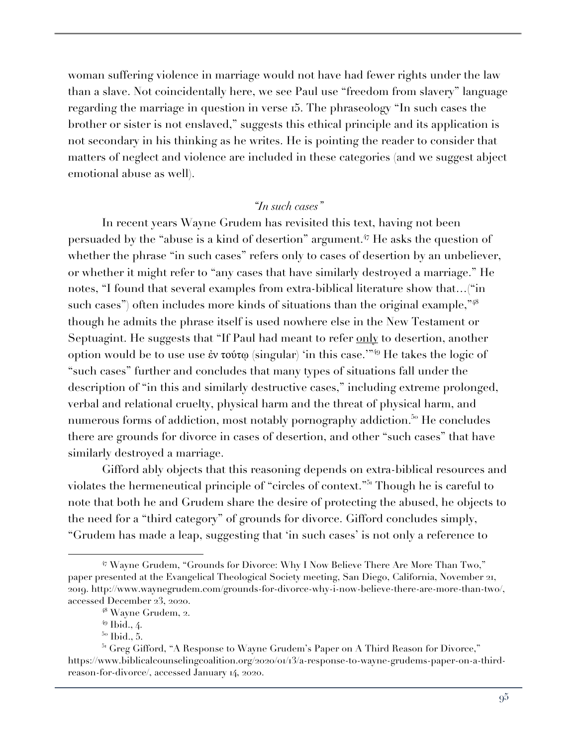woman suffering violence in marriage would not have had fewer rights under the law than a slave. Not coincidentally here, we see Paul use "freedom from slavery" language regarding the marriage in question in verse 15. The phraseology "In such cases the brother or sister is not enslaved," suggests this ethical principle and its application is not secondary in his thinking as he writes. He is pointing the reader to consider that matters of neglect and violence are included in these categories (and we suggest abject emotional abuse as well).

# *"In such cases"*

In recent years Wayne Grudem has revisited this text, having not been persuaded by the "abuse is a kind of desertion" argument.<sup>47</sup> He asks the question of whether the phrase "in such cases" refers only to cases of desertion by an unbeliever, or whether it might refer to "any cases that have similarly destroyed a marriage." He notes, "I found that several examples from extra-biblical literature show that…("in such cases") often includes more kinds of situations than the original example,"48 though he admits the phrase itself is used nowhere else in the New Testament or Septuagint. He suggests that "If Paul had meant to refer only to desertion, another option would be to use use ἐν τούτῳ (singular) 'in this case.'"<sup>49</sup> He takes the logic of "such cases" further and concludes that many types of situations fall under the description of "in this and similarly destructive cases," including extreme prolonged, verbal and relational cruelty, physical harm and the threat of physical harm, and numerous forms of addiction, most notably pornography addiction.<sup>50</sup> He concludes there are grounds for divorce in cases of desertion, and other "such cases" that have similarly destroyed a marriage.

Gifford ably objects that this reasoning depends on extra-biblical resources and violates the hermeneutical principle of "circles of context."<sup>51</sup> Though he is careful to note that both he and Grudem share the desire of protecting the abused, he objects to the need for a "third category" of grounds for divorce. Gifford concludes simply, "Grudem has made a leap, suggesting that 'in such cases' is not only a reference to

<sup>47</sup> Wayne Grudem, "Grounds for Divorce: Why I Now Believe There Are More Than Two," paper presented at the Evangelical Theological Society meeting, San Diego, California, November 21, 2019. http://www.waynegrudem.com/grounds-for-divorce-why-i-now-believe-there-are-more-than-two/, accessed December 23, 2020.

<sup>48</sup> Wayne Grudem, 2.

 $49$  Ibid., 4.

<sup>&</sup>lt;sup>50</sup> Ibid., 5.

<sup>&</sup>lt;sup>51</sup> Greg Gifford, "A Response to Wayne Grudem's Paper on A Third Reason for Divorce," https://www.biblicalcounselingcoalition.org/2020/01/13/a-response-to-wayne-grudems-paper-on-a-thirdreason-for-divorce/, accessed January 14, 2020.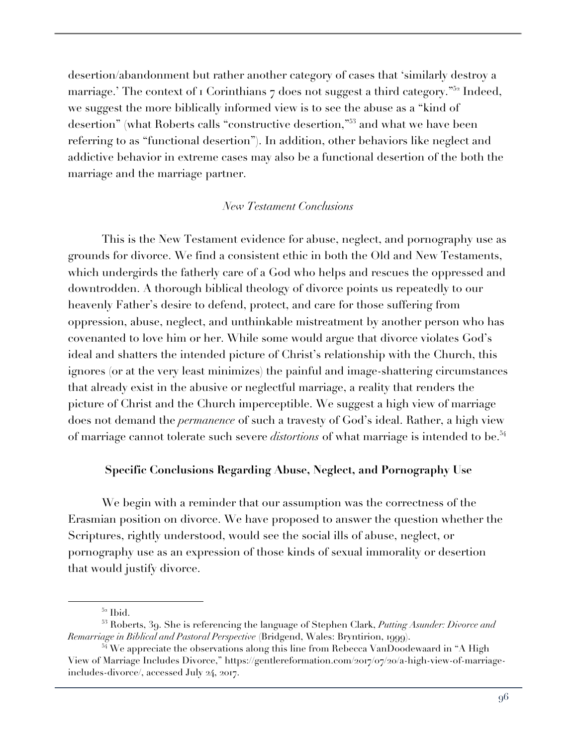desertion/abandonment but rather another category of cases that 'similarly destroy a marriage.' The context of  $\overline{1}$  Corinthians  $\overline{7}$  does not suggest a third category.<sup>"52</sup> Indeed, we suggest the more biblically informed view is to see the abuse as a "kind of desertion" (what Roberts calls "constructive desertion,"<sup>53</sup> and what we have been referring to as "functional desertion"). In addition, other behaviors like neglect and addictive behavior in extreme cases may also be a functional desertion of the both the marriage and the marriage partner.

### *New Testament Conclusions*

This is the New Testament evidence for abuse, neglect, and pornography use as grounds for divorce. We find a consistent ethic in both the Old and New Testaments, which undergirds the fatherly care of a God who helps and rescues the oppressed and downtrodden. A thorough biblical theology of divorce points us repeatedly to our heavenly Father's desire to defend, protect, and care for those suffering from oppression, abuse, neglect, and unthinkable mistreatment by another person who has covenanted to love him or her. While some would argue that divorce violates God's ideal and shatters the intended picture of Christ's relationship with the Church, this ignores (or at the very least minimizes) the painful and image-shattering circumstances that already exist in the abusive or neglectful marriage, a reality that renders the picture of Christ and the Church imperceptible. We suggest a high view of marriage does not demand the *permanence* of such a travesty of God's ideal. Rather, a high view of marriage cannot tolerate such severe *distortions* of what marriage is intended to be.<sup>54</sup>

#### **Specific Conclusions Regarding Abuse, Neglect, and Pornography Use**

We begin with a reminder that our assumption was the correctness of the Erasmian position on divorce. We have proposed to answer the question whether the Scriptures, rightly understood, would see the social ills of abuse, neglect, or pornography use as an expression of those kinds of sexual immorality or desertion that would justify divorce.

<sup>52</sup> Ibid.

<sup>53</sup> Roberts, 39. She is referencing the language of Stephen Clark, *Putting Asunder: Divorce and Remarriage in Biblical and Pastoral Perspective* (Bridgend, Wales: Bryntirion, 1999).

 $54$  We appreciate the observations along this line from Rebecca VanDoodewaard in "A High View of Marriage Includes Divorce," https://gentlereformation.com/2017/07/20/a-high-view-of-marriageincludes-divorce/, accessed July 24, 2017.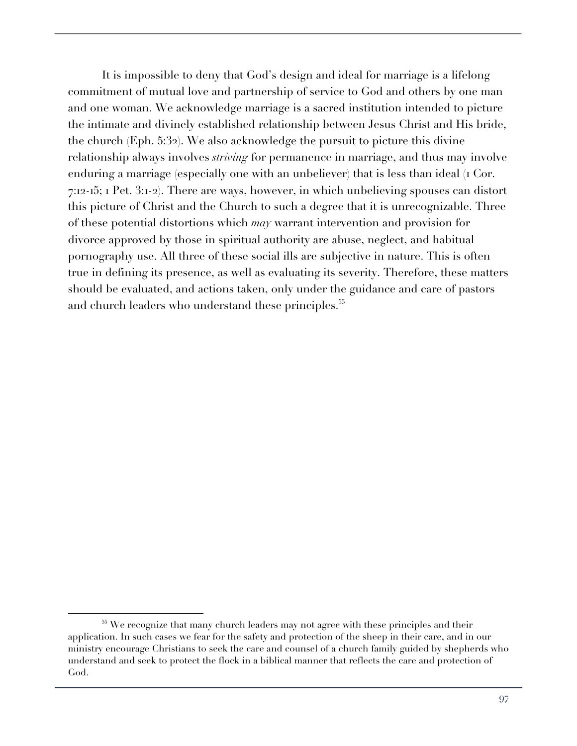It is impossible to deny that God's design and ideal for marriage is a lifelong commitment of mutual love and partnership of service to God and others by one man and one woman. We acknowledge marriage is a sacred institution intended to picture the intimate and divinely established relationship between Jesus Christ and His bride, the church (Eph. 5:32). We also acknowledge the pursuit to picture this divine relationship always involves *striving* for permanence in marriage, and thus may involve enduring a marriage (especially one with an unbeliever) that is less than ideal (1 Cor. 7:12-15; 1 Pet. 3:1-2). There are ways, however, in which unbelieving spouses can distort this picture of Christ and the Church to such a degree that it is unrecognizable. Three of these potential distortions which *may* warrant intervention and provision for divorce approved by those in spiritual authority are abuse, neglect, and habitual pornography use. All three of these social ills are subjective in nature. This is often true in defining its presence, as well as evaluating its severity. Therefore, these matters should be evaluated, and actions taken, only under the guidance and care of pastors and church leaders who understand these principles.<sup>55</sup>

<sup>&</sup>lt;sup>55</sup> We recognize that many church leaders may not agree with these principles and their application. In such cases we fear for the safety and protection of the sheep in their care, and in our ministry encourage Christians to seek the care and counsel of a church family guided by shepherds who understand and seek to protect the flock in a biblical manner that reflects the care and protection of God.